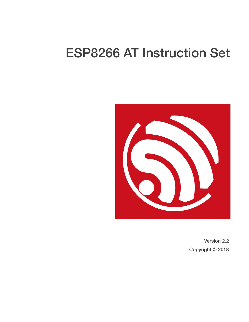# ESP8266 AT Instruction Set



Version 2.2 Copyright © 2018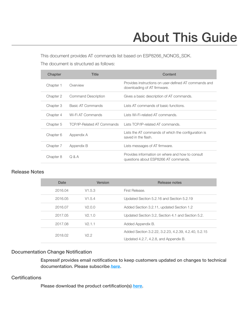# About This Guide

This document provides AT commands list based on ESP8266\_NONOS\_SDK.

The document is structured as follows:

| Chapter   | <b>Title</b>               | Content                                                                                  |
|-----------|----------------------------|------------------------------------------------------------------------------------------|
| Chapter 1 | Overview                   | Provides instructions on user-defined AT commands and<br>downloading of AT firmware.     |
| Chapter 2 | Command Description        | Gives a basic description of AT commands.                                                |
| Chapter 3 | Basic AT Commands          | Lists AT commands of basic functions.                                                    |
| Chapter 4 | Wi-Fi AT Commands          | Lists Wi-Fi-related AT commands.                                                         |
| Chapter 5 | TCP/IP-Related AT Commands | Lists TCP/IP-related AT commands.                                                        |
| Chapter 6 | Appendix A                 | Lists the AT commands of which the configuration is<br>saved in the flash.               |
| Chapter 7 | Appendix B                 | Lists messages of AT firmware.                                                           |
| Chapter 8 | Q & A                      | Provides information on where and how to consult<br>questions about ESP8266 AT commands. |

#### Release Notes

| Date    | <b>Version</b> | Release notes                                        |
|---------|----------------|------------------------------------------------------|
| 2016.04 | V1.5.3         | First Release.                                       |
| 2016.05 | V1.5.4         | Updated Section 5.2.16 and Section 5.2.19            |
| 2016.07 | V2.0.0         | Added Section 3.2.11, updated Section 1.2            |
| 2017.05 | V2.1.0         | Updated Section 3.2, Section 4.1 and Section 5.2.    |
| 2017.08 | V2.1.1         | Added Appendix B.                                    |
| 2018.02 | V2.2           | Added Section 3.2.22, 3.2.23, 4.2.39, 4.2.40, 5.2.15 |
|         |                | Updated 4.2.7, 4.2.8, and Appendix B.                |

#### Documentation Change Notification

Espressif provides email notifications to keep customers updated on changes to technical documentation. Please subscribe *[here](http://espressif.com/en/subscribe)*.

#### **Certifications**

Please download the product certification(s) *[here](http://espressif.com/en/certificates)*.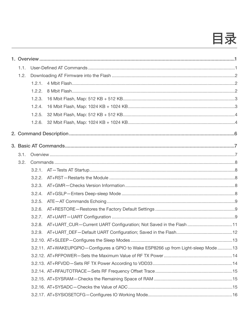# 目录

| 1.1. |        |                                                                                    |  |
|------|--------|------------------------------------------------------------------------------------|--|
| 1.2. |        |                                                                                    |  |
|      | 1.2.1. |                                                                                    |  |
|      | 1.2.2. |                                                                                    |  |
|      | 1.2.3. |                                                                                    |  |
|      | 1.2.4. |                                                                                    |  |
|      | 1.2.5. |                                                                                    |  |
|      | 1.2.6. |                                                                                    |  |
|      |        |                                                                                    |  |
|      |        |                                                                                    |  |
| 3.1. |        |                                                                                    |  |
| 3.2. |        |                                                                                    |  |
|      |        |                                                                                    |  |
|      | 3.2.2. |                                                                                    |  |
|      | 3.2.3. |                                                                                    |  |
|      | 3.2.4. |                                                                                    |  |
|      | 3.2.5. |                                                                                    |  |
|      | 3.2.6. |                                                                                    |  |
|      | 3.2.7. |                                                                                    |  |
|      | 3.2.8. | AT+UART_CUR-Current UART Configuration; Not Saved in the Flash 11                  |  |
|      |        |                                                                                    |  |
|      |        |                                                                                    |  |
|      |        | 3.2.11. AT+WAKEUPGPIO-Configures a GPIO to Wake ESP8266 up from Light-sleep Mode13 |  |
|      |        |                                                                                    |  |
|      |        |                                                                                    |  |
|      |        |                                                                                    |  |
|      |        |                                                                                    |  |
|      |        |                                                                                    |  |
|      |        |                                                                                    |  |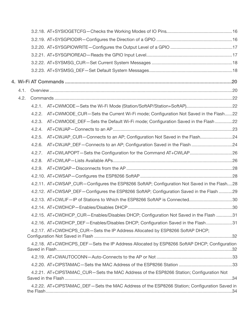| 4.1. |        |                                                                                              |  |
|------|--------|----------------------------------------------------------------------------------------------|--|
| 4.2. |        |                                                                                              |  |
|      | 4.2.1. |                                                                                              |  |
|      | 4.2.2. | AT+CWMODE_CUR-Sets the Current Wi-Fi mode; Configuration Not Saved in the Flash22            |  |
|      | 4.2.3. | AT+CWMODE_DEF-Sets the Default Wi-Fi mode; Configuration Saved in the Flash 22               |  |
|      | 4.2.4. |                                                                                              |  |
|      | 4.2.5. | AT+CWJAP_CUR-Connects to an AP; Configuration Not Saved in the Flash24                       |  |
|      | 4.2.6. | AT+CWJAP_DEF-Connects to an AP; Configuration Saved in the Flash 24                          |  |
|      | 4.2.7. |                                                                                              |  |
|      | 4.2.8. |                                                                                              |  |
|      | 4.2.9. |                                                                                              |  |
|      |        |                                                                                              |  |
|      |        | 4.2.11. AT+CWSAP_CUR-Configures the ESP8266 SoftAP; Configuration Not Saved in the Flash28   |  |
|      |        | 4.2.12. AT+CWSAP_DEF-Configures the ESP8266 SoftAP; Configuration Saved in the Flash 29      |  |
|      |        | 4.2.13. AT+CWLIF-IP of Stations to Which the ESP8266 SoftAP is Connected30                   |  |
|      |        |                                                                                              |  |
|      |        | 4.2.15. AT+CWDHCP_CUR—Enables/Disables DHCP; Configuration Not Saved in the Flash 31         |  |
|      |        | 4.2.16. AT+CWDHCP_DEF-Enables/Disables DHCP; Configuration Saved in the Flash31              |  |
|      |        | 4.2.17. AT+CWDHCPS CUR-Sets the IP Address Allocated by ESP8266 SoftAP DHCP;                 |  |
|      |        | 4.2.18. AT+CWDHCPS_DEF-Sets the IP Address Allocated by ESP8266 SoftAP DHCP; Configuration   |  |
|      |        |                                                                                              |  |
|      |        |                                                                                              |  |
|      |        | 4.2.21. AT+CIPSTAMAC_CUR-Sets the MAC Address of the ESP8266 Station; Configuration Not      |  |
|      |        | 4.2.22. AT+CIPSTAMAC_DEF-Sets the MAC Address of the ESP8266 Station; Configuration Saved in |  |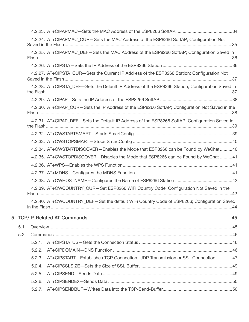|           | 4.2.24. AT+CIPAPMAC_CUR—Sets the MAC Address of the ESP8266 SoftAP; Configuration Not            |  |
|-----------|--------------------------------------------------------------------------------------------------|--|
|           |                                                                                                  |  |
|           | 4.2.25. AT+CIPAPMAC_DEF-Sets the MAC Address of the ESP8266 SoftAP; Configuration Saved in       |  |
|           |                                                                                                  |  |
|           | 4.2.27. AT+CIPSTA_CUR-Sets the Current IP Address of the ESP8266 Station; Configuration Not      |  |
|           | 4.2.28. AT+CIPSTA_DEF-Sets the Default IP Address of the ESP8266 Station; Configuration Saved in |  |
|           |                                                                                                  |  |
|           | 4.2.30. AT+CIPAP_CUR-Sets the IP Address of the ESP8266 SoftAP; Configuration Not Saved in the   |  |
|           | 4.2.31. AT+CIPAP_DEF-Sets the Default IP Address of the ESP8266 SoftAP; Configuration Saved in   |  |
|           |                                                                                                  |  |
|           |                                                                                                  |  |
|           | 4.2.34. AT+CWSTARTDISCOVER-Enables the Mode that ESP8266 can be Found by WeChat40                |  |
|           | 4.2.35. AT+CWSTOPDISCOVER-Disables the Mode that ESP8266 can be Found by WeChat 41               |  |
|           |                                                                                                  |  |
|           |                                                                                                  |  |
|           |                                                                                                  |  |
|           | 4.2.39. AT+CWCOUNTRY CUR-Set ESP8266 WiFi Country Code; Configuration Not Saved in the           |  |
|           | 4.2.40. AT+CWCOUNTRY_DEF-Set the default WiFi Country Code of ESP8266; Configuration Saved       |  |
|           |                                                                                                  |  |
| 5.1.      |                                                                                                  |  |
| 5.2.      |                                                                                                  |  |
| $5.2.1$ . |                                                                                                  |  |
| 5.2.2.    |                                                                                                  |  |
| 5.2.3.    | AT+CIPSTART-Establishes TCP Connection, UDP Transmission or SSL Connection 47                    |  |
| 5.2.4.    |                                                                                                  |  |
| 5.2.5.    |                                                                                                  |  |
| 5.2.6.    |                                                                                                  |  |
|           |                                                                                                  |  |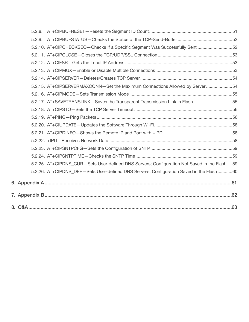| 5.2.9. |                                                                                               |  |
|--------|-----------------------------------------------------------------------------------------------|--|
|        | 5.2.10. AT+CIPCHECKSEQ-Checks If a Specific Segment Was Successfully Sent 52                  |  |
|        |                                                                                               |  |
|        |                                                                                               |  |
|        |                                                                                               |  |
|        |                                                                                               |  |
|        | 5.2.15. AT+CIPSERVERMAXCONN-Set the Maximum Connections Allowed by Server54                   |  |
|        |                                                                                               |  |
|        | 55.2.17. AT+SAVETRANSLINK-Saves the Transparent Transmission Link in Flash 55                 |  |
|        |                                                                                               |  |
|        |                                                                                               |  |
|        |                                                                                               |  |
|        |                                                                                               |  |
|        |                                                                                               |  |
|        |                                                                                               |  |
|        |                                                                                               |  |
|        | 5.2.25. AT+CIPDNS_CUR-Sets User-defined DNS Servers; Configuration Not Saved in the Flash  59 |  |
|        | 5.2.26. AT+CIPDNS_DEF-Sets User-defined DNS Servers; Configuration Saved in the Flash60       |  |
|        |                                                                                               |  |
|        |                                                                                               |  |
|        |                                                                                               |  |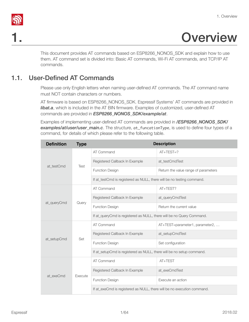

# <span id="page-6-0"></span>**Overview**

This document provides AT commands based on ESP8266\_NONOS\_SDK and explain how to use them. AT command set is divided into: Basic AT commands, Wi-Fi AT commands, and TCP/IP AT commands.

# 1.1. User-Defined AT Commands

<span id="page-6-1"></span>Please use only English letters when naming user-defined AT commands. The AT command name must NOT contain characters or numbers.

AT firmware is based on ESP8266\_NONOS\_SDK. Espressif Systems' AT commands are provided in *libat.a*, which is included in the AT BIN firmware. Examples of customized, user-defined AT commands are provided in *ESP8266\_NONOS\_SDK/example/at*.

Examples of implementing user-defined AT commands are provided in */ESP8266\_NONOS\_SDK/ examples/at/user/user\_main.c*. The structure, at\_funcationType, is used to define four types of a command, for details of which please refer to the following table.

| <b>Definition</b> | <b>Type</b> |                                                                         | <b>Description</b>                   |
|-------------------|-------------|-------------------------------------------------------------------------|--------------------------------------|
|                   |             | AT Command                                                              | $AT+TEST=?$                          |
| at testCmd        |             | Registered Callback In Example                                          | at testCmdTest                       |
|                   | Test        | <b>Function Design</b>                                                  | Return the value range of parameters |
|                   |             | If at_testCmd is registered as NULL, there will be no testing command.  |                                      |
|                   |             | AT Command                                                              | AT+TEST?                             |
|                   |             | Registered Callback In Example                                          | at_queryCmdTest                      |
| at_queryCmd       | Query       | <b>Function Design</b>                                                  | Return the current value             |
|                   |             | If at_queryCmd is registered as NULL, there will be no Query Command.   |                                      |
|                   | Set         | AT Command                                                              | AT+TEST=parameter1, parameter2,      |
|                   |             | Registered Callback In Example                                          | at_setupCmdTest                      |
| at_setupCmd       |             | <b>Function Design</b>                                                  | Set configuration                    |
|                   |             | If at_setupCmd is registered as NULL, there will be no setup command.   |                                      |
|                   |             | AT Command                                                              | AT+TEST                              |
|                   | Execute     | Registered Callback In Example                                          | at exeCmdTest                        |
| at_exeCmd         |             | <b>Function Design</b>                                                  | Execute an action                    |
|                   |             | If at_exeCmd is registered as NULL, there will be no execution command. |                                      |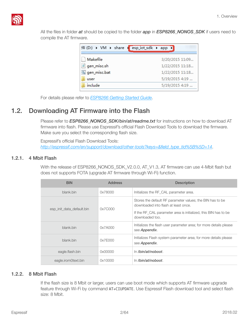

All the files in folder *at* should be copied to the folder *app* in *ESP8266\_NONOS\_SDK* if users need to compile the AT firmware.

| 件 (D:) ▶ VM ▶ share ▶ esp_iot_sdk ▶ app ▶ |                 |
|-------------------------------------------|-----------------|
| Makefile                                  | 3/20/2015 11:09 |
| gen_misc.sh                               | 1/22/2015 11:18 |
| gen_misc.bat                              | 1/22/2015 11:18 |
| user                                      | 5/19/2015 4:19  |
| include                                   | 5/19/2015 4:19  |

<span id="page-7-0"></span>For details please refer to *[ESP8266 Getting Started Guide](http://www.espressif.com/en/support/explore/get-started/esp8266/getting-started-guide)*.

## 1.2. Downloading AT Firmware into the Flash

Please refer to **ESP8266\_NONOS\_SDK/bin/at/readme.txt** for instructions on how to download AT firmware into flash. Please use Espressif's official Flash Download Tools to download the firmware. Make sure you select the corresponding flash size.

Espressif's official Flash Download Tools: *[http://espressif.com/en/support/download/other-tools?keys=&field\\_type\\_tid%5B%5D=14](http://espressif.com/en/support/download/other-tools?keys=&field_type_tid%5B%5D=14)*.

#### 1.2.1. 4 Mbit Flash

<span id="page-7-1"></span>With the release of ESP8266\_NONOS\_SDK\_V2.0.0, AT\_V1.3, AT firmware can use 4-Mbit flash but does not supports FOTA (upgrade AT firmware through Wi-Fi) function.

| <b>BIN</b>                | <b>Address</b> | <b>Description</b>                                                                                                                                                                      |
|---------------------------|----------------|-----------------------------------------------------------------------------------------------------------------------------------------------------------------------------------------|
| blank.bin                 | 0x78000        | Initializes the RF_CAL parameter area.                                                                                                                                                  |
| esp init data default.bin | 0x7C000        | Stores the default RF parameter values; the BIN has to be<br>downloaded into flash at least once.<br>If the RF CAL parameter area is initialized, this BIN has to be<br>downloaded too. |
| blank.bin                 | 0x7A000        | Initializes the flash user parameter area; for more details please<br>see Appendix.                                                                                                     |
| blank.bin                 | 0x7E000        | Initializes Flash system parameter area; for more details please<br>see Appendix.                                                                                                       |
| eagle.flash.bin           | 0x00000        | In /bin/at/noboot.                                                                                                                                                                      |
| eagle.irom0text.bin       | 0x10000        | In /bin/at/noboot.                                                                                                                                                                      |

#### 1.2.2. 8 Mbit Flash

<span id="page-7-2"></span>If the flash size is 8 Mbit or larger, users can use boot mode which supports AT firmware upgrade feature through Wi-Fi by command AT+CIUPDATE. Use Espressif Flash download tool and select flash size: 8 Mbit.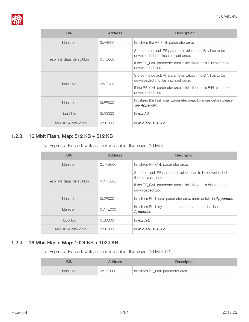

| <b>BIN</b>                | <b>Address</b> | <b>Description</b>                                                                                                                                                                      |
|---------------------------|----------------|-----------------------------------------------------------------------------------------------------------------------------------------------------------------------------------------|
| blank.bin                 | 0xFBOOO        | Initializes the RF_CAL parameter area.                                                                                                                                                  |
| esp init data default.bin | 0xFCOOO        | Stores the default RF parameter values; the BIN has to be<br>downloaded into flash at least once.<br>If the RF_CAL parameter area is initialized, this BIN has to be<br>downloaded too. |
| blank.bin                 | 0x7E000        | Stores the default RF parameter values; the BIN has to be<br>downloaded into flash at least once.<br>If the RF CAL parameter area is initialized, this BIN has to be<br>downloaded too. |
| blank.bin                 | 0xFE000        | Initializes the flash user parameter area; for more details please<br>see Appendix.                                                                                                     |
| boot.bin                  | 0x00000        | $\ln$ /bin/at                                                                                                                                                                           |
| user1.1024.new.2.bin      | 0x01000        | In /bin/at/512+512                                                                                                                                                                      |

#### 1.2.3. 16 Mbit Flash, Map: 512 KB + 512 KB

<span id="page-8-0"></span>Use Espressif Flash download tool and select flash size: 16 Mbit.

| <b>BIN</b>                   | <b>Address</b> | <b>Description</b>                                                                                                                                                          |
|------------------------------|----------------|-----------------------------------------------------------------------------------------------------------------------------------------------------------------------------|
| blank.bin                    | 0x1FB000       | Initializes RF CAL parameter area.                                                                                                                                          |
| esp init data default.bin    | 0x1FCOOO       | Stores default RF parameter values, has to be downloaded into<br>flash at least once.<br>If the RF_CAL parameter area is initialized, this bin has to be<br>downloaded too. |
| blank.bin                    | 0x7E000        | Initializes Flash user parameter area, more details in <b>Appendix</b> .                                                                                                    |
| blank.bin                    | 0x1FE000       | Initializes Flash system parameter area, more details in<br>Appendix.                                                                                                       |
| boot.bin                     | 0x00000        | $\ln$ /bin/at.                                                                                                                                                              |
| user $1.1024$ .new. $2.$ bin | 0x01000        | ln /bin/at/512+512.                                                                                                                                                         |

#### 1.2.4. 16 Mbit Flash, Map: 1024 KB + 1024 KB

<span id="page-8-1"></span>Use Espressif Flash download tool and select flash size: 16 Mbit-C1.

| <b>BIN</b> | <b>Address</b> | <b>Description</b>                 |
|------------|----------------|------------------------------------|
| blank.bin  | 0x1FB000       | Initializes RF_CAL parameter area. |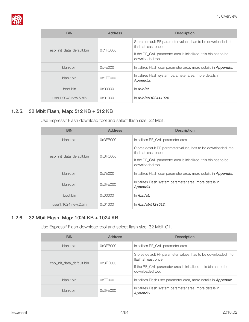

| <b>BIN</b>                   | <b>Address</b> | <b>Description</b>                                                                                                                                                          |
|------------------------------|----------------|-----------------------------------------------------------------------------------------------------------------------------------------------------------------------------|
| esp init data default.bin    | 0x1FCOOO       | Stores default RF parameter values, has to be downloaded into<br>flash at least once.<br>If the RF CAL parameter area is initialized, this bin has to be<br>downloaded too. |
| blank.bin                    | 0xFE000        | Initializes Flash user parameter area, more details in <b>Appendix</b> .                                                                                                    |
| blank.bin                    | 0x1FE000       | Initializes Flash system parameter area, more details in<br>Appendix.                                                                                                       |
| boot.bin                     | 0x00000        | In /bin/at.                                                                                                                                                                 |
| user $1.2048$ .new. $5.$ bin | 0x01000        | ln /bin/at/1024+1024.                                                                                                                                                       |

#### 1.2.5. 32 Mbit Flash, Map: 512 KB + 512 KB

<span id="page-9-0"></span>Use Espressif Flash download tool and select flash size: 32 Mbit.

| <b>BIN</b>                | <b>Address</b> | <b>Description</b>                                                                                                                                                          |
|---------------------------|----------------|-----------------------------------------------------------------------------------------------------------------------------------------------------------------------------|
| blank.bin                 | 0x3FBO00       | Initializes RF_CAL parameter area.                                                                                                                                          |
| esp init data default.bin | 0x3FCOOO       | Stores default RF parameter values, has to be downloaded into<br>flash at least once.<br>If the RF CAL parameter area is initialized, this bin has to be<br>downloaded too. |
| blank.bin                 | 0x7E000        | Initializes Flash user parameter area, more details in <b>Appendix</b> .                                                                                                    |
| blank.bin                 | 0x3FE000       | Initializes Flash system parameter area, more details in<br>Appendix.                                                                                                       |
| boot.bin                  | 0x00000        | $\ln$ /bin/at.                                                                                                                                                              |
| user1.1024.new.2.bin      | 0x01000        | ln /bin/at/512+512.                                                                                                                                                         |

#### 1.2.6. 32 Mbit Flash, Map: 1024 KB + 1024 KB

<span id="page-9-1"></span>Use Espressif Flash download tool and select flash size: 32 Mbit-C1.

| <b>BIN</b>                | <b>Address</b> | <b>Description</b>                                                                                                                                                          |
|---------------------------|----------------|-----------------------------------------------------------------------------------------------------------------------------------------------------------------------------|
| blank.bin                 | 0x3FBO00       | Initializes RF CAL parameter area                                                                                                                                           |
| esp init data default.bin | 0x3FCOOO       | Stores default RF parameter values, has to be downloaded into<br>flash at least once.<br>If the RF_CAL parameter area is initialized, this bin has to be<br>downloaded too. |
| blank.bin                 | 0xFE000        | Initializes Flash user parameter area, more details in <b>Appendix</b> .                                                                                                    |
| blank.bin                 | 0x3FE000       | Initializes Flash system parameter area, more details in<br>Appendix.                                                                                                       |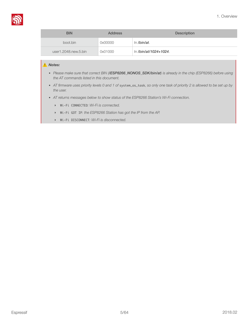

| <b>BIN</b>           | <b>Address</b> | <b>Description</b>    |
|----------------------|----------------|-----------------------|
| boot.bin             | 0x00000        | In /bin/at.           |
| user1.2048.new.5.bin | 0x01000        | In /bin/at/1024+1024. |

#### ⚠ *Notes:*

- *• Please make sure that correct BIN (/ESP8266\_NONOS\_SDK/bin/at) is already in the chip (ESP8266) before using the AT commands listed in this document.*
- AT firmware uses priority levels 0 and 1 of system\_os\_task, so only one task of priority 2 is allowed to be set up by *the user.*
- *• AT returns messages below to show status of the ESP8266 Station's Wi-Fi connection.* 
	- ‣ Wi-Fi CONNECTED*: Wi-Fi is connected.*
	- ‣ Wi-Fi GOT IP*: the ESP8266 Station has got the IP from the AP.*
	- ‣ Wi-Fi DISCONNECT*: Wi-Fi is disconnected.*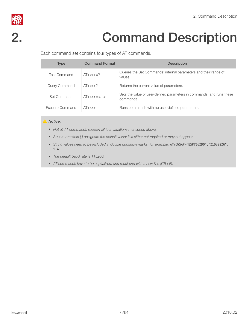

# S<br>2. Command Description

<span id="page-11-0"></span>Each command set contains four types of AT commands.

| <b>Type</b>     | <b>Command Format</b> | <b>Description</b>                                                                 |
|-----------------|-----------------------|------------------------------------------------------------------------------------|
| Test Command    | $AT+=?$               | Queries the Set Commands' internal parameters and their range of<br>values.        |
| Query Command   | $AT+$ ?               | Returns the current value of parameters.                                           |
| Set Command     | $AT+=<$ >             | Sets the value of user-defined parameters in commands, and runs these<br>commands. |
| Execute Command | $AT+$                 | Runs commands with no user-defined parameters.                                     |

#### ⚠ *Notice:*

- *• Not all AT commands support all four variations mentioned above.*
- *• Square brackets [ ] designate the default value; it is either not required or may not appear.*
- *• String values need to be included in double quotation marks, for example:* AT+CWSAP="ESP756290","21030826", 1,4*.*
- *• The default baud rate is 115200.*
- *• AT commands have to be capitalized, and must end with a new line (CR LF).*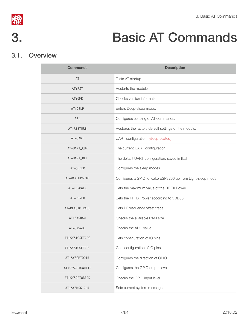



# 3. Basic AT Commands

# 3.1. Overview

<span id="page-12-1"></span><span id="page-12-0"></span>

| <b>Commands</b> | <b>Description</b>                                          |
|-----------------|-------------------------------------------------------------|
| AT              | Tests AT startup.                                           |
| AT+RST          | Restarts the module.                                        |
| $AT+GMR$        | Checks version information.                                 |
| AT+GSLP         | Enters Deep-sleep mode.                                     |
| <b>ATE</b>      | Configures echoing of AT commands.                          |
| AT+RESTORE      | Restores the factory default settings of the module.        |
| AT+UART         | UART configuration. [@deprecated]                           |
| AT+UART_CUR     | The current UART configuration.                             |
| AT+UART_DEF     | The default UART configuration, saved in flash.             |
| AT+SLEEP        | Configures the sleep modes.                                 |
| AT+WAKEUPGPIO   | Configures a GPIO to wake ESP8266 up from Light-sleep mode. |
| AT+RFPOWER      | Sets the maximum value of the RFTX Power.                   |
| AT+RFVDD        | Sets the RF TX Power according to VDD33.                    |
| AT+RFAUTOTRACE  | Sets RF frequency offset trace.                             |
| AT+SYSRAM       | Checks the available RAM size.                              |
| AT+SYSADC       | Checks the ADC value.                                       |
| AT+SYSIOSETCFG  | Sets configuration of IO pins.                              |
| AT+SYSIOGETCFG  | Gets configuration of IO pins.                              |
| AT+SYSGPIODIR   | Configures the direction of GPIO.                           |
| AT+SYSGPIOWRITE | Configures the GPIO output level                            |
| AT+SYSGPIOREAD  | Checks the GPIO input level.                                |
| AT+SYSMSG_CUR   | Sets current system messages.                               |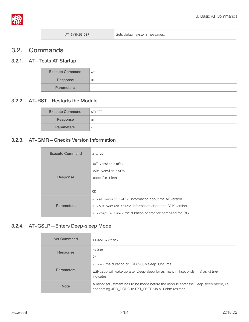

### <span id="page-13-0"></span>3.2. Commands

#### 3.2.1. AT—Tests AT Startup

<span id="page-13-1"></span>

| <b>Execute Command</b> | AT                       |
|------------------------|--------------------------|
| Response               | 0K                       |
| <b>Parameters</b>      | $\overline{\phantom{a}}$ |

#### 3.2.2. AT+RST—Restarts the Module

<span id="page-13-2"></span>

| <b>Execute Command</b> | $AT+RST$ |
|------------------------|----------|
| Response               | 0K       |
| <b>Parameters</b>      |          |

#### 3.2.3. AT+GMR—Checks Version Information

<span id="page-13-3"></span>

| <b>Execute Command</b> | $AT+GMR$                                                                                                                                                                                                                                                                                                                 |
|------------------------|--------------------------------------------------------------------------------------------------------------------------------------------------------------------------------------------------------------------------------------------------------------------------------------------------------------------------|
| Response               | <at info="" version=""><br/><sdk info="" version=""><br/><compile time=""><br/>0K</compile></sdk></at>                                                                                                                                                                                                                   |
| <b>Parameters</b>      | $\bullet$ <at info<math="" version="">\ge: information about the AT version.<br/><sdk info="" version="">: information about the SDK version.<br/><math display="block">\bullet</math><br/><compile time="">: the duration of time for compiling the BIN.<br/><math display="inline">\bullet</math></compile></sdk></at> |

#### 3.2.4. AT+GSLP—Enters Deep-sleep Mode

<span id="page-13-4"></span>

| <b>Set Command</b> | AT+GSLP= <time></time>                                                                                                                        |
|--------------------|-----------------------------------------------------------------------------------------------------------------------------------------------|
| Response           | <time></time>                                                                                                                                 |
|                    | 0 <sup>K</sup>                                                                                                                                |
| <b>Parameters</b>  | <time>: the duration of ESP8266's sleep. Unit: ms.</time>                                                                                     |
|                    | ESP8266 will wake up after Deep-sleep for as many milliseconds (ms) as <time><br/>indicates.</time>                                           |
| <b>Note</b>        | A minor adjustment has to be made before the module enter the Deep-sleep mode, i.e.,<br>connecting XPD_DCDC to EXT_RSTB via a 0-ohm resistor. |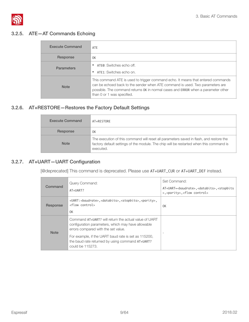

#### 3.2.5. ATE—AT Commands Echoing

<span id="page-14-0"></span>

| <b>Execute Command</b> | ATE                                                                                                                                                                                                                                                                                  |
|------------------------|--------------------------------------------------------------------------------------------------------------------------------------------------------------------------------------------------------------------------------------------------------------------------------------|
| Response               | 0K                                                                                                                                                                                                                                                                                   |
| <b>Parameters</b>      | • ATE0: Switches echo off.                                                                                                                                                                                                                                                           |
|                        | ATE1: Switches echo on.                                                                                                                                                                                                                                                              |
| <b>Note</b>            | This command ATE is used to trigger command echo. It means that entered commands<br>can be echoed back to the sender when ATE command is used. Two parameters are<br>possible. The command returns OK in normal cases and ERROR when a parameter other<br>than 0 or 1 was specified. |

## 3.2.6. AT+RESTORE—Restores the Factory Default Settings

<span id="page-14-1"></span>

| <b>Execute Command</b> | AT+RESTORE                                                                                                                                                                                      |
|------------------------|-------------------------------------------------------------------------------------------------------------------------------------------------------------------------------------------------|
| Response               | 0K                                                                                                                                                                                              |
| <b>Note</b>            | The execution of this command will reset all parameters saved in flash, and restore the<br>factory default settings of the module. The chip will be restarted when this command is<br>executed. |

#### 3.2.7. AT+UART—UART Configuration

<span id="page-14-2"></span>[@deprecated] This command is deprecated. Please use AT+UART\_CUR or AT+UART\_DEF instead.

| Command     | Query Command:<br>AT+UART?                                                                                                                                                                                                                                                         | Set Command:<br>AT+UART=<br>baudrate>, <databits>,<stopbits<br>&gt;,<parity>,<flow control=""></flow></parity></stopbits<br></databits> |
|-------------|------------------------------------------------------------------------------------------------------------------------------------------------------------------------------------------------------------------------------------------------------------------------------------|-----------------------------------------------------------------------------------------------------------------------------------------|
| Response    | +UART:<br>baudrate>, <databits>,<stopbits>,<parity>,<br/><flow control=""><br/>0K</flow></parity></stopbits></databits>                                                                                                                                                            | 0K                                                                                                                                      |
| <b>Note</b> | Command AT+UART? will return the actual value of UART<br>configuration parameters, which may have allowable<br>errors compared with the set value.<br>For example, if the UART baud rate is set as 115200,<br>the baud rate returned by using command AT+UART?<br>could be 115273. |                                                                                                                                         |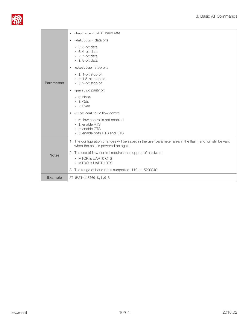

|                   | <baudrate>: UART baud rate<br/><math display="inline">\bullet</math></baudrate>                                                                   |
|-------------------|---------------------------------------------------------------------------------------------------------------------------------------------------|
|                   | <databits>: data bits<br/><math display="inline">\bullet</math></databits>                                                                        |
|                   | $\triangleright$ 5: 5-bit data<br>$\triangleright$ 6: 6-bit data<br>$\triangleright$ 7: 7-bit data<br>$\triangleright$ 8: 8-bit data              |
|                   | <stopbits>: stop bits<br/><math display="inline">\bullet</math></stopbits>                                                                        |
| <b>Parameters</b> | $\triangleright$ 1: 1-bit stop bit<br>$\triangleright$ 2: 1.5-bit stop bit<br>$\triangleright$ 3: 2-bit stop bit                                  |
|                   | <parity>: parity bit<br/><math display="inline">\bullet</math></parity>                                                                           |
|                   | • 0: None<br>$\triangleright$ 1: Odd<br>$\triangleright$ 2: Even                                                                                  |
|                   | <flow control="">: flow control<br/><math display="inline">\bullet</math></flow>                                                                  |
|                   | • 0: flow control is not enabled<br>▶ 1: enable RTS<br>▶ 2: enable CTS<br>> 3: enable both RTS and CTS                                            |
|                   | 1. The configuration changes will be saved in the user parameter area in the flash, and will still be valid<br>when the chip is powered on again. |
| <b>Notes</b>      | 2. The use of flow control requires the support of hardware:<br>MTCK is UARTO CTS<br>MTDO is UARTO RTS                                            |
|                   | 3. The range of baud rates supported: 110~115200*40.                                                                                              |
| Example           | AT+UART=115200,8,1,0,3                                                                                                                            |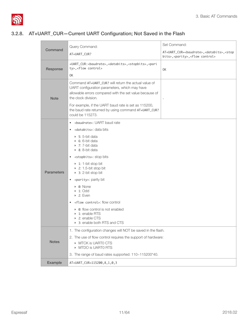

#### 3.2.8. AT+UART\_CUR—Current UART Configuration; Not Saved in the Flash

<span id="page-16-0"></span>

|                   | Query Command:                                                                                                                                                                          | Set Command:                                                                                                            |  |
|-------------------|-----------------------------------------------------------------------------------------------------------------------------------------------------------------------------------------|-------------------------------------------------------------------------------------------------------------------------|--|
| Command           | AT+UART_CUR?                                                                                                                                                                            | AT+UART_CUR=<br>baudrate>, <databits>,<stop<br>bits&gt;,<parity>,<flow control=""></flow></parity></stop<br></databits> |  |
| Response          | +UART_CUR: <baudrate>,<databits>,<stopbits>,<pari<br>ty&gt;, <flow control=""><br/>0K</flow></pari<br></stopbits></databits></baudrate>                                                 | 0K                                                                                                                      |  |
| <b>Note</b>       | Command AT+UART CUR? will return the actual value of<br>UART configuration parameters, which may have<br>allowable errors compared with the set value because of<br>the clock division. |                                                                                                                         |  |
|                   | For example, if the UART baud rate is set as 115200,<br>the baud rate returned by using command AT+UART_CUR?<br>could be 115273.                                                        |                                                                                                                         |  |
|                   | <baudrate>: UART baud rate<br/><math display="inline">\bullet</math></baudrate>                                                                                                         |                                                                                                                         |  |
|                   | • <databits>: data bits</databits>                                                                                                                                                      |                                                                                                                         |  |
|                   | $\triangleright$ 5: 5-bit data<br>$\triangleright$ 6: 6-bit data<br>$\triangleright$ 7: 7-bit data<br>$\triangleright$ 8: 8-bit data                                                    |                                                                                                                         |  |
|                   | <stopbits>: stop bits<br/><math display="inline">\bullet</math></stopbits>                                                                                                              |                                                                                                                         |  |
| <b>Parameters</b> | $\triangleright$ 1: 1-bit stop bit<br>$\triangleright$ 2: 1.5-bit stop bit<br>$\triangleright$ 3: 2-bit stop bit                                                                        |                                                                                                                         |  |
|                   | <parity>: parity bit<br/><math display="inline">\bullet</math></parity>                                                                                                                 |                                                                                                                         |  |
|                   | • 0: None<br>$\triangleright$ 1: Odd<br>$\triangleright$ 2: Even                                                                                                                        |                                                                                                                         |  |
|                   | • <flow control="">: flow control</flow>                                                                                                                                                |                                                                                                                         |  |
|                   | • 0: flow control is not enabled<br>▶ 1: enable RTS<br>▶ 2: enable CTS<br>▶ 3: enable both RTS and CTS                                                                                  |                                                                                                                         |  |
|                   | 1. The configuration changes will NOT be saved in the flash.                                                                                                                            |                                                                                                                         |  |
|                   | 2. The use of flow control requires the support of hardware:                                                                                                                            |                                                                                                                         |  |
| <b>Notes</b>      | MTCK is UARTO CTS<br>MTDO is UARTO RTS                                                                                                                                                  |                                                                                                                         |  |
|                   | 3. The range of baud rates supported: 110~115200*40.                                                                                                                                    |                                                                                                                         |  |
| Example           | AT+UART_CUR=115200, 8, 1, 0, 3                                                                                                                                                          |                                                                                                                         |  |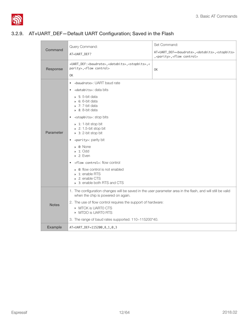

#### 3.2.9. AT+UART\_DEF—Default UART Configuration; Saved in the Flash

<span id="page-17-0"></span>

|                                                                                                                        | Query Command:                                                                                                                                    | Set Command:                                                                                                                   |  |
|------------------------------------------------------------------------------------------------------------------------|---------------------------------------------------------------------------------------------------------------------------------------------------|--------------------------------------------------------------------------------------------------------------------------------|--|
| Command                                                                                                                | AT+UART_DEF?                                                                                                                                      | AT+UART_DEF= <baudrate>,<databits>,<stopbits><br/>,<parity>,<flow control=""></flow></parity></stopbits></databits></baudrate> |  |
| Response                                                                                                               | +UART_DEF: <baudrate>,<databits>,<stopbits>,&lt;<br/>parity&gt;, <flow control=""><br/>0K</flow></stopbits></databits></baudrate>                 | 0K                                                                                                                             |  |
|                                                                                                                        | <br>shaudrate>: UART baud rate<br>$\bullet$                                                                                                       |                                                                                                                                |  |
|                                                                                                                        | <databits>: data bits<br/><math display="inline">\bullet</math></databits>                                                                        |                                                                                                                                |  |
|                                                                                                                        | $\triangleright$ 5: 5-bit data<br>$\bullet$ 6: 6-bit data<br>$\rightarrow$ 7: 7-bit data<br>$\triangleright$ 8: 8-bit data                        |                                                                                                                                |  |
| <stopbits>: stop bits<br/><math display="inline">\bullet</math></stopbits>                                             |                                                                                                                                                   |                                                                                                                                |  |
| Parameter                                                                                                              | $\triangleright$ 1: 1-bit stop bit<br>$\triangleright$ 2: 1.5-bit stop bit<br>$\triangleright$ 3: 2-bit stop bit                                  |                                                                                                                                |  |
|                                                                                                                        | <parity>: parity bit<br/><math display="inline">\bullet</math></parity>                                                                           |                                                                                                                                |  |
|                                                                                                                        | $\triangleright$ 0: None<br>$\triangleright$ 1: Odd<br>$\triangleright$ 2: Even                                                                   |                                                                                                                                |  |
|                                                                                                                        | <flow control="">: flow control<br/><math display="inline">\bullet</math></flow>                                                                  |                                                                                                                                |  |
|                                                                                                                        | • 0: flow control is not enabled<br>$\triangleright$ 1: enable RTS<br>▶ 2: enable CTS<br>3: enable both RTS and CTS                               |                                                                                                                                |  |
|                                                                                                                        | 1. The configuration changes will be saved in the user parameter area in the flash, and will still be valid<br>when the chip is powered on again. |                                                                                                                                |  |
| 2. The use of flow control requires the support of hardware:<br><b>Notes</b><br>MTCK is UARTO CTS<br>MTDO is UARTO RTS |                                                                                                                                                   |                                                                                                                                |  |
|                                                                                                                        | 3. The range of baud rates supported: 110~115200*40.                                                                                              |                                                                                                                                |  |
| Example                                                                                                                | AT+UART_DEF=115200,8,1,0,3                                                                                                                        |                                                                                                                                |  |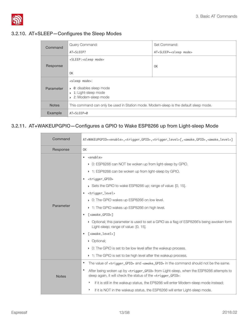

## 3.2.10. AT+SLEEP—Configures the Sleep Modes

<span id="page-18-0"></span>

| Command          | Query Command:                                                                                                       | Set Command:                      |
|------------------|----------------------------------------------------------------------------------------------------------------------|-----------------------------------|
|                  | AT+SLEEP?                                                                                                            | AT+SLEEP= <sleep mode=""></sleep> |
|                  | +SLEEP: <sleep mode=""></sleep>                                                                                      |                                   |
| Response         |                                                                                                                      | 0K                                |
|                  | 0K                                                                                                                   |                                   |
|                  | <sleep mode="">:</sleep>                                                                                             |                                   |
| <b>Parameter</b> | 0: disables sleep mode<br>$\blacktriangleright$<br>$\triangleright$ 1: Light-sleep mode<br>2: Modem-sleep mode<br>b. |                                   |
| <b>Notes</b>     | This command can only be used in Station mode. Modem-sleep is the default sleep mode.                                |                                   |
| Example          | AT+SLEEP=0                                                                                                           |                                   |

#### 3.2.11. AT+WAKEUPGPIO—Configures a GPIO to Wake ESP8266 up from Light-sleep Mode

<span id="page-18-1"></span>

| Command      | AT+WAKEUPGPIO= <enable>,<trigger_gpio>,<trigger_level>[,<awake_gpio>,<awake_level>]</awake_level></awake_gpio></trigger_level></trigger_gpio></enable>                                                                                                                                                                                                                                                                                                                                                                                                                                                                                                                                                                                                                                               |  |  |
|--------------|------------------------------------------------------------------------------------------------------------------------------------------------------------------------------------------------------------------------------------------------------------------------------------------------------------------------------------------------------------------------------------------------------------------------------------------------------------------------------------------------------------------------------------------------------------------------------------------------------------------------------------------------------------------------------------------------------------------------------------------------------------------------------------------------------|--|--|
| Response     | 0K                                                                                                                                                                                                                                                                                                                                                                                                                                                                                                                                                                                                                                                                                                                                                                                                   |  |  |
| Parameter    | <enable><br/>٠<br/>▶ 0: ESP8266 can NOT be woken up from light-sleep by GPIO.<br/>▶ 1: ESP8266 can be woken up from light-sleep by GPIO.<br/><trigger_gpio><br/><math display="inline">\bullet</math><br/>► Sets the GPIO to wake ESP8266 up; range of value: [0, 15].<br/><trigger_level><br/>0: The GPIO wakes up ESP8266 on low level.<br/>▶ 1: The GPIO wakes up ESP8266 on high level.<br/>[<awake_gpi0>]<br/>• Optional; this parameter is used to set a GPIO as a flag of ESP8266's being awoken form<br/>Light-sleep; range of value: [0, 15].<br/>[<awake_level>]<br/>• Optional;<br/>• 0: The GPIO is set to be low level after the wakeup process.<br/>▶ 1: The GPIO is set to be high level after the wakeup process.</awake_level></awake_gpi0></trigger_level></trigger_gpio></enable> |  |  |
| <b>Notes</b> | The value of <trigger_gpi0> and <awake_gpi0> in the command should not be the same.<br/><math display="inline">\bullet</math><br/>٠<br/>After being woken up by <trigger_gpi0> from Light-sleep, when the ESP8266 attempts to<br/>sleep again, it will check the status of the <trigger_gpi0>:<br/>if it is still in the wakeup status, the EP8266 will enter Modem-sleep mode instead;<br/>Þ</trigger_gpi0></trigger_gpi0></awake_gpi0></trigger_gpi0>                                                                                                                                                                                                                                                                                                                                              |  |  |
|              | Þ<br>if it is NOT in the wakeup status, the ESP8266 will enter Light-sleep mode.                                                                                                                                                                                                                                                                                                                                                                                                                                                                                                                                                                                                                                                                                                                     |  |  |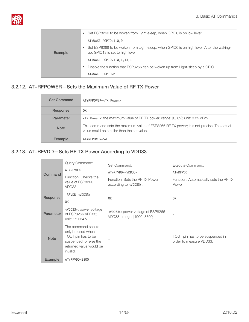

|                | Set ESP8266 to be woken from Light-sleep, when GPIO0 is on low level:<br>$\bullet$                                           |
|----------------|------------------------------------------------------------------------------------------------------------------------------|
|                | AT+WAKEUPGPIO=1,0,0                                                                                                          |
| <b>Example</b> | Set ESP8266 to be woken from Light-sleep, when GPIO0 is on high level. After the waking-<br>up, GPIO13 is set to high level. |
|                | AT+WAKEUPGPIO=1,0,1,13,1                                                                                                     |
|                | Disable the function that ESP8266 can be woken up from Light-sleep by a GPIO.                                                |
|                | AT+WAKEUPGPIO=0                                                                                                              |

### 3.2.12. AT+RFPOWER—Sets the Maximum Value of RF TX Power

<span id="page-19-0"></span>

| <b>Set Command</b> | $AT+RFPOWER= Power>$                                                                                                                    |
|--------------------|-----------------------------------------------------------------------------------------------------------------------------------------|
| Response           | 0K                                                                                                                                      |
| <b>Parameter</b>   | <tx power="">: the maximum value of RF TX power; range: [0, 82]; unit: 0.25 dBm.</tx>                                                   |
| <b>Note</b>        | This command sets the maximum value of ESP8266 RF TX power; it is not precise. The actual<br>value could be smaller than the set value. |
| <b>Example</b>     | AT+RFPOWER=50                                                                                                                           |

#### 3.2.13. AT+RFVDD—Sets RF TX Power According to VDD33

<span id="page-19-1"></span>

| Command        | Query Command:<br>AT+RFVDD?<br>Function: Checks the<br>value of ESP8266<br>VDD33.                                              | Set Command:<br>AT+RFVDD= <vdd33><br/>Function: Sets the RFTX Power<br/>according to <vdd33>.</vdd33></vdd33> | Execute Command:<br>AT+RFVDD<br>Function: Automatically sets the RFTX<br>Power. |
|----------------|--------------------------------------------------------------------------------------------------------------------------------|---------------------------------------------------------------------------------------------------------------|---------------------------------------------------------------------------------|
| Response       | +RFVDD: <vdd33><br/>0K</vdd33>                                                                                                 | 0K                                                                                                            | 0K                                                                              |
| Parameter      | <vdd33>: power voltage<br/>of ESP8266 VDD33;<br/>unit: 1/1024 V.</vdd33>                                                       | <vdd33>: power voltage of ESP8266<br/>VDD33; range: [1900, 3300].</vdd33>                                     |                                                                                 |
| <b>Note</b>    | The command should<br>only be used when<br>TOUT pin has to be<br>suspended, or else the<br>returned value would be<br>invalid. |                                                                                                               | TOUT pin has to be suspended in<br>order to measure VDD33.                      |
| <b>Example</b> | AT+RFVDD=2800                                                                                                                  |                                                                                                               |                                                                                 |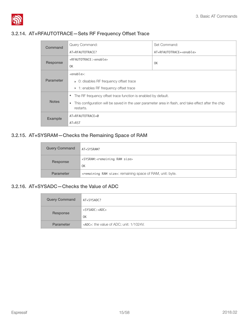

#### 3.2.14. AT+RFAUTOTRACE—Sets RF Frequency Offset Trace

<span id="page-20-0"></span>

| Command          | Query Command:                                                                                                                 | Set Command:                      |  |
|------------------|--------------------------------------------------------------------------------------------------------------------------------|-----------------------------------|--|
|                  | AT+RFAUTOTRACE?                                                                                                                | AT+RFAUTOTRACE= <enable></enable> |  |
| Response         | +RFAUTOTRACE: <enable></enable>                                                                                                |                                   |  |
|                  | 0K                                                                                                                             | 0K                                |  |
|                  | <enable>:</enable>                                                                                                             |                                   |  |
| <b>Parameter</b> | $\triangleright$ 0: disables RF frequency offset trace                                                                         |                                   |  |
|                  | • 1: enables RF frequency offset trace                                                                                         |                                   |  |
|                  | The RF frequency offset trace function is enabled by default.<br>$\bullet$                                                     |                                   |  |
| <b>Notes</b>     | This configuration will be saved in the user parameter area in flash, and take effect after the chip<br>$\bullet$<br>restarts. |                                   |  |
| Example          | AT+RFAUTOTRACE=0                                                                                                               |                                   |  |
|                  | AT+RST                                                                                                                         |                                   |  |

#### 3.2.15. AT+SYSRAM—Checks the Remaining Space of RAM

<span id="page-20-1"></span>

| <b>Query Command</b> | AT+SYSRAM?                                                                  |
|----------------------|-----------------------------------------------------------------------------|
| Response             | +SYSRAM: <remaining ram="" size=""><br/>0K</remaining>                      |
| <b>Parameter</b>     | <remaining ram="" size="">: remaining space of RAM, unit: byte.</remaining> |

#### 3.2.16. AT+SYSADC—Checks the Value of ADC

<span id="page-20-2"></span>

| <b>Query Command</b> | AT+SYSADC?                                    |
|----------------------|-----------------------------------------------|
| Response             | $+$ SYSADC: <adc><br/>0K</adc>                |
| <b>Parameter</b>     | <adc>: the value of ADC; unit: 1/1024V.</adc> |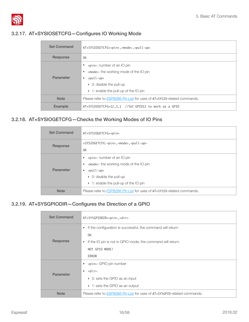

#### 3.2.17. AT+SYSIOSETCFG—Configures IO Working Mode

<span id="page-21-0"></span>

| <b>Set Command</b> | AT+SYSIOSETCFG= <pin>,<mode>,<pull-up></pull-up></mode></pin>                                                                                                                                                                                                              |  |  |
|--------------------|----------------------------------------------------------------------------------------------------------------------------------------------------------------------------------------------------------------------------------------------------------------------------|--|--|
| Response           | 0K                                                                                                                                                                                                                                                                         |  |  |
| Parameter          | <pin>: number of an IO pin<br/>٠<br/><mode>: the working mode of the IO pin<br/>۰<br/><math>&lt;</math>pull-up<math>&gt;</math><br/>٠<br/><math>\triangleright</math> 0: disable the pull-up<br/><math>\rightarrow</math> 1: enable the pull-up of the IO pin</mode></pin> |  |  |
| <b>Note</b>        | Please refer to <b>ESP8266 Pin List</b> for uses of AT+SYSI0-related commands.                                                                                                                                                                                             |  |  |
| Example            | AT+SYSIOSETCFG=12,3,1 //Set GPIO12 to work as a GPIO                                                                                                                                                                                                                       |  |  |

## 3.2.18. AT+SYSIOGETCFG—Checks the Working Modes of IO Pins

<span id="page-21-1"></span>

| <b>Set Command</b> | AT+SYSIOGETCFG= <pin></pin>                                                    |  |
|--------------------|--------------------------------------------------------------------------------|--|
| Response           | +SYSIOGETCFG: <pin>,<mode>,<pull-up><br/>0K</pull-up></mode></pin>             |  |
|                    |                                                                                |  |
|                    | <pin>: number of an IO pin</pin>                                               |  |
|                    | <mode>: the working mode of the IO pin</mode>                                  |  |
| Parameter          | $\text{y}$ -up><br>٠                                                           |  |
|                    | $\triangleright$ 0: disable the pull-up                                        |  |
|                    | $\rightarrow$ 1: enable the pull-up of the IO pin                              |  |
| <b>Note</b>        | Please refer to <i>ESP8266 Pin List</i> for uses of AT+SYS10-related commands. |  |

#### 3.2.19. AT+SYSGPIODIR—Configures the Direction of a GPIO

<span id="page-21-2"></span>

| <b>Set Command</b> | AT+SYSGPIODIR= <pin>,<dir></dir></pin>                                           |  |  |
|--------------------|----------------------------------------------------------------------------------|--|--|
|                    | If the configuration is successful, the command will return:<br>$\bullet$        |  |  |
|                    | 0K                                                                               |  |  |
| Response           | If the IO pin is not in GPIO mode, the command will return:<br>$\bullet$         |  |  |
|                    | NOT GPIO MODE!                                                                   |  |  |
|                    | <b>ERROR</b>                                                                     |  |  |
|                    | <pin>: GPIO pin number<br/><math display="inline">\bullet</math></pin>           |  |  |
| Parameter          | $<$ dir $>$ :<br>$\bullet$                                                       |  |  |
|                    | • 0: sets the GPIO as an input                                                   |  |  |
|                    | ▶ 1: sets the GPIO as an output                                                  |  |  |
| <b>Note</b>        | Please refer to <b>ESP8266 Pin List</b> for uses of AT+SYSGPIO-related commands. |  |  |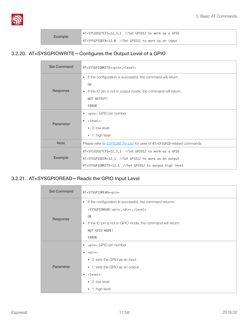

Example AT+SYSIOSETCFG=12,3,1 //Set GPIO12 to work as a GPIO

AT+SYSGPIODIR=12,0 //Set GPIO12 to work as an input

#### 3.2.20. AT+SYSGPIOWRITE—Configures the Output Level of a GPIO

<span id="page-22-0"></span>

| <b>Set Command</b>                                                                                                                                                                       | AT+SYSGPIOWRITE= <pin>,<level></level></pin>                                                                                                                                                                                     |  |  |  |
|------------------------------------------------------------------------------------------------------------------------------------------------------------------------------------------|----------------------------------------------------------------------------------------------------------------------------------------------------------------------------------------------------------------------------------|--|--|--|
| Response                                                                                                                                                                                 | If the configuration is successful, the command will return:<br>$\bullet$<br>0K<br>If the IO pin is not in output mode, the command will return:<br>$\bullet$<br>NOT OUTPUT!<br><b>ERROR</b>                                     |  |  |  |
| Parameter                                                                                                                                                                                | <pin>: GPIO pin number<br/><math display="inline">\bullet</math><br/><level>:<br/><math display="inline">\bullet</math><br/><math>\triangleright</math> 0: low level<br/><math>\triangleright</math> 1: high level</level></pin> |  |  |  |
| <b>Note</b>                                                                                                                                                                              | Please refer to <i>ESP8266 Pin List</i> for uses of AT+SYSGPI0-related commands.                                                                                                                                                 |  |  |  |
| AT+SYSIOSETCFG=12,3,1 //Set GPIO12 to work as a GPIO<br><b>Example</b><br>AT+SYSGPIODIR=12,1 //Set GPIO12 to work as an output<br>AT+SYSGPIOWRITE=12,1 //Set GPIO12 to output high level |                                                                                                                                                                                                                                  |  |  |  |

#### 3.2.21. AT+SYSGPIOREAD—Reads the GPIO Input Level

<span id="page-22-1"></span>

| <b>Set Command</b> | AT+SYSGPIOREAD= <pin></pin>                                                    |  |  |  |
|--------------------|--------------------------------------------------------------------------------|--|--|--|
|                    | If the configuration is successful, the command returns:<br>$\bullet$          |  |  |  |
|                    | +SYSGPIOREAD: <pin>,<dir>,<level></level></dir></pin>                          |  |  |  |
| Response           | 0K<br>If the IO pin is not in GPIO mode, the command will return:<br>$\bullet$ |  |  |  |
|                    | NOT GPIO MODE!                                                                 |  |  |  |
|                    | <b>ERROR</b>                                                                   |  |  |  |
|                    |                                                                                |  |  |  |
|                    | • <pin>: GPIO pin number</pin>                                                 |  |  |  |
|                    | $\bullet$ <dir>:</dir>                                                         |  |  |  |
|                    | • 0: sets the GPIO as an input                                                 |  |  |  |
| Parameter          | ▶ 1: sets the GPIO as an output                                                |  |  |  |
|                    | <level>:<br/><math display="inline">\bullet</math></level>                     |  |  |  |
|                    | $\triangleright$ 0: low level                                                  |  |  |  |
|                    | $\triangleright$ 1: high level                                                 |  |  |  |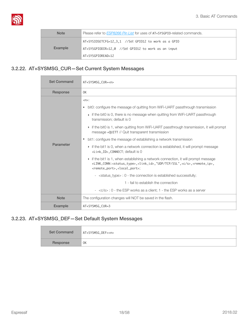

| <b>Note</b> | Please refer to <i>ESP8266 Pin List</i> for uses of AT+SYSGPI0-related commands. |  |
|-------------|----------------------------------------------------------------------------------|--|
| Example     | AT+SYSIOSETCFG=12,3,1 //Set GPIO12 to work as a GPIO                             |  |
|             | AT+SYSGPIODIR=12,0 //Set GPIO12 to work as an input                              |  |
|             | AT+SYSGPIOREAD=12                                                                |  |

#### 3.2.22. AT+SYSMSG\_CUR—Set Current System Messages

<span id="page-23-0"></span>

| <b>Set Command</b> | AT+SYSMSG_CUR= <n></n>                                                                                                                                                                                                                                                                                                                                                                                                                                                                                                                                                                                                                                                                                                                                                                                                                                                                                                                                                                                                                                                                        |  |  |  |
|--------------------|-----------------------------------------------------------------------------------------------------------------------------------------------------------------------------------------------------------------------------------------------------------------------------------------------------------------------------------------------------------------------------------------------------------------------------------------------------------------------------------------------------------------------------------------------------------------------------------------------------------------------------------------------------------------------------------------------------------------------------------------------------------------------------------------------------------------------------------------------------------------------------------------------------------------------------------------------------------------------------------------------------------------------------------------------------------------------------------------------|--|--|--|
| Response           | 0K                                                                                                                                                                                                                                                                                                                                                                                                                                                                                                                                                                                                                                                                                                                                                                                                                                                                                                                                                                                                                                                                                            |  |  |  |
| Parameter          | $< n>$ :<br>bit0: configure the message of quitting from WiFi-UART passthrough transmission<br>٠<br>$\rightarrow$ if the bit0 is 0, there is no message when quitting from WiFi-UART passthrough<br>transmission; default is 0<br>• if the bit0 is 1, when quitting from WiFi-UART passthrough transmission, it will prompt<br>message +QUITT // Quit transparent transmission<br>bit1: configure the message of establishing a network transmission<br>$\triangleright$ if the bit1 is 0, when a network connection is established, it will prompt message<br><link_id>, CONNECT; default is 0<br/>• if the bit1 is 1, when establishing a network connection, it will prompt message<br/>+LINK_CONN:<status_type>,<link_id>,"UDP/TCP/SSL",<c s="">,<remote_ip>,<br/><remote_port>,<local_port>;<br/>- <status_type> : 0 - the connection is established successfully;<br/>1 - fail to establish the connection<br/>- <c s=""> : 0 - the ESP works as a client; 1 - the ESP works as a server</c></status_type></local_port></remote_port></remote_ip></c></link_id></status_type></link_id> |  |  |  |
| <b>Note</b>        | The configuration changes will NOT be saved in the flash.                                                                                                                                                                                                                                                                                                                                                                                                                                                                                                                                                                                                                                                                                                                                                                                                                                                                                                                                                                                                                                     |  |  |  |
| <b>Example</b>     | AT+SYSMSG_CUR=3                                                                                                                                                                                                                                                                                                                                                                                                                                                                                                                                                                                                                                                                                                                                                                                                                                                                                                                                                                                                                                                                               |  |  |  |

#### 3.2.23. AT+SYSMSG\_DEF—Set Default System Messages

<span id="page-23-1"></span>

| <b>Set Command</b> | AT+SYSMSG_DEF= <n></n> |  |
|--------------------|------------------------|--|
| Response           | 0K                     |  |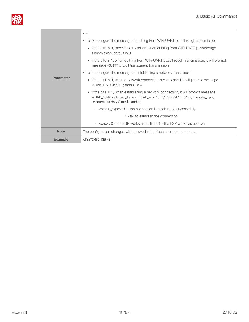

|                | $\langle n \rangle$ :                                                                                                                                                                                                                                          |  |  |
|----------------|----------------------------------------------------------------------------------------------------------------------------------------------------------------------------------------------------------------------------------------------------------------|--|--|
|                | bit0: configure the message of quitting from WiFi-UART passthrough transmission                                                                                                                                                                                |  |  |
|                | $\triangleright$ if the bit0 is 0, there is no message when quitting from WiFi-UART passthrough<br>transmission; default is 0                                                                                                                                  |  |  |
|                | $\rightarrow$ if the bit0 is 1, when quitting from WiFi-UART passthrough transmission, it will prompt<br>message +QUITT // Quit transparent transmission                                                                                                       |  |  |
|                | bit1: configure the message of establishing a network transmission                                                                                                                                                                                             |  |  |
| Parameter      | $\triangleright$ if the bit1 is 0, when a network connection is established, it will prompt message<br><link_id>, CONNECT; default is 0</link_id>                                                                                                              |  |  |
|                | if the bit1 is 1, when establishing a network connection, it will prompt message<br>+LINK_CONN: <status_type>,<link_id>,"UDP/TCP/SSL",<c s="">,<remote_ip>,<br/><remote_port>,<local_port>;</local_port></remote_port></remote_ip></c></link_id></status_type> |  |  |
|                | - <status_type> : 0 - the connection is established successfully;</status_type>                                                                                                                                                                                |  |  |
|                | 1 - fail to establish the connection                                                                                                                                                                                                                           |  |  |
|                | $\sim$ <c s=""> : 0 - the ESP works as a client; 1 - the ESP works as a server</c>                                                                                                                                                                             |  |  |
| <b>Note</b>    | The configuration changes will be saved in the flash user parameter area.                                                                                                                                                                                      |  |  |
| <b>Example</b> | AT+SYSMSG_DEF=3                                                                                                                                                                                                                                                |  |  |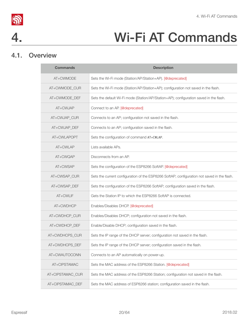



# 4. Wi-Fi AT Commands

### 4.1. Overview

<span id="page-25-1"></span><span id="page-25-0"></span>

| <b>Commands</b>  | <b>Description</b>                                                                          |  |  |
|------------------|---------------------------------------------------------------------------------------------|--|--|
| AT+CWMODE        | Sets the Wi-Fi mode (Station/AP/Station+AP). [@deprecated]                                  |  |  |
| AT+CWMODE_CUR    | Sets the Wi-Fi mode (Station/AP/Station+AP); configuration not saved in the flash.          |  |  |
| AT+CWMODE_DEF    | Sets the default Wi-Fi mode (Station/AP/Station+AP); configuration saved in the flash.      |  |  |
| AT+CWJAP         | Connect to an AP. [@deprecated]                                                             |  |  |
| AT+CWJAP_CUR     | Connects to an AP; configuration not saved in the flash.                                    |  |  |
| AT+CWJAP_DEF     | Connects to an AP; configuration saved in the flash.                                        |  |  |
| AT+CWLAPOPT      | Sets the configuration of command AT+CWLAP.                                                 |  |  |
| AT+CWLAP         | Lists available APs.                                                                        |  |  |
| AT+CWQAP         | Disconnects from an AP.                                                                     |  |  |
| AT+CWSAP         | Sets the configuration of the ESP8266 SoftAP. [@deprecated]                                 |  |  |
| AT+CWSAP_CUR     | Sets the current configuration of the ESP8266 SoftAP; configuration not saved in the flash. |  |  |
| AT+CWSAP_DEF     | Sets the configuration of the ESP8266 SoftAP; configuration saved in the flash.             |  |  |
| AT+CWLIF         | Gets the Station IP to which the ESP8266 SoftAP is connected.                               |  |  |
| AT+CWDHCP        | Enables/Disables DHCP. [@deprecated]                                                        |  |  |
| AT+CWDHCP_CUR    | Enables/Disables DHCP; configuration not saved in the flash.                                |  |  |
| AT+CWDHCP_DEF    | Enable/Disable DHCP; configuration saved in the flash.                                      |  |  |
| AT+CWDHCPS_CUR   | Sets the IP range of the DHCP server; configuration not saved in the flash.                 |  |  |
| AT+CWDHCPS_DEF   | Sets the IP range of the DHCP server; configuration saved in the flash.                     |  |  |
| AT+CWAUTOCONN    | Connects to an AP automatically on power-up.                                                |  |  |
| AT+CIPSTAMAC     | Sets the MAC address of the ESP8266 Station. [@deprecated]                                  |  |  |
| AT+CIPSTAMAC_CUR | Sets the MAC address of the ESP8266 Station; configuration not saved in the flash.          |  |  |
| AT+CIPSTAMAC DEF | Sets the MAC address of ESP8266 station; configuration saved in the flash.                  |  |  |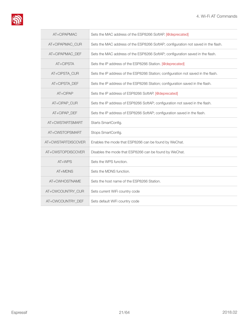

| AT+CIPAPMAC        | Sets the MAC address of the ESP8266 SoftAP. [@deprecated]                         |  |  |
|--------------------|-----------------------------------------------------------------------------------|--|--|
| AT+CIPAPMAC_CUR    | Sets the MAC address of the ESP8266 SoftAP; configuration not saved in the flash. |  |  |
| AT+CIPAPMAC_DEF    | Sets the MAC address of the ESP8266 SoftAP; configuration saved in the flash.     |  |  |
| AT+CIPSTA          | Sets the IP address of the ESP8266 Station. [@deprecated]                         |  |  |
| AT+CIPSTA_CUR      | Sets the IP address of the ESP8266 Station; configuration not saved in the flash. |  |  |
| AT+CIPSTA_DEF      | Sets the IP address of the ESP8266 Station; configuration saved in the flash.     |  |  |
| $AT + CIPAP$       | Sets the IP address of ESP8266 SoftAP. [@deprecated]                              |  |  |
| AT+CIPAP_CUR       | Sets the IP address of ESP8266 SoftAP; configuration not saved in the flash.      |  |  |
| AT+CIPAP_DEF       | Sets the IP address of ESP8266 SoftAP; configuration saved in the flash.          |  |  |
| AT+CWSTARTSMART    | Starts SmartConfig.                                                               |  |  |
| AT+CWSTOPSMART     | Stops SmartConfig.                                                                |  |  |
| AT+CWSTARTDISCOVER | Enables the mode that ESP8266 can be found by WeChat.                             |  |  |
| AT+CWSTOPDISCOVER  | Disables the mode that ESP8266 can be found by WeChat.                            |  |  |
| $AT+WPS$           | Sets the WPS function.                                                            |  |  |
| AT+MDNS            | Sets the MDNS function.                                                           |  |  |
| AT+CWHOSTNAME      | Sets the host name of the ESP8266 Station.                                        |  |  |
| AT+CWCOUNTRY_CUR   | Sets current WiFi country code                                                    |  |  |
| AT+CWCOUNTRY_DEF   | Sets default WiFi country code                                                    |  |  |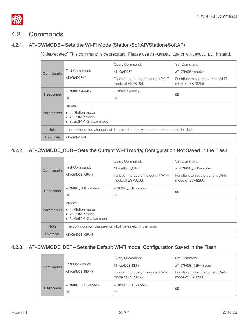

# <span id="page-27-0"></span>4.2. Commands

#### 4.2.1. AT+CWMODE—Sets the Wi-Fi Mode (Station/SoftAP/Station+SoftAP)

<span id="page-27-1"></span>[@deprecated] This command is deprecated. Please use AT+CWMODE\_CUR or AT+CWMODE\_DEF instead.

| <b>Commands</b>   | Test Command:                                                                                   | Query Command:<br>AT+CWMODE?                             | Set Command:<br>$AT+CWMODE=<$ mode>                    |
|-------------------|-------------------------------------------------------------------------------------------------|----------------------------------------------------------|--------------------------------------------------------|
|                   | $AT+CWMODE=?$                                                                                   | Function: to query the current Wi-Fi<br>mode of ESP8266. | Function: to set the current Wi-Fi<br>mode of ESP8266. |
| Response          | $+$ CWMODE : $\leq$ mode $>$                                                                    | $+$ CWMODE : $\leq$ mode $>$                             | 0K                                                     |
|                   | 0K                                                                                              | 0K                                                       |                                                        |
| <b>Parameters</b> | $<$ mode $>$ :<br>$\rightarrow$ 1: Station mode<br>▶ 2: SoftAP mode<br>▶ 3: SoftAP+Station mode |                                                          |                                                        |
| <b>Note</b>       | The configuration changes will be saved in the system parameter area in the flash.              |                                                          |                                                        |
| <b>Example</b>    | $AT+CMMODE = 3$                                                                                 |                                                          |                                                        |

#### 4.2.2. AT+CWMODE\_CUR—Sets the Current Wi-Fi mode; Configuration Not Saved in the Flash

<span id="page-27-2"></span>

| Commands          | Test Command:                                                                                                                                               | Query Command:<br>AT+CWMODE CUR?                         | Set Command:<br>AT+CWMODE CUR= <mode></mode>           |
|-------------------|-------------------------------------------------------------------------------------------------------------------------------------------------------------|----------------------------------------------------------|--------------------------------------------------------|
|                   | $AT+CWMODE$ $CUR=?$                                                                                                                                         | Function: to query the current Wi-Fi<br>mode of ESP8266. | Function: to set the current Wi-Fi<br>mode of ESP8266. |
| Response          | +CWMODE CUR: <mode><br/>0K</mode>                                                                                                                           | +CWMODE CUR: <mode><br/>0K</mode>                        | 0K                                                     |
| <b>Parameters</b> | <mode>:<br/><math>\triangleright</math> 1: Station mode<br/>▶ 2: SoftAP mode<br/>3: SoftAP+Station mode<br/><math display="inline">\mathbf{F}</math></mode> |                                                          |                                                        |
| <b>Note</b>       | The configuration changes will NOT be saved in the flash.                                                                                                   |                                                          |                                                        |
| Example           | AT+CWMODE_CUR=3                                                                                                                                             |                                                          |                                                        |

#### 4.2.3. AT+CWMODE\_DEF—Sets the Default Wi-Fi mode; Configuration Saved in the Flash

<span id="page-27-3"></span>

|  | <b>Commands</b> |                            | Query Command:                                           | Set Command:                                           |
|--|-----------------|----------------------------|----------------------------------------------------------|--------------------------------------------------------|
|  |                 | Test Command:              | AT+CWMODE DEF?                                           | AT+CWMODE_DEF= <mode></mode>                           |
|  |                 | $AT+CWMODE$ $DEF = ?$      | Function: to query the current Wi-Fi<br>mode of ESP8266. | Function: to set the current Wi-Fi<br>mode of ESP8266. |
|  | Response        | +CWMODE_DEF: <mode></mode> | +CWMODE_DEF: <mode></mode>                               | 0K                                                     |
|  |                 | 0K                         | 0K                                                       |                                                        |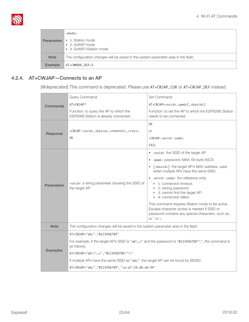

| <b>Parameters</b> | <mode>:<br/>1: Station mode<br/>▶ 2: SoftAP mode<br/>▶ 3: SoftAP+Station mode</mode> |
|-------------------|--------------------------------------------------------------------------------------|
| <b>Note</b>       | The configuration changes will be saved in the system parameter area in the flash.   |
| Example           | AT+CWMODE DEF=3                                                                      |

#### 4.2.4. AT+CWJAP—Connects to an AP

<span id="page-28-0"></span>[@deprecated] This command is deprecated. Please use AT+CWJAP\_CUR or AT+CWJAP\_DEF instead.

|                   | Query Command:                                                                                                     | Set Command:                                                                                       |  |
|-------------------|--------------------------------------------------------------------------------------------------------------------|----------------------------------------------------------------------------------------------------|--|
| Commands          | $AT+CWJAP?$                                                                                                        | AT+CWJAP= <ssid>,<pwd>[,<br/>bssid&gt;]</pwd></ssid>                                               |  |
|                   | Function: to query the AP to which the<br>ESP8266 Station is already connected.                                    | Function: to set the AP to which the ESP8266 Station<br>needs to be connected.                     |  |
|                   |                                                                                                                    | 0K                                                                                                 |  |
| Response          | +CWJAP: <ssid>,<bssid>,<channel>,<rssi></rssi></channel></bssid></ssid>                                            | <b>or</b>                                                                                          |  |
|                   | 0K                                                                                                                 | +CWJAP: <error code=""></error>                                                                    |  |
|                   |                                                                                                                    | FAIL                                                                                               |  |
|                   |                                                                                                                    | • <ssid>: the SSID of the target AP.</ssid>                                                        |  |
|                   |                                                                                                                    | <pwd>: password, MAX: 64-byte ASCII.<br/><math display="inline">\bullet</math></pwd>               |  |
|                   | <ssid>: a string parameter showing the SSID of<br/>the target AP.</ssid>                                           | [ <bssid>]: the target AP's MAC address, used<br/>when multiple APs have the same SSID.</bssid>    |  |
|                   |                                                                                                                    | • <error code="">: (for reference only)</error>                                                    |  |
| <b>Parameters</b> |                                                                                                                    | 1: connection timeout.<br>> 2: wrong password.                                                     |  |
|                   |                                                                                                                    | > 3: cannot find the target AP.<br>▶ 4: connection failed.                                         |  |
|                   |                                                                                                                    | This command requires Station mode to be active.                                                   |  |
|                   |                                                                                                                    | Escape character syntax is needed if SSID or<br>password contains any special characters, such as, |  |
|                   |                                                                                                                    | or " or $\backslash$ .                                                                             |  |
| <b>Note</b>       | The configuration changes will be saved in the system parameter area in the flash.                                 |                                                                                                    |  |
|                   | AT+CWJAP="abc", "0123456789"                                                                                       |                                                                                                    |  |
| <b>Examples</b>   | For example, if the target AP's SSID is "ab\, c" and the password is "0123456789"\", the command is<br>as follows: |                                                                                                    |  |
|                   | AT+CWJAP="ab\\\,c","0123456789\"\\"                                                                                |                                                                                                    |  |
|                   | If multiple APs have the same SSID as "abc", the target AP can be found by BSSID:                                  |                                                                                                    |  |
|                   | AT+CWJAP="abc", "0123456789", "ca:d7:19:d8:a6:44"                                                                  |                                                                                                    |  |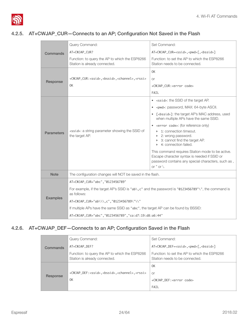

#### 4.2.5. AT+CWJAP\_CUR—Connects to an AP; Configuration Not Saved in the Flash

<span id="page-29-0"></span>

|                   | Query Command:                                                                                                     | Set Command:                                                                                       |  |
|-------------------|--------------------------------------------------------------------------------------------------------------------|----------------------------------------------------------------------------------------------------|--|
| <b>Commands</b>   | AT+CWJAP_CUR?                                                                                                      | AT+CWJAP_CUR= <ssid>,<pwd>[,<br/>bssid&gt;]</pwd></ssid>                                           |  |
|                   | Function: to query the AP to which the ESP8266<br>Station is already connected.                                    | Function: to set the AP to which the ESP8266<br>Station needs to be connected.                     |  |
|                   |                                                                                                                    | 0K                                                                                                 |  |
| Response          | +CWJAP_CUR: <ssid>,<bssid>,<channel>,<rssi></rssi></channel></bssid></ssid>                                        | or                                                                                                 |  |
|                   | 0K                                                                                                                 | +CWJAP_CUR: <error code=""></error>                                                                |  |
|                   |                                                                                                                    | FAIL                                                                                               |  |
|                   |                                                                                                                    | • <ssid>: the SSID of the target AP.</ssid>                                                        |  |
|                   |                                                                                                                    | <pwd>: password, MAX: 64-byte ASCII.<br/><math display="inline">\bullet</math></pwd>               |  |
|                   | <ssid>: a string parameter showing the SSID of<br/>the target AP.</ssid>                                           | [ <bssid>]: the target AP's MAC address, used<br/>when multiple APs have the same SSID.</bssid>    |  |
|                   |                                                                                                                    | • <error code="">: (for reference only)</error>                                                    |  |
| <b>Parameters</b> |                                                                                                                    | $\triangleright$ 1: connection timeout.<br>> 2: wrong password.                                    |  |
|                   |                                                                                                                    | 3: cannot find the target AP.<br>4: connection failed.<br>Þ.                                       |  |
|                   |                                                                                                                    | This command requires Station mode to be active.                                                   |  |
|                   |                                                                                                                    | Escape character syntax is needed if SSID or<br>password contains any special characters, such as, |  |
| <b>Note</b>       |                                                                                                                    | or " or $\backslash$ .                                                                             |  |
|                   | The configuration changes will NOT be saved in the flash.                                                          |                                                                                                    |  |
|                   | AT+CWJAP_CUR="abc", "0123456789"                                                                                   |                                                                                                    |  |
|                   | For example, if the target AP's SSID is "ab\, c" and the password is "0123456789"\", the command is<br>as follows: |                                                                                                    |  |
| <b>Examples</b>   | AT+CWJAP_CUR="ab\\\, c", "0123456789\"\\"                                                                          |                                                                                                    |  |
|                   | If multiple APs have the same SSID as "abc", the target AP can be found by BSSID:                                  |                                                                                                    |  |
|                   | AT+CWJAP_CUR="abc", "0123456789", "ca:d7:19:d8:a6:44"                                                              |                                                                                                    |  |

#### 4.2.6. AT+CWJAP\_DEF—Connects to an AP; Configuration Saved in the Flash

<span id="page-29-1"></span>

| Commands | Query Command:                                                                  | Set Command:                                                                   |
|----------|---------------------------------------------------------------------------------|--------------------------------------------------------------------------------|
|          | AT+CWJAP_DEF?                                                                   | AT+CWJAP_DEF= <ssid>,<pwd>[,<br/>bssid&gt;]</pwd></ssid>                       |
|          | Function: to query the AP to which the ESP8266<br>Station is already connected. | Function: to set the AP to which the ESP8266<br>Station needs to be connected. |
|          |                                                                                 | 0K                                                                             |
| Response | +CWJAP_DEF: <ssid>,<bssid>,<channel>,<rssi></rssi></channel></bssid></ssid>     | 0r                                                                             |
|          | 0K                                                                              | +CWJAP_DEF: <error code=""></error>                                            |
|          |                                                                                 | FAIL                                                                           |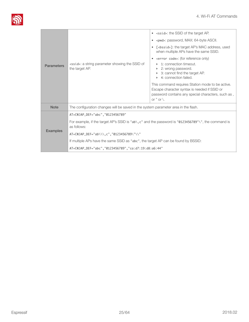

| <b>Parameters</b> | <ssid>: a string parameter showing the SSID of<br/>the target AP.</ssid>                                                                                                                                                                                                                                                                                | $\bullet$ <ssid>: the SSID of the target AP.<br/><pwd>: password, MAX: 64-byte ASCII.<br/><math display="inline">\bullet</math><br/>[<bssid>]: the target AP's MAC address, used<br/>when multiple APs have the same SSID.<br/><error code="">: (for reference only)<br/>1: connection timeout.<br/>2: wrong password.<br/>3: cannot find the target AP.<br/>4: connection failed.<br/>Þ.<br/>This command requires Station mode to be active.<br/>Escape character syntax is needed if SSID or<br/>password contains any special characters, such as,<br/>or <math>"</math> or <math>\backslash</math>.</error></bssid></pwd></ssid> |
|-------------------|---------------------------------------------------------------------------------------------------------------------------------------------------------------------------------------------------------------------------------------------------------------------------------------------------------------------------------------------------------|---------------------------------------------------------------------------------------------------------------------------------------------------------------------------------------------------------------------------------------------------------------------------------------------------------------------------------------------------------------------------------------------------------------------------------------------------------------------------------------------------------------------------------------------------------------------------------------------------------------------------------------|
| <b>Note</b>       | The configuration changes will be saved in the system parameter area in the flash.                                                                                                                                                                                                                                                                      |                                                                                                                                                                                                                                                                                                                                                                                                                                                                                                                                                                                                                                       |
| <b>Examples</b>   | AT+CWJAP_DEF="abc", "0123456789"<br>For example, if the target AP's SSID is " $ab\lambda$ , c" and the password is "0123456789"\", the command is<br>as follows:<br>AT+CWJAP_DEF="ab\\\,c","0123456789\"\\"<br>If multiple APs have the same SSID as "abc", the target AP can be found by BSSID:<br>AT+CWJAP_DEF="abc","0123456789","ca:d7:19:d8:a6:44" |                                                                                                                                                                                                                                                                                                                                                                                                                                                                                                                                                                                                                                       |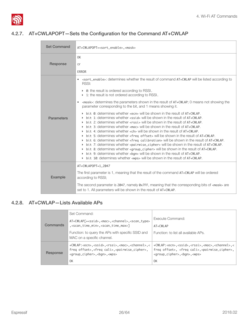

#### 4.2.7. AT+CWLAPOPT—Sets the Configuration for the Command AT+CWLAP

<span id="page-31-0"></span>

| <b>Set Command</b> | AT+CWLAPOPT= <sort_enable>,<mask></mask></sort_enable>                                                                                                                                                                                                                                                                                                                                                                                                                                                                                                                                                                                                                                                                                                                                                                                                                                                                                                                                                                                                                                                                                                                                                                                                                                                                                                                                                                                                                                                                                                                                                        |
|--------------------|---------------------------------------------------------------------------------------------------------------------------------------------------------------------------------------------------------------------------------------------------------------------------------------------------------------------------------------------------------------------------------------------------------------------------------------------------------------------------------------------------------------------------------------------------------------------------------------------------------------------------------------------------------------------------------------------------------------------------------------------------------------------------------------------------------------------------------------------------------------------------------------------------------------------------------------------------------------------------------------------------------------------------------------------------------------------------------------------------------------------------------------------------------------------------------------------------------------------------------------------------------------------------------------------------------------------------------------------------------------------------------------------------------------------------------------------------------------------------------------------------------------------------------------------------------------------------------------------------------------|
| Response           | 0 <sub>K</sub><br>or<br>ERROR                                                                                                                                                                                                                                                                                                                                                                                                                                                                                                                                                                                                                                                                                                                                                                                                                                                                                                                                                                                                                                                                                                                                                                                                                                                                                                                                                                                                                                                                                                                                                                                 |
| <b>Parameters</b>  | • <sort_enable>: determines whether the result of command AT+CWLAP will be listed according to<br/>RSSI:<br/><math>\triangleright</math> 0: the result is ordered according to RSSI.<br/>▶ 1: the result is not ordered according to RSSI.<br/><mask>: determines the parameters shown in the result of AT+CWLAP; 0 means not showing the<br/>parameter corresponding to the bit, and 1 means showing it.<br/>bit <math>\theta</math>: determines whether <math>\le</math>ecn&gt; will be shown in the result of <math>AT</math>+CWLAP.<br/>bit 1: determines whether <ssid> will be shown in the result of AT+CWLAP.<br/>bit 2: determines whether <math>\langle</math>rssi<math>\rangle</math> will be shown in the result of <math>AT+CWLAP</math>.<br/>bit 3: determines whether <math>\zeta</math> mac will be shown in the result of <math>AT + CWLAP</math>.<br/>Þ.<br/>bit 4: determines whether <ch> will be shown in the result of AT+CWLAP.<br/>bit 5: determines whether <freq offset=""> will be shown in the result of AT+CWLAP.<br/>bit 6: determines whether <freq calibration=""> will be shown in the result of AT+CWLAP.<br/>Þ.<br/>bit 7: determines whether <pairwise_cipher> will be shown in the result of AT+CWLAP.<br/>Þ.<br/>bit 8: determines whether <group_cipher> will be shown in the result of AT+CWLAP.<br/>Þ.<br/>bit 9: determines whether <bgn> will be shown in the result of AT+CWLAP.<br/>Þ.<br/>bit 10: determines whether <wps> will be shown in the result of AT+CWLAP.</wps></bgn></group_cipher></pairwise_cipher></freq></freq></ch></ssid></mask></sort_enable> |
| Example            | AT+CWLAPOPT=1,2047<br>The first parameter is 1, meaning that the result of the command AT+CWLAP will be ordered<br>according to RSSI;<br>The second parameter is 2047, namely 0x7FF, meaning that the corresponding bits of <mask> are<br/>set to 1. All parameters will be shown in the result of AT+CWLAP.</mask>                                                                                                                                                                                                                                                                                                                                                                                                                                                                                                                                                                                                                                                                                                                                                                                                                                                                                                                                                                                                                                                                                                                                                                                                                                                                                           |

#### 4.2.8. AT+CWLAP—Lists Available APs

<span id="page-31-1"></span>

|          | Set Command:                                                                                                                                                                                                                   |                                                                                                                                                                                                                                 |
|----------|--------------------------------------------------------------------------------------------------------------------------------------------------------------------------------------------------------------------------------|---------------------------------------------------------------------------------------------------------------------------------------------------------------------------------------------------------------------------------|
|          | AT+CWLAP[= <ssid>,<mac>,<channel>,<scan_type></scan_type></channel></mac></ssid>                                                                                                                                               | Execute Command:                                                                                                                                                                                                                |
| Commands | , <scan_time_min>, <scan_time_max>]</scan_time_max></scan_time_min>                                                                                                                                                            | AT+CWLAP                                                                                                                                                                                                                        |
|          | Function: to query the APs with specific SSID and<br>MAC on a specific channel.                                                                                                                                                | Function: to list all available APs.                                                                                                                                                                                            |
|          |                                                                                                                                                                                                                                |                                                                                                                                                                                                                                 |
| Response | +CWLAP: <ecn>,<ssid>,<rssi>,<mac>,<channel>,&lt;<br/>freq offset&gt;,<freq cali="">,<pairwise_cipher>,<br/><group_cipher>,<br/>bgn&gt;,<wps></wps></group_cipher></pairwise_cipher></freq></channel></mac></rssi></ssid></ecn> | +CWLAP: <ecn>,<ssid>,<rssi>,<mac>,<channel>,&lt;<br/>freq offset&gt;, <freq cali="">,<pairwise_cipher>,<br/><group_cipher>,<br/>bgn&gt;,<wps></wps></group_cipher></pairwise_cipher></freq></channel></mac></rssi></ssid></ecn> |
|          | 0K                                                                                                                                                                                                                             | 0K                                                                                                                                                                                                                              |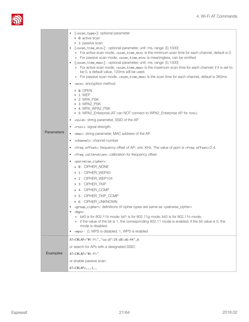

| <b>Parameters</b> | [ <scan_type>]: optional parameter<br/>▶ 0: active scan<br/>▶ 1: passive scan<br/>[<scan_time_min>]: optional parameter, unit: ms, range: [0,1500]<br/>▶ For active scan mode, <scan_time_min> is the minimum scan time for each channel, default is 0<br/>For passive scan mode, <scan_time_min> is meaningless, can be omitted<br/>[<scan_time_max>]: optional parameter, unit: ms, range: [0,1500]<br/>For active scan mode, <scan_time_max> is the maximum scan time for each channel; if it is set to<br/>be 0, a default value, 120ms will be used.<br/>For passive scan mode, <scan_time_max> is the scan time for each channel, default is 360ms<br/><ecn>: encryption method.<br/><math display="inline">\bullet</math><br/>▶ 0: OPEN<br/>1: WEP<br/>▶ 2: WPA_PSK<br/>▶ 3: WPA2_PSK<br/>▶ 4: WPA WPA2 PSK<br/>▶ 5: WPA2_Enterprise (AT can NOT connect to WPA2_Enterprise AP for now.)<br/><ssid>: string parameter, SSID of the AP.<br/>٠<br/><rssi>: signal strength.<br/><mac>: string parameter, MAC address of the AP.<br/><channel>: channel number<br/><math display="inline">\bullet</math><br/><freq offset="">: frequency offset of AP; unit: KHz. The value of ppm is <freq offset="">/2.4.<br/><freq calibration="">: calibration for frequency offset.<br/><math display="inline">\bullet</math><br/><pairwise_cipher>:<br/><math display="inline">\bullet</math><br/>▶ 0: CIPHER_NONE<br/>▶ 1: CIPHER_WEP40<br/>&gt; 2: CIPHER_WEP104<br/>&gt; 3: CIPHER_TKIP<br/>▶ 4: CIPHER_CCMP<br/>▶ 5: CIPHER_TKIP_CCMP<br/>▶ 6: CIPHER_UNKNOWN<br/><group_cipher>: definitions of cipher types are same as <pairwise_cipher><br/><bgn>:<br/>bit0 is for 802.11b mode; bit1 is for 802.11g mode; bit2 is for 802.11n mode;<br/>if the value of the bit is 1, the corresponding 802.11 mode is enabled; if the bit value is 0, the<br/>Þ.<br/>mode is disabled.<br/>• <wps>: 0, WPS is disabled; 1, WPS is enabled</wps></bgn></pairwise_cipher></group_cipher></pairwise_cipher></freq></freq></freq></channel></mac></rssi></ssid></ecn></scan_time_max></scan_time_max></scan_time_max></scan_time_min></scan_time_min></scan_time_min></scan_type> |
|-------------------|-------------------------------------------------------------------------------------------------------------------------------------------------------------------------------------------------------------------------------------------------------------------------------------------------------------------------------------------------------------------------------------------------------------------------------------------------------------------------------------------------------------------------------------------------------------------------------------------------------------------------------------------------------------------------------------------------------------------------------------------------------------------------------------------------------------------------------------------------------------------------------------------------------------------------------------------------------------------------------------------------------------------------------------------------------------------------------------------------------------------------------------------------------------------------------------------------------------------------------------------------------------------------------------------------------------------------------------------------------------------------------------------------------------------------------------------------------------------------------------------------------------------------------------------------------------------------------------------------------------------------------------------------------------------------------------------------------------------------------------------------------------------------------------------------------------------------------------------------------------------------------------------------------------------------------------------------------------------------------------------------------------------------------------------------------------------------------------------------------------------------------------------------------------------|
| <b>Examples</b>   | AT+CWLAP="Wi-Fi","ca:d7:19:d8:a6:44",6<br>or search for APs with a designated SSID:<br>AT+CWLAP="Wi-Fi"<br>or enable passive scan:<br>$AT+CWLAP=, 1, 1, 1$                                                                                                                                                                                                                                                                                                                                                                                                                                                                                                                                                                                                                                                                                                                                                                                                                                                                                                                                                                                                                                                                                                                                                                                                                                                                                                                                                                                                                                                                                                                                                                                                                                                                                                                                                                                                                                                                                                                                                                                                        |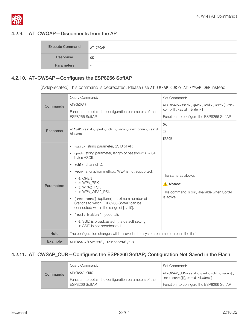

#### 4.2.9. AT+CWQAP—Disconnects from the AP

<span id="page-33-0"></span>

| <b>Execute Command</b> | AT+CWQAP |
|------------------------|----------|
| Response               | 0K       |
| <b>Parameters</b>      | $\sim$   |

#### 4.2.10. AT+CWSAP—Configures the ESP8266 SoftAP

<span id="page-33-1"></span>[@deprecated] This command is deprecated. Please use AT+CWSAP\_CUR or AT+CWSAP\_DEF instead.

|                   | Query Command:                                                                                              | Set Command:                                                                     |  |
|-------------------|-------------------------------------------------------------------------------------------------------------|----------------------------------------------------------------------------------|--|
| Commands          | AT+CWSAP?                                                                                                   | AT+CWSAP= <ssid>,<pwd>,<chl>,<ecn>[,<max< td=""></max<></ecn></chl></pwd></ssid> |  |
|                   | Function: to obtain the configuration parameters of the                                                     | conn>][, <ssid hidden="">]</ssid>                                                |  |
|                   | ESP8266 SoftAP.                                                                                             | Function: to configure the ESP8266 SoftAP.                                       |  |
|                   |                                                                                                             | 0K                                                                               |  |
| Response          | +CWSAP: <ssid>,<pwd>,<chl>,<ecn>,<max conn="">,<ssid<br>hidden&gt;</ssid<br></max></ecn></chl></pwd></ssid> | O <sub>r</sub>                                                                   |  |
|                   |                                                                                                             | <b>ERROR</b>                                                                     |  |
|                   | • <ssid>: string parameter, SSID of AP.</ssid>                                                              |                                                                                  |  |
|                   | • $\lt$ pwd>: string parameter, length of password: $8 \approx 64$<br>bytes ASCII.                          |                                                                                  |  |
|                   | $\bullet$ <chl>: channel ID.</chl>                                                                          |                                                                                  |  |
|                   | • <ecn>: encryption method; WEP is not supported.</ecn>                                                     | The same as above.                                                               |  |
|                   | ▶ 0: OPEN                                                                                                   |                                                                                  |  |
| <b>Parameters</b> | ▶ 2: WPA PSK<br>▶ 3: WPA2_PSK                                                                               | A Notice:                                                                        |  |
|                   | ▶ 4: WPA_WPA2_PSK                                                                                           | This command is only available when SoftAP<br>is active.                         |  |
|                   | • [ <max conn="">] (optional): maximum number of<br/>Stations to which ESP8266 SoftAP can be</max>          |                                                                                  |  |
|                   | connected; within the range of [1, 10].                                                                     |                                                                                  |  |
|                   | [ <ssid hidden="">] (optional):<br/><math display="inline">\bullet</math></ssid>                            |                                                                                  |  |
|                   | • 0: SSID is broadcasted. (the default setting)<br>▶ 1: SSID is not broadcasted.                            |                                                                                  |  |
| <b>Note</b>       | The configuration changes will be saved in the system parameter area in the flash.                          |                                                                                  |  |
| <b>Example</b>    | AT+CWSAP="ESP8266", "1234567890", 5,3                                                                       |                                                                                  |  |

#### 4.2.11. AT+CWSAP\_CUR—Configures the ESP8266 SoftAP; Configuration Not Saved in the Flash

<span id="page-33-2"></span>

|  |          | Query Command:                                                           | Set Command:                                                                                                          |
|--|----------|--------------------------------------------------------------------------|-----------------------------------------------------------------------------------------------------------------------|
|  | Commands | AT+CWSAP CUR?<br>Function: to obtain the configuration parameters of the | AT+CWSAP_CUR= <ssid>,<pwd>,<chl>,<ecn>[,<br/><max conn="">][, <ssid hidden="">]</ssid></max></ecn></chl></pwd></ssid> |
|  |          | ESP8266 SoftAP.                                                          | Function: to configure the ESP8266 SoftAP.                                                                            |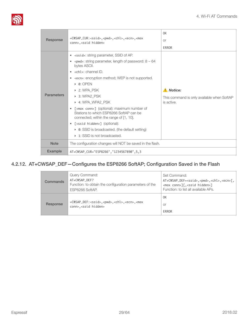

|                   |                                                                                                                                                                                                                                                                                                                                                                                                                                               | 0K                                         |
|-------------------|-----------------------------------------------------------------------------------------------------------------------------------------------------------------------------------------------------------------------------------------------------------------------------------------------------------------------------------------------------------------------------------------------------------------------------------------------|--------------------------------------------|
| Response          | +CWSAP_CUR: <ssid>,<pwd>,<chl>,<ecn>,<max<br>conn&gt;, <ssid hidden=""></ssid></max<br></ecn></chl></pwd></ssid>                                                                                                                                                                                                                                                                                                                              | <b>or</b>                                  |
|                   |                                                                                                                                                                                                                                                                                                                                                                                                                                               | <b>ERROR</b>                               |
|                   | • <ssid>: string parameter, SSID of AP.</ssid>                                                                                                                                                                                                                                                                                                                                                                                                |                                            |
|                   | $\epsilon$ / $\epsilon$ / $\epsilon$ / $\epsilon$ / $\epsilon$ / $\epsilon$ / $\epsilon$ / $\epsilon$ / $\epsilon$ / $\epsilon$ / $\epsilon$ / $\epsilon$ / $\epsilon$ / $\epsilon$ / $\epsilon$ / $\epsilon$ / $\epsilon$ / $\epsilon$ / $\epsilon$ / $\epsilon$ / $\epsilon$ / $\epsilon$ / $\epsilon$ / $\epsilon$ / $\epsilon$ / $\epsilon$ / $\epsilon$ / $\epsilon$ / $\epsilon$ / $\epsilon$ / $\epsilon$ / $\epsilon$<br>bytes ASCII. |                                            |
|                   | $\bullet$ <chl>: channel ID.</chl>                                                                                                                                                                                                                                                                                                                                                                                                            |                                            |
|                   | • <ecn>: encryption method; WEP is not supported.</ecn>                                                                                                                                                                                                                                                                                                                                                                                       |                                            |
|                   | ▶ 0: OPEN                                                                                                                                                                                                                                                                                                                                                                                                                                     |                                            |
|                   | ▶ 2: WPA_PSK                                                                                                                                                                                                                                                                                                                                                                                                                                  | A Notice:                                  |
| <b>Parameters</b> | ▶ 3: WPA2_PSK                                                                                                                                                                                                                                                                                                                                                                                                                                 | This command is only available when SoftAP |
|                   | ▶ 4: WPA_WPA2_PSK                                                                                                                                                                                                                                                                                                                                                                                                                             | is active.                                 |
|                   | [ <max conn="">] (optional): maximum number of<br/>Stations to which ESP8266 SoftAP can be<br/>connected; within the range of [1, 10].</max>                                                                                                                                                                                                                                                                                                  |                                            |
|                   | [ <ssid hidden="">] (optional):</ssid>                                                                                                                                                                                                                                                                                                                                                                                                        |                                            |
|                   | • 0: SSID is broadcasted. (the default setting)                                                                                                                                                                                                                                                                                                                                                                                               |                                            |
|                   | $\triangleright$ 1: SSID is not broadcasted.                                                                                                                                                                                                                                                                                                                                                                                                  |                                            |
| <b>Note</b>       | The configuration changes will NOT be saved in the flash.                                                                                                                                                                                                                                                                                                                                                                                     |                                            |
| <b>Example</b>    | AT+CWSAP_CUR="ESP8266", "1234567890", 5,3                                                                                                                                                                                                                                                                                                                                                                                                     |                                            |

#### 4.2.12. AT+CWSAP\_DEF—Configures the ESP8266 SoftAP; Configuration Saved in the Flash

<span id="page-34-0"></span>

| <b>Commands</b> | Query Command:<br>AT+CWSAP_DEF?<br>Function: to obtain the configuration parameters of the<br>ESP8266 SoftAP.    | Set Command:<br>AT+CWSAP_DEF= <ssid>,<pwd>,<chl>,<ecn>[,  <br/><max conn="">][,<ssid hidden="">]<br/>Function: to list all available APs.</ssid></max></ecn></chl></pwd></ssid> |
|-----------------|------------------------------------------------------------------------------------------------------------------|---------------------------------------------------------------------------------------------------------------------------------------------------------------------------------|
| Response        | +CWSAP_DEF: <ssid>,<pwd>,<chl>,<ecn>,<max<br>conn&gt;, <ssid hidden=""></ssid></max<br></ecn></chl></pwd></ssid> | 0K<br><b>or</b><br>ERROR                                                                                                                                                        |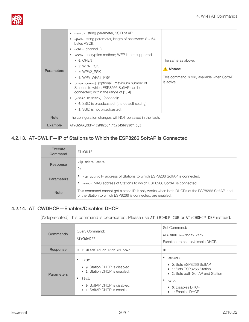

| <b>Parameters</b> | • <ssid>: string parameter, SSID of AP.<br/><math>\epsilon</math> -pwd&gt;: string parameter, length of password: <math>8 \sim 64</math><br/><math display="inline">\bullet</math><br/>bytes ASCII.<br/><math>\bullet</math> <chl>: channel ID.<br/>• <ecn>: encryption method; WEP is not supported.<br/><math>\triangleright</math> 0: OPEN<br/>▶ 2: WPA_PSK<br/>▶ 3: WPA2 PSK<br/>▶ 4: WPA WPA2 PSK<br/><math>\lceil</math> <max conn=""><math>\rceil</math> (optional): maximum number of<br/><math display="inline">\bullet</math><br/>Stations to which ESP8266 SoftAP can be<br/>connected; within the range of [1, 4].<br/>• [<ssid hidden="">] (optional):<br/><math>\triangleright</math> 0: SSID is broadcasted. (the default setting)<br/><math>\triangleright</math> 1: SSID is not broadcasted.</ssid></max></ecn></chl></ssid> | The same as above.<br>Notice:<br>This command is only available when SoftAP<br>is active. |
|-------------------|-----------------------------------------------------------------------------------------------------------------------------------------------------------------------------------------------------------------------------------------------------------------------------------------------------------------------------------------------------------------------------------------------------------------------------------------------------------------------------------------------------------------------------------------------------------------------------------------------------------------------------------------------------------------------------------------------------------------------------------------------------------------------------------------------------------------------------------------------|-------------------------------------------------------------------------------------------|
| <b>Note</b>       | The configuration changes will NOT be saved in the flash.                                                                                                                                                                                                                                                                                                                                                                                                                                                                                                                                                                                                                                                                                                                                                                                     |                                                                                           |
| <b>Example</b>    | AT+CWSAP_DEF="ESP8266", "1234567890", 5, 3                                                                                                                                                                                                                                                                                                                                                                                                                                                                                                                                                                                                                                                                                                                                                                                                    |                                                                                           |
|                   |                                                                                                                                                                                                                                                                                                                                                                                                                                                                                                                                                                                                                                                                                                                                                                                                                                               |                                                                                           |

#### 4.2.13. AT+CWLIF—IP of Stations to Which the ESP8266 SoftAP is Connected

<span id="page-35-0"></span>

| Execute<br>Command | $AT+CWI$ TF                                                                                                                                                 |
|--------------------|-------------------------------------------------------------------------------------------------------------------------------------------------------------|
| Response           | $<$ ip addr>, $<$ mac>                                                                                                                                      |
|                    | 0K                                                                                                                                                          |
| <b>Parameters</b>  | <ip addr="">: IP address of Stations to which ESP8266 SoftAP is connected.</ip>                                                                             |
|                    | <mac>: MAC address of Stations to which ESP8266 SoftAP is connected.</mac>                                                                                  |
| <b>Note</b>        | This command cannot get a static IP. It only works when both DHCPs of the ESP8266 SoftAP, and<br>of the Station to which ESP8266 is connected, are enabled. |

#### 4.2.14. AT+CWDHCP—Enables/Disables DHCP

<span id="page-35-1"></span>[@deprecated] This command is deprecated. Please use AT+CWDHCP\_CUR or AT+CWDHCP\_DEF instead.

| Commands          | Query Command:<br>$AT+CWDHCP?$                                                                                                                               | Set Command:<br>AT+CWDHCP=< <mode>,<en><br/>Function: to enable/disable DHCP.</en></mode>                                                                                                                         |
|-------------------|--------------------------------------------------------------------------------------------------------------------------------------------------------------|-------------------------------------------------------------------------------------------------------------------------------------------------------------------------------------------------------------------|
| Response          | DHCP disabled or enabled now?                                                                                                                                | OK                                                                                                                                                                                                                |
| <b>Parameters</b> | Bit0:<br>٠<br>• 0: Station DHCP is disabled.<br>▶ 1: Station DHCP is enabled.<br>Bit1:<br>٠<br>• 0: SoftAP DHCP is disabled.<br>▶ 1: SoftAP DHCP is enabled. | ٠<br><mode>:<br/>▶ 0: Sets ESP8266 SoftAP<br/>▶ 1: Sets ESP8266 Station<br/>▶ 2: Sets both SoftAP and Station<br/>٠<br/><math>\leq</math>en<math>\geq</math>:<br/>▶ 0: Disables DHCP<br/>▶ 1: Enables DHCP</mode> |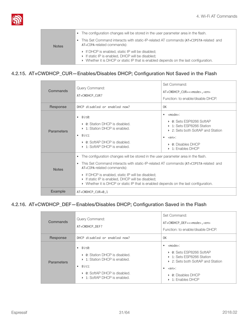

|              | • The configuration changes will be stored in the user parameter area in the flash.<br>This Set Command interacts with static-IP-related AT commands (AT+CIPSTA-related and<br>AT+CIPA-related commands):     |
|--------------|---------------------------------------------------------------------------------------------------------------------------------------------------------------------------------------------------------------|
| <b>Notes</b> | • If DHCP is enabled, static IP will be disabled;<br>$\triangleright$ If static IP is enabled, DHCP will be disabled;<br>• Whether it is DHCP or static IP that is enabled depends on the last configuration. |

#### 4.2.15. AT+CWDHCP\_CUR—Enables/Disables DHCP; Configuration Not Saved in the Flash

<span id="page-36-0"></span>

| Commands          | Query Command:<br>AT+CWDHCP CUR?                                                                                                                                                                                                                                                                                                                                                                                   | Set Command:<br>AT+CWDHCP_CUR=< <mode>,<en><br/>Function: to enable/disable DHCP.</en></mode>                                                                                                                                                                            |
|-------------------|--------------------------------------------------------------------------------------------------------------------------------------------------------------------------------------------------------------------------------------------------------------------------------------------------------------------------------------------------------------------------------------------------------------------|--------------------------------------------------------------------------------------------------------------------------------------------------------------------------------------------------------------------------------------------------------------------------|
| Response          | DHCP disabled or enabled now?                                                                                                                                                                                                                                                                                                                                                                                      | 0K                                                                                                                                                                                                                                                                       |
| <b>Parameters</b> | Bit0:<br>• 0: Station DHCP is disabled.<br>▶ 1: Station DHCP is enabled.<br>Bit1:<br>$\bullet$<br>$\triangleright$ 0: SoftAP DHCP is disabled.<br>$\triangleright$ 1: SoftAP DHCP is enabled.                                                                                                                                                                                                                      | <mode>:<br/><math display="block">\bullet</math><br/>▶ 0: Sets ESP8266 SoftAP<br/>▶ 1: Sets ESP8266 Station<br/>▶ 2: Sets both SoftAP and Station<br/><en>:<br/><math>\triangleright</math> 0: Disables DHCP<br/><math>\triangleright</math> 1: Enables DHCP</en></mode> |
| <b>Notes</b>      | The configuration changes will be stored in the user parameter area in the flash.<br>$\bullet$<br>This Set Command interacts with static-IP-related AT commands (AT+CIPSTA-related and<br>AT+CIPA-related commands):<br>If DHCP is enabled, static IP will be disabled;<br>If static IP is enabled, DHCP will be disabled;<br>• Whether it is DHCP or static IP that is enabled depends on the last configuration. |                                                                                                                                                                                                                                                                          |
| <b>Example</b>    | AT+CWDHCP_CUR=0,1                                                                                                                                                                                                                                                                                                                                                                                                  |                                                                                                                                                                                                                                                                          |

#### 4.2.16. AT+CWDHCP\_DEF—Enables/Disables DHCP; Configuration Saved in the Flash

<span id="page-36-1"></span>

| Commands          | Query Command:<br>AT+CWDHCP DEF?                                                                                                                                                            | Set Command:<br>AT+CWDHCP_DEF=< <mode>,<en><br/>Function: to enable/disable DHCP.</en></mode>                                                                                                                                    |
|-------------------|---------------------------------------------------------------------------------------------------------------------------------------------------------------------------------------------|----------------------------------------------------------------------------------------------------------------------------------------------------------------------------------------------------------------------------------|
| Response          | DHCP disabled or enabled now?                                                                                                                                                               | 0K                                                                                                                                                                                                                               |
| <b>Parameters</b> | Bit0:<br>$\bullet$<br>• 0: Station DHCP is disabled.<br>▶ 1: Station DHCP is enabled.<br>Bit1:<br>$\bullet$<br>$\triangleright$ 0: SoftAP DHCP is disabled.<br>▶ 1: SoftAP DHCP is enabled. | <mode>:<br/>٠<br/>▶ 0: Sets ESP8266 SoftAP<br/>▶ 1: Sets ESP8266 Station<br/>▶ 2: Sets both SoftAP and Station<br/><math>\bullet</math> <en>:<br/>• 0: Disables DHCP<br/><math>\triangleright</math> 1: Enables DHCP</en></mode> |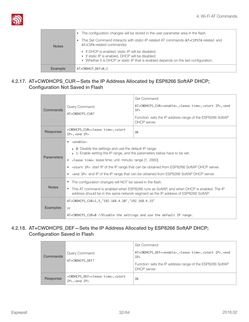

| <b>Notes</b>   | The configuration changes will be stored in the user parameter area in the flash.<br>$\bullet$<br>This Set Command interacts with static-IP-related AT commands (AT+CIPSTA-related and<br>AT+CIPA-related commands): |
|----------------|----------------------------------------------------------------------------------------------------------------------------------------------------------------------------------------------------------------------|
|                | • If DHCP is enabled, static IP will be disabled;<br>If static IP is enabled, DHCP will be disabled;<br>▶ Whether it is DHCP or static IP that is enabled depends on the last configuration.                         |
| <b>Example</b> | $AT+$ CWDHCP_DEF=0,1                                                                                                                                                                                                 |

#### <span id="page-37-0"></span>4.2.17. AT+CWDHCPS\_CUR—Sets the IP Address Allocated by ESP8266 SoftAP DHCP; Configuration Not Saved in Flash

| Commands                                                                                                                                                                                                                                                                                                                                                                                                                                                                                                       | Query Command:<br>AT+CWDHCPS CUR?                                                                                                      | Set Command:<br>AT+CWDHCPS_CUR= <enable>,<lease time="">,<start ip="">,<end<br>IP<br/>Function: sets the IP address range of the ESP8266 SoftAP<br/>DHCP server.</end<br></start></lease></enable> |
|----------------------------------------------------------------------------------------------------------------------------------------------------------------------------------------------------------------------------------------------------------------------------------------------------------------------------------------------------------------------------------------------------------------------------------------------------------------------------------------------------------------|----------------------------------------------------------------------------------------------------------------------------------------|----------------------------------------------------------------------------------------------------------------------------------------------------------------------------------------------------|
| Response                                                                                                                                                                                                                                                                                                                                                                                                                                                                                                       | +CWDHCPS_CUR= <lease time="">,<start<br><math>IP</math>, <end <math="">IP</end></start<br></lease>                                     | 0K                                                                                                                                                                                                 |
| $\bullet$ <enable>:<br/>• 0: Disable the settings and use the default IP range.<br/><math>\rightarrow</math> 1: Enable setting the IP range, and the parameters below have to be set.<br/><b>Parameters</b><br/>• <lease time="">: lease time; unit: minute; range [1, 2880].<br/>• <start ip="">: start IP of the IP range that can be obtained from ESP8266 SoftAP DHCP server.<br/><end ip="">: end IP of the IP range that can be obtained from ESP8266 SoftAP DHCP server.</end></start></lease></enable> |                                                                                                                                        |                                                                                                                                                                                                    |
| • The configuration changes will NOT be saved in the flash.<br><b>Notes</b><br>• This AT command is enabled when ESP8266 runs as SoftAP, and when DHCP is enabled. The IP<br>address should be in the same network segment as the IP address of ESP8266 SoftAP.                                                                                                                                                                                                                                                |                                                                                                                                        |                                                                                                                                                                                                    |
| <b>Examples</b>                                                                                                                                                                                                                                                                                                                                                                                                                                                                                                | AT+CWDHCPS_CUR=1,3,"192.168.4.10","192.168.4.15"<br><b>or</b><br>AT+CWDHCPS_CUR=0 //Disable the settings and use the default IP range. |                                                                                                                                                                                                    |

#### <span id="page-37-1"></span>4.2.18. AT+CWDHCPS\_DEF—Sets the IP Address Allocated by ESP8266 SoftAP DHCP; Configuration Saved in Flash

| Commands | Query Command:<br>AT+CWDHCPS DEF?                                                                  | Set Command:<br>AT+CWDHCPS_DEF= <enable>,<lease time="">,<start ip="">,<end<br>IP<br/>Function: sets the IP address range of the ESP8266 SoftAP<br/>DHCP server.</end<br></start></lease></enable> |
|----------|----------------------------------------------------------------------------------------------------|----------------------------------------------------------------------------------------------------------------------------------------------------------------------------------------------------|
| Response | +CWDHCPS_DEF= <lease time="">,<start<br><math>IP</math>, <end <math="">IP</end></start<br></lease> | 0K                                                                                                                                                                                                 |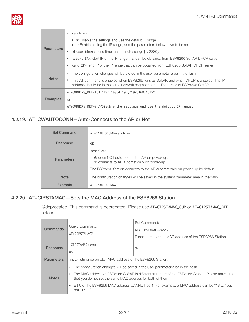

| <b>Parameters</b>                                | <enable>:</enable>                                                                                                                                                             |
|--------------------------------------------------|--------------------------------------------------------------------------------------------------------------------------------------------------------------------------------|
|                                                  | $\triangleright$ 0: Disable the settings and use the default IP range.<br>▶ 1: Enable setting the IP range, and the parameters below have to be set.                           |
|                                                  | <lease time="">: lease time; unit: minute; range [1, 2880].</lease>                                                                                                            |
|                                                  | • < start IP>: start IP of the IP range that can be obtained from ESP8266 SoftAP DHCP server.                                                                                  |
|                                                  | send IP>: end IP of the IP range that can be obtained from ESP8266 SoftAP DHCP server.<br>٠                                                                                    |
| <b>Notes</b>                                     | The configuration changes will be stored in the user parameter area in the flash.                                                                                              |
|                                                  | This AT command is enabled when ESP8266 runs as SoftAP, and when DHCP is enabled. The IP<br>address should be in the same network segment as the IP address of ESP8266 SoftAP. |
| AT+CWDHCPS_DEF=1,3,"192.168.4.10","192.168.4.15" |                                                                                                                                                                                |
| <b>Examples</b>                                  | or                                                                                                                                                                             |
|                                                  | $AT+CWDHCPS_DEF=0$ //Disable the settings and use the default IP range.                                                                                                        |

#### 4.2.19. AT+CWAUTOCONN—Auto-Connects to the AP or Not

<span id="page-38-0"></span>

| <b>Set Command</b> | AT+CWAUTOCONN= <enable></enable>                                                                                                                                                                         |
|--------------------|----------------------------------------------------------------------------------------------------------------------------------------------------------------------------------------------------------|
| Response           | 0K                                                                                                                                                                                                       |
| <b>Parameters</b>  | <enable>:<br/>▶ 0: does NOT auto-connect to AP on power-up.<br/>▶ 1: connects to AP automatically on power-up.<br/>The ESP8266 Station connects to the AP automatically on power-up by default.</enable> |
| <b>Note</b>        | The configuration changes will be saved in the system parameter area in the flash.                                                                                                                       |
| <b>Example</b>     | AT+CWAUTOCONN=1                                                                                                                                                                                          |

#### 4.2.20. AT+CIPSTAMAC—Sets the MAC Address of the ESP8266 Station

<span id="page-38-1"></span>[@deprecated] This command is deprecated. Please use AT+CIPSTAMAC\_CUR or AT+CIPSTAMAC\_DEF instead.

| Commands          | Query Command:<br>AT+CIPSTAMAC?                                                                                                                                 | Set Command:<br>$AT + CIPSTAMAC = Function: to set the MAC address of the ESP8266 Station.$ |
|-------------------|-----------------------------------------------------------------------------------------------------------------------------------------------------------------|---------------------------------------------------------------------------------------------|
| Response          | $+CIPSTAMAC: 0K$                                                                                                                                                | 0K                                                                                          |
| <b>Parameters</b> | <mac>: string parameter, MAC address of the ESP8266 Station.</mac>                                                                                              |                                                                                             |
| <b>Notes</b>      | The configuration changes will be saved in the user parameter area in the flash.                                                                                |                                                                                             |
|                   | The MAC address of ESP8266 SoftAP is different from that of the ESP8266 Station. Please make sure<br>that you do not set the same MAC address for both of them. |                                                                                             |
|                   | Bit 0 of the ESP8266 MAC address CANNOT be 1. For example, a MAC address can be "18" but<br>not "15:".                                                          |                                                                                             |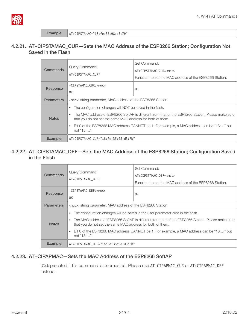

#### <span id="page-39-0"></span>4.2.21. AT+CIPSTAMAC\_CUR—Sets the MAC Address of the ESP8266 Station; Configuration Not Saved in the Flash

| Commands          | Query Command:<br>AT+CIPSTAMAC CUR?                                                                                                                             | Set Command:<br>AT+CIPSTAMAC_CUR= <mac></mac>            |
|-------------------|-----------------------------------------------------------------------------------------------------------------------------------------------------------------|----------------------------------------------------------|
|                   |                                                                                                                                                                 | Function: to set the MAC address of the ESP8266 Station. |
| Response          | +CIPSTAMAC CUR: <mac><br/>0K</mac>                                                                                                                              | 0K                                                       |
| <b>Parameters</b> | <mac>: string parameter, MAC address of the ESP8266 Station.</mac>                                                                                              |                                                          |
| <b>Notes</b>      | The configuration changes will NOT be saved in the flash.                                                                                                       |                                                          |
|                   | The MAC address of ESP8266 SoftAP is different from that of the ESP8266 Station. Please make sure<br>that you do not set the same MAC address for both of them. |                                                          |
|                   | Bit 0 of the ESP8266 MAC address CANNOT be 1. For example, a MAC address can be "18:" but<br>$\bullet$<br>not "15:".                                            |                                                          |
| Example           | AT+CIPSTAMAC_CUR="18:fe:35:98:d3:7b"                                                                                                                            |                                                          |

#### <span id="page-39-1"></span>4.2.22. AT+CIPSTAMAC\_DEF—Sets the MAC Address of the ESP8266 Station; Configuration Saved in the Flash

| Commands          |                                                                                                                                                                              | Set Command:                                             |
|-------------------|------------------------------------------------------------------------------------------------------------------------------------------------------------------------------|----------------------------------------------------------|
|                   | Query Command:<br>AT+CIPSTAMAC DEF?                                                                                                                                          | AT+CIPSTAMAC DEF= <mac></mac>                            |
|                   |                                                                                                                                                                              | Function: to set the MAC address of the ESP8266 Station. |
| Response          | +CIPSTAMAC DEF: <mac></mac>                                                                                                                                                  |                                                          |
|                   | 0K                                                                                                                                                                           | 0K                                                       |
| <b>Parameters</b> | <mac>: string parameter, MAC address of the ESP8266 Station.</mac>                                                                                                           |                                                          |
| <b>Notes</b>      | The configuration changes will be saved in the user parameter area in the flash.<br>$\bullet$                                                                                |                                                          |
|                   | The MAC address of ESP8266 SoftAP is different from that of the ESP8266 Station. Please make sure<br>$\bullet$<br>that you do not set the same MAC address for both of them. |                                                          |
|                   | Bit 0 of the ESP8266 MAC address CANNOT be 1. For example, a MAC address can be "18" but<br>not " $15$ ".                                                                    |                                                          |
| Example           | AT+CIPSTAMAC_DEF="18:fe:35:98:d3:7b"                                                                                                                                         |                                                          |

#### 4.2.23. AT+CIPAPMAC—Sets the MAC Address of the ESP8266 SoftAP

<span id="page-39-2"></span>[@deprecated] This command is deprecated. Please use AT+CIPAPMAC\_CUR or AT+CIPAPMAC\_DEF instead.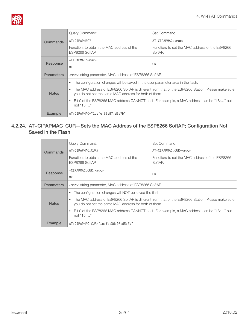

| Commands          | Query Command:                                                                                                                                             | Set Command:                                               |
|-------------------|------------------------------------------------------------------------------------------------------------------------------------------------------------|------------------------------------------------------------|
|                   | AT+CIPAPMAC?                                                                                                                                               | $AT+CIPAPMAC=$                                             |
|                   | Function: to obtain the MAC address of the<br>ESP8266 SoftAP.                                                                                              | Function: to set the MAC address of the ESP8266<br>SoftAP. |
| Response          | $+CIPAPMAC: $                                                                                                                                              | 0K                                                         |
|                   | 0K                                                                                                                                                         |                                                            |
| <b>Parameters</b> | <mac>: string parameter, MAC address of ESP8266 SoftAP.</mac>                                                                                              |                                                            |
| <b>Notes</b>      | The configuration changes will be saved in the user parameter area in the flash.<br>$\bullet$                                                              |                                                            |
|                   | The MAC address of ESP8266 SoftAP is different from that of the ESP8266 Station. Please make sure<br>you do not set the same MAC address for both of them. |                                                            |
|                   | Bit 0 of the ESP8266 MAC address CANNOT be 1. For example, a MAC address can be "18" but<br>$\bullet$<br>not " $15$ ".                                     |                                                            |
| <b>Example</b>    | $AT+CIPAPMAC="1a:fe:36:97:dB:7b"$                                                                                                                          |                                                            |

#### <span id="page-40-0"></span>4.2.24. AT+CIPAPMAC\_CUR—Sets the MAC Address of the ESP8266 SoftAP; Configuration Not Saved in the Flash

| Commands          | Query Command:                                                                                                                                                          | Set Command:                                               |
|-------------------|-------------------------------------------------------------------------------------------------------------------------------------------------------------------------|------------------------------------------------------------|
|                   | AT+CIPAPMAC CUR?                                                                                                                                                        | AT+CIPAPMAC_CUR= <mac></mac>                               |
|                   | Function: to obtain the MAC address of the<br>ESP8266 SoftAP.                                                                                                           | Function: to set the MAC address of the ESP8266<br>SoftAP. |
| Response          | +CIPAPMAC CUR: <mac></mac>                                                                                                                                              | 0K                                                         |
|                   | 0K                                                                                                                                                                      |                                                            |
| <b>Parameters</b> | <mac>: string parameter, MAC address of ESP8266 SoftAP.</mac>                                                                                                           |                                                            |
| <b>Notes</b>      | The configuration changes will NOT be saved the flash.<br>$\bullet$                                                                                                     |                                                            |
|                   | The MAC address of ESP8266 SoftAP is different from that of the ESP8266 Station. Please make sure<br>$\bullet$<br>you do not set the same MAC address for both of them. |                                                            |
|                   | Bit 0 of the ESP8266 MAC address CANNOT be 1. For example, a MAC address can be "18:" but<br>not " $15$ ".                                                              |                                                            |
| <b>Example</b>    | AT+CIPAPMAC_CUR="1a:fe:36:97:d5:7b"                                                                                                                                     |                                                            |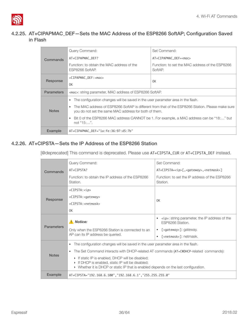

#### <span id="page-41-0"></span>4.2.25. AT+CIPAPMAC\_DEF—Sets the MAC Address of the ESP8266 SoftAP; Configuration Saved in Flash

| Commands          | Query Command:                                                                                                                                                          | Set Command:                                               |
|-------------------|-------------------------------------------------------------------------------------------------------------------------------------------------------------------------|------------------------------------------------------------|
|                   | AT+CIPAPMAC_DEF?                                                                                                                                                        | AT+CIPAPMAC_DEF= <mac></mac>                               |
|                   | Function: to obtain the MAC address of the<br>ESP8266 SoftAP.                                                                                                           | Function: to set the MAC address of the ESP8266<br>SoftAP. |
| Response          | +CIPAPMAC_DEF: <mac></mac>                                                                                                                                              | 0K                                                         |
|                   | 0K                                                                                                                                                                      |                                                            |
| <b>Parameters</b> | <mac>: string parameter, MAC address of ESP8266 SoftAP.</mac>                                                                                                           |                                                            |
|                   | The configuration changes will be saved in the user parameter area in the flash.<br>$\bullet$                                                                           |                                                            |
| <b>Notes</b>      | The MAC address of ESP8266 SoftAP is different from that of the ESP8266 Station. Please make sure<br>$\bullet$<br>you do not set the same MAC address for both of them. |                                                            |
|                   | Bit 0 of the ESP8266 MAC address CANNOT be 1. For example, a MAC address can be "18:" but<br>$\bullet$<br>not "15:".                                                    |                                                            |
| Example           | AT+CIPAPMAC DEF="1a:fe:36:97:d5:7b"                                                                                                                                     |                                                            |

#### 4.2.26. AT+CIPSTA—Sets the IP Address of the ESP8266 Station

<span id="page-41-1"></span>[@deprecated] This command is deprecated. Please use AT+CIPSTA\_CUR or AT+CIPSTA\_DEF instead.

| Commands          | Query Command:                                                                                                                                                                             | Set Command:                                                                       |
|-------------------|--------------------------------------------------------------------------------------------------------------------------------------------------------------------------------------------|------------------------------------------------------------------------------------|
|                   | AT+CIPSTA?                                                                                                                                                                                 | AT+CIPSTA= <ip>[,<gateway>,<netmask>]</netmask></gateway></ip>                     |
|                   | Function: to obtain the IP address of the ESP8266<br>Station.                                                                                                                              | Function: to set the IP address of the ESP8266<br>Station.                         |
|                   | $+CIPSTA: $                                                                                                                                                                                |                                                                                    |
| Response          | +CIPSTA: <gateway></gateway>                                                                                                                                                               | 0K                                                                                 |
|                   | $+CIPSTA$ : <netmask></netmask>                                                                                                                                                            |                                                                                    |
|                   | 0K                                                                                                                                                                                         |                                                                                    |
|                   | Notice:                                                                                                                                                                                    | $\langle ip \rangle$ : string parameter, the IP address of the<br>ESP8266 Station. |
| <b>Parameters</b> | Only when the ESP8266 Station is connected to an                                                                                                                                           | [ <gateway>]: gateway.<br/><math display="inline">\bullet</math></gateway>         |
|                   | AP can its IP address be queried.                                                                                                                                                          | [ <netmask>]: netmask.<br/><math display="inline">\bullet</math></netmask>         |
|                   | The configuration changes will be saved in the user parameter area in the flash.<br>$\bullet$                                                                                              |                                                                                    |
|                   | The Set Command interacts with DHCP-related AT commands (AT+CWDHCP-related commands):                                                                                                      |                                                                                    |
| <b>Notes</b>      | If static IP is enabled, DHCP will be disabled;<br>If DHCP is enabled, static IP will be disabled;<br>• Whether it is DHCP or static IP that is enabled depends on the last configuration. |                                                                                    |
| <b>Example</b>    | AT+CIPSTA="192.168.6.100", "192.168.6.1", "255.255.255.0"                                                                                                                                  |                                                                                    |
|                   |                                                                                                                                                                                            |                                                                                    |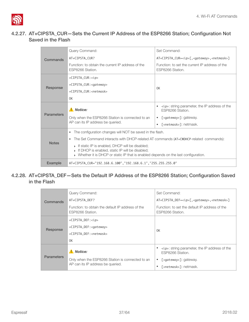

#### <span id="page-42-0"></span>4.2.27. AT+CIPSTA\_CUR—Sets the Current IP Address of the ESP8266 Station; Configuration Not Saved in the Flash

| Commands          | Query Command:                                                                                                                                                                                            | Set Command:                                                               |
|-------------------|-----------------------------------------------------------------------------------------------------------------------------------------------------------------------------------------------------------|----------------------------------------------------------------------------|
|                   | AT+CIPSTA_CUR?                                                                                                                                                                                            | AT+CIPSTA_CUR= <ip>[,<gateway>,<netmask>]</netmask></gateway></ip>         |
|                   | Function: to obtain the current IP address of the<br>ESP8266 Station.                                                                                                                                     | Function: to set the current IP address of the<br>ESP8266 Station.         |
|                   | +CIPSTA_CUR: <ip></ip>                                                                                                                                                                                    |                                                                            |
| Response          | +CIPSTA_CUR: <gateway></gateway>                                                                                                                                                                          | 0K                                                                         |
|                   | +CIPSTA CUR: <netmask></netmask>                                                                                                                                                                          |                                                                            |
|                   | 0K                                                                                                                                                                                                        |                                                                            |
|                   | Notice:                                                                                                                                                                                                   | $\langle$ ip>: string parameter, the IP address of the<br>ESP8266 Station. |
| <b>Parameters</b> | Only when the ESP8266 Station is connected to an<br>AP can its IP address be queried.                                                                                                                     | [ <gateway>]: gateway.<br/><math display="block">\bullet</math></gateway>  |
|                   |                                                                                                                                                                                                           | [ <netmask>]: netmask.<br/><math display="inline">\bullet</math></netmask> |
|                   | The configuration changes will NOT be saved in the flash.<br>$\bullet$                                                                                                                                    |                                                                            |
|                   | The Set Command interacts with DHCP-related AT commands (AT+CWDHCP-related commands):<br>$\bullet$                                                                                                        |                                                                            |
| <b>Notes</b>      | If static IP is enabled, DHCP will be disabled;<br>If DHCP is enabled, static IP will be disabled;<br>$\triangleright$ Whether it is DHCP or static IP that is enabled depends on the last configuration. |                                                                            |
| Example           | AT+CIPSTA_CUR="192.168.6.100", "192.168.6.1", "255.255.255.0"                                                                                                                                             |                                                                            |

#### <span id="page-42-1"></span>4.2.28. AT+CIPSTA\_DEF—Sets the Default IP Address of the ESP8266 Station; Configuration Saved in the Flash

| Commands          | Query Command:                                                        | Set Command:                                                            |
|-------------------|-----------------------------------------------------------------------|-------------------------------------------------------------------------|
|                   | AT+CIPSTA_DEF?                                                        | AT+CIPSTA_DEF= <ip> [,<gateway>,<netmask>]</netmask></gateway></ip>     |
|                   | Function: to obtain the default IP address of the<br>ESP8266 Station. | Function: to set the default IP address of the<br>ESP8266 Station.      |
| Response          | $+CIPSTA_DEF$ : $\langle ip \rangle$                                  |                                                                         |
|                   | +CIPSTA_DEF: <gateway></gateway>                                      | 0K                                                                      |
|                   | +CIPSTA DEF: <netmask></netmask>                                      |                                                                         |
|                   | 0K                                                                    |                                                                         |
| <b>Parameters</b> | A Notice:                                                             | <ip>: string parameter, the IP address of the<br/>ESP8266 Station.</ip> |
|                   | Only when the ESP8266 Station is connected to an                      | [ <gateway>]: gateway.</gateway>                                        |
|                   | AP can its IP address be queried.                                     | [ <netmask>]: netmask.</netmask>                                        |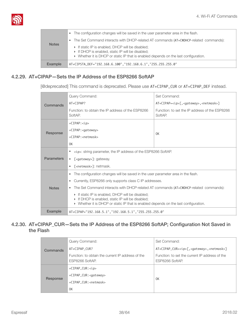

| <b>Notes</b>   | The configuration changes will be saved in the user parameter area in the flash.<br>The Set Command interacts with DHCP-related AT commands (AT+CWDHCP-related commands):<br>If static IP is enabled, DHCP will be disabled;<br>$\triangleright$ If DHCP is enabled, static IP will be disabled;<br>• Whether it is DHCP or static IP that is enabled depends on the last configuration. |
|----------------|------------------------------------------------------------------------------------------------------------------------------------------------------------------------------------------------------------------------------------------------------------------------------------------------------------------------------------------------------------------------------------------|
| <b>Example</b> | AT+CIPSTA_DEF="192.168.6.100","192.168.6.1","255.255.255.0"                                                                                                                                                                                                                                                                                                                              |

#### 4.2.29. AT+CIPAP—Sets the IP Address of the ESP8266 SoftAP

<span id="page-43-0"></span>[@deprecated] This command is deprecated. Please use AT+CIPAP\_CUR or AT+CIPAP\_DEF instead.

| Commands          | Query Command:                                                                                                                                                                                            | Set Command:                                                  |  |
|-------------------|-----------------------------------------------------------------------------------------------------------------------------------------------------------------------------------------------------------|---------------------------------------------------------------|--|
|                   | AT+CIPAP?                                                                                                                                                                                                 | AT+CIPAP= <ip>[,<gateway>,<netmask>]</netmask></gateway></ip> |  |
|                   | Function: to obtain the IP address of the ESP8266<br>SoftAP.                                                                                                                                              | Function: to set the IP address of the ESP8266<br>SoftAP.     |  |
|                   | $+CIPAP$ : $<$ ip>                                                                                                                                                                                        |                                                               |  |
| Response          | +CIPAP: <gateway></gateway>                                                                                                                                                                               | 0K                                                            |  |
|                   | $+CIPAP$ : <netmask></netmask>                                                                                                                                                                            |                                                               |  |
|                   | 0K                                                                                                                                                                                                        |                                                               |  |
|                   | <ip>: string parameter, the IP address of the ESP8266 SoftAP.<br/>٠</ip>                                                                                                                                  |                                                               |  |
| <b>Parameters</b> | [ <gateway>]: gateway.<br/>٠</gateway>                                                                                                                                                                    |                                                               |  |
|                   | [ <netmask>]: netmask.</netmask>                                                                                                                                                                          |                                                               |  |
|                   | The configuration changes will be saved in the user parameter area in the flash.<br>٠                                                                                                                     |                                                               |  |
|                   | Currently, ESP8266 only supports class C IP addresses.<br>٠                                                                                                                                               |                                                               |  |
| <b>Notes</b>      | The Set Command interacts with DHCP-related AT commands (AT+CWDHCP-related commands):                                                                                                                     |                                                               |  |
|                   | If static IP is enabled, DHCP will be disabled;<br>If DHCP is enabled, static IP will be disabled;<br>$\triangleright$ Whether it is DHCP or static IP that is enabled depends on the last configuration. |                                                               |  |
| Example           | AT+CIPAP="192.168.5.1", "192.168.5.1", "255.255.255.0"                                                                                                                                                    |                                                               |  |

#### <span id="page-43-1"></span>4.2.30. AT+CIPAP\_CUR—Sets the IP Address of the ESP8266 SoftAP; Configuration Not Saved in the Flash

|          |                                                                      | Query Command:                                                    | Set Command: |
|----------|----------------------------------------------------------------------|-------------------------------------------------------------------|--------------|
| Commands | AT+CIPAP_CUR?                                                        | AT+CIPAP_CUR= <ip>[,<gateway>,<netmask>]</netmask></gateway></ip> |              |
|          | Function: to obtain the current IP address of the<br>ESP8266 SoftAP. | Function: to set the current IP address of the<br>ESP8266 SoftAP. |              |
|          |                                                                      | +CIPAP_CUR: <ip></ip>                                             |              |
| Response | +CIPAP_CUR: <gateway></gateway>                                      | 0K                                                                |              |
|          | +CIPAP_CUR: <netmask></netmask>                                      |                                                                   |              |
|          |                                                                      | 0K                                                                |              |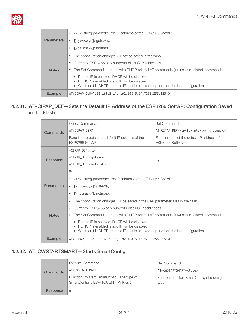

| <b>Parameters</b> | <ip>: string parameter, the IP address of the ESP8266 SoftAP.</ip>                                                                                                                                            |
|-------------------|---------------------------------------------------------------------------------------------------------------------------------------------------------------------------------------------------------------|
|                   | [ <gateway>]: gateway.</gateway>                                                                                                                                                                              |
|                   | [ <netmask>]: netmask.</netmask>                                                                                                                                                                              |
| <b>Notes</b>      | The configuration changes will not be saved in the flash.                                                                                                                                                     |
|                   | Currently, ESP8266 only supports class C IP addresses.                                                                                                                                                        |
|                   | The Set Command interacts with DHCP-related AT commands (AT+CWDHCP-related commands):                                                                                                                         |
|                   | $\triangleright$ If static IP is enabled, DHCP will be disabled;<br>• If DHCP is enabled, static IP will be disabled;<br>• Whether it is DHCP or static IP that is enabled depends on the last configuration. |
| <b>Example</b>    | AT+CIPAP_CUR="192.168.5.1", "192.168.5.1", "255.255.255.0"                                                                                                                                                    |

#### <span id="page-44-0"></span>4.2.31. AT+CIPAP\_DEF—Sets the Default IP Address of the ESP8266 SoftAP; Configuration Saved in the Flash

|                   |                                                                                                    | Query Command:                                                                                               | Set Command:                                                      |  |
|-------------------|----------------------------------------------------------------------------------------------------|--------------------------------------------------------------------------------------------------------------|-------------------------------------------------------------------|--|
| Commands          | AT+CIPAP_DEF?                                                                                      | AT+CIPAP_DEF= <ip> [,<gateway>,<netmask>]</netmask></gateway></ip>                                           |                                                                   |  |
|                   |                                                                                                    | Function: to obtain the default IP address of the<br>ESP8266 SoftAP.                                         | Function: to set the default IP address of the<br>ESP8266 SoftAP. |  |
|                   |                                                                                                    | +CIPAP_DEF: <ip></ip>                                                                                        |                                                                   |  |
|                   | Response                                                                                           | +CIPAP_DEF: <gateway></gateway>                                                                              |                                                                   |  |
|                   |                                                                                                    | +CIPAP_DEF: <netmask></netmask>                                                                              | 0K                                                                |  |
|                   |                                                                                                    | 0K                                                                                                           |                                                                   |  |
|                   |                                                                                                    | <ip>: string parameter, the IP address of the ESP8266 SoftAP.<br/><math display="inline">\bullet</math></ip> |                                                                   |  |
| <b>Parameters</b> |                                                                                                    | [ <gateway>]: gateway.<br/><math display="inline">\bullet</math></gateway>                                   |                                                                   |  |
|                   |                                                                                                    | [ <netmask>]: netmask.<br/>٠</netmask>                                                                       |                                                                   |  |
|                   |                                                                                                    | The configuration changes will be saved in the user parameter area in the flash.<br>$\bullet$                |                                                                   |  |
|                   |                                                                                                    | Currently, ESP8266 only supports class C IP addresses.<br>$\bullet$                                          |                                                                   |  |
|                   | <b>Notes</b>                                                                                       | The Set Command interacts with DHCP-related AT commands (AT+CWDHCP-related commands):<br>$\bullet$           |                                                                   |  |
|                   | If static IP is enabled, DHCP will be disabled;<br>If DHCP is enabled, static IP will be disabled; |                                                                                                              |                                                                   |  |
|                   |                                                                                                    | • Whether it is DHCP or static IP that is enabled depends on the last configuration.                         |                                                                   |  |
|                   | <b>Example</b>                                                                                     | AT+CIPAP_DEF="192.168.5.1","192.168.5.1","255.255.255.0"                                                     |                                                                   |  |

#### 4.2.32. AT+CWSTARTSMART—Starts SmartConfig

<span id="page-44-1"></span>

| Commands | Execute Command:<br>AT+CWSTARTSMART                                                  | Set Command:<br>AT+CWSTARTSMART= <type></type>          |
|----------|--------------------------------------------------------------------------------------|---------------------------------------------------------|
|          | Function: to start SmartConfig. (The type of<br>SmartConfig is ESP-TOUCH + AirKiss.) | Function: to start SmartConfig of a designated<br>type. |
| Response | 0K                                                                                   |                                                         |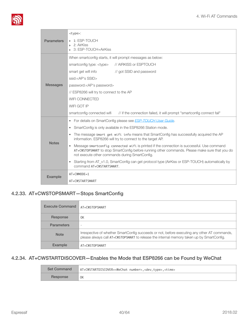

|                   | <type>:</type>                                                                                                                                                                                                                                              |  |  |
|-------------------|-------------------------------------------------------------------------------------------------------------------------------------------------------------------------------------------------------------------------------------------------------------|--|--|
| <b>Parameters</b> | ▶ 1: ESP-TOUCH<br>2: AirKiss<br>3: ESP-TOUCH+AirKiss                                                                                                                                                                                                        |  |  |
|                   | When smartconfig starts, it will prompt messages as below:                                                                                                                                                                                                  |  |  |
|                   | // AIRKISS or ESPTOUCH<br>smartconfig type: <type></type>                                                                                                                                                                                                   |  |  |
|                   | smart get wifi info<br>// got SSID and password                                                                                                                                                                                                             |  |  |
|                   | ssid: <ap's ssid=""></ap's>                                                                                                                                                                                                                                 |  |  |
| <b>Messages</b>   | password: <ap's password=""></ap's>                                                                                                                                                                                                                         |  |  |
|                   | // ESP8266 will try to connect to the AP                                                                                                                                                                                                                    |  |  |
|                   | <b>WIFI CONNECTED</b>                                                                                                                                                                                                                                       |  |  |
|                   | WIFI GOT IP                                                                                                                                                                                                                                                 |  |  |
|                   | // if the connection failed, it will prompt "smartconfig connect fail"<br>smartconfig connected wifi                                                                                                                                                        |  |  |
|                   | For details on SmartConfig please see <b>ESP-TOUCH User Guide</b> .<br>$\bullet$                                                                                                                                                                            |  |  |
|                   | SmartConfig is only available in the ESP8266 Station mode.<br>$\bullet$                                                                                                                                                                                     |  |  |
|                   | The message smart get wifi info means that SmartConfig has successfully acquired the AP<br>$\bullet$<br>information. ESP8266 will try to connect to the target AP.                                                                                          |  |  |
| <b>Notes</b>      | Message smartconfig connected wifi is printed if the connection is successful. Use command<br>$\bullet$<br>AT+CWSTOPSMART to stop SmartConfig before running other commands. Please make sure that you do<br>not execute other commands during SmartConfig. |  |  |
|                   | Starting from AT_v1.0, SmartConfig can get protocol type (AirKiss or ESP-TOUCH) automatically by<br>$\bullet$<br>command AT+CWSTARTSMART.                                                                                                                   |  |  |
| <b>Example</b>    | $AT+CWMODE=1$                                                                                                                                                                                                                                               |  |  |
|                   | AT+CWSTARTSMART                                                                                                                                                                                                                                             |  |  |

#### 4.2.33. AT+CWSTOPSMART—Stops SmartConfig

<span id="page-45-0"></span>

| <b>Execute Command</b> | AT+CWSTOPSMART                                                                                                                                                                            |
|------------------------|-------------------------------------------------------------------------------------------------------------------------------------------------------------------------------------------|
| Response               | 0 <sup>K</sup>                                                                                                                                                                            |
| <b>Parameters</b>      | -                                                                                                                                                                                         |
| <b>Note</b>            | Irrespective of whether SmartConfig succeeds or not, before executing any other AT commands,<br>please always call AT+CWSTOPSMART to release the internal memory taken up by SmartConfig. |
| <b>Example</b>         | AT+CWSTOPSMART                                                                                                                                                                            |

#### 4.2.34. AT+CWSTARTDISCOVER—Enables the Mode that ESP8266 can be Found by WeChat

<span id="page-45-1"></span>

| <b>Set Command</b> | AT+CWSTARTDISCOVER= <wechat number="">,<dev_type>,<time></time></dev_type></wechat> |
|--------------------|-------------------------------------------------------------------------------------|
| Response           | 0K                                                                                  |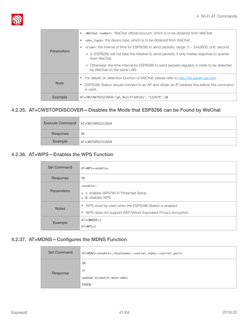

|                   | <wechat number="">: WeChat official account, which is to be obtained from WeChat.<br/><math display="inline">\bullet</math></wechat> |
|-------------------|--------------------------------------------------------------------------------------------------------------------------------------|
|                   | <dev_type>: the device type, which is to be obtained from WeChat.<br/>٠</dev_type>                                                   |
|                   | $\prec$ time>: the interval of time for ESP8266 to send packets; range: 0 ~ 24x3600; unit: second.<br>٠                              |
| <b>Parameters</b> | ▶ 0: ESP8266 will not take the initiative to send packets; it only makes response to queries<br>from WeChat.                         |
|                   | • Otherwise: the time interval for ESP8266 to send packets regularly in order to be detected<br>by WeChat on the same LAN.           |
|                   | For details on detection function of WeChat, please refer to <i>http://jot.weixin.gg.com.</i><br>٠                                   |
| <b>Note</b>       | ESP8266 Station should connect to an AP and obtain an IP address first before this command<br>$\bullet$<br>is used.                  |
| <b>Example</b>    | AT+CWSTARTDISCOVER="gh_9e2cff3dfa51","122475",10                                                                                     |

#### 4.2.35. AT+CWSTOPDISCOVER—Disables the Mode that ESP8266 can be Found by WeChat

<span id="page-46-0"></span>

| Execute Command   AT+CWSTOPDISCOVER |                   |
|-------------------------------------|-------------------|
| Response                            | 0K                |
| Example                             | AT+CWSTOPDISCOVER |

#### 4.2.36. AT+WPS—Enables the WPS Function

<span id="page-46-1"></span>

| <b>Set Command</b> | $AT+WPS = enable$                                                                                                                     |
|--------------------|---------------------------------------------------------------------------------------------------------------------------------------|
| Response           | 0K                                                                                                                                    |
| <b>Parameters</b>  | <enable>:<br/>▶ 1: enables WPS/Wi-Fi Protected Setup<br/><math>\triangleright</math> 0: disables WPS</enable>                         |
| <b>Notes</b>       | • WPS must be used when the ESP8266 Station is enabled.<br>WPS does not support WEP/Wired-Equivalent Privacy encryption.<br>$\bullet$ |
| Example            | $AT+CWMODE=1$<br>$AT+WPS=1$                                                                                                           |

#### 4.2.37. AT+MDNS—Configures the MDNS Function

<span id="page-46-2"></span>

| <b>Set Command</b> | AT+MDNS= <enable>,<hostname>,<server_name>,<server_port></server_port></server_name></hostname></enable> |
|--------------------|----------------------------------------------------------------------------------------------------------|
|                    | 0K                                                                                                       |
| Response           | 0r                                                                                                       |
|                    | opmode mismatch when mdns                                                                                |
|                    | ERROR                                                                                                    |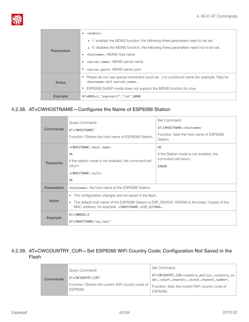

|                   | <enable>:<br/><math display="block">\bullet</math></enable>                                                                                         |
|-------------------|-----------------------------------------------------------------------------------------------------------------------------------------------------|
|                   | $\rightarrow$ 1: enables the MDNS function; the following three parameters need to be set.                                                          |
| <b>Parameters</b> | ▶ 0: disables the MDNS function; the following three parameters need not to be set.                                                                 |
|                   | <hostname>: MDNS host name</hostname>                                                                                                               |
|                   | server name>: MDNS server name>                                                                                                                     |
|                   | • <server_port>: MDNS server port</server_port>                                                                                                     |
| <b>Notes</b>      | Please do not use special characters (such as .) or a protocol name (for example, http) for<br><hostname> and <server name="">.</server></hostname> |
|                   | ESP8266 SoftAP mode does not support the MDNS function for now.<br>٠                                                                                |
| Example           | AT+MDNS=1,"espressif","iot",8080                                                                                                                    |

#### 4.2.38. AT+CWHOSTNAME—Configures the Name of ESP8266 Station

<span id="page-47-0"></span>

| Commands          | Query Command:<br>AT+CWHOSTNAME?<br>Function: Checks the host name of ESP8266 Station.                                                                                                                                                                 | Set Command:<br>AT+CWHOSTNAME= <hostname><br/>Function: Sets the host name of ESP8266<br/>Station.</hostname> |
|-------------------|--------------------------------------------------------------------------------------------------------------------------------------------------------------------------------------------------------------------------------------------------------|---------------------------------------------------------------------------------------------------------------|
| Response          | +CWHOSTNAME: < host name><br>0K<br>If the station mode is not enabled, the command will<br>return:<br>+CWHOSTNAME: <null><br/>0K</null>                                                                                                                | 0K<br>If the Station mode is not enabled, the<br>command will return:<br>ERROR                                |
| <b>Parameters</b> | <hostname>: the host name of the ESP8266 Station.</hostname>                                                                                                                                                                                           |                                                                                                               |
| <b>Notes</b>      | The configuration changes are not saved in the flash.<br>$\bullet$<br>The default host name of the ESP8266 Station is ESP_XXXXXX; XXXXXX is the lower 3 bytes of the<br>$\bullet$<br>MAC address, for example, +CWHOSTNAME: <esp_a378da>.</esp_a378da> |                                                                                                               |
| <b>Example</b>    | $AT+CWMODE=3$<br>AT+CWHOSTNAME="my_test"                                                                                                                                                                                                               |                                                                                                               |

#### <span id="page-47-1"></span>4.2.39. AT+CWCOUNTRY\_CUR—Set ESP8266 WiFi Country Code; Configuration Not Saved in the Flash

|          | Query Command:                                                                     | Set Command:                                                                                                                                                                                                                                    |
|----------|------------------------------------------------------------------------------------|-------------------------------------------------------------------------------------------------------------------------------------------------------------------------------------------------------------------------------------------------|
| Commands | AT+CWCOUNTRY CUR?<br>Function: Checks the current WiFi country code of<br>ESP8266. | AT+CWCOUNTRY_CUR= <country_policy>,<country_co<br>de&gt;,<start_channel>,<total_channel_number><br/>Function: Sets the current WiFi country code of<br/><b>FSP8266.</b></total_channel_number></start_channel></country_co<br></country_policy> |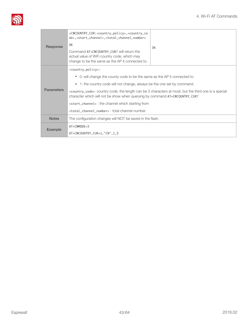

| Response          | +CWCOUNTRY_CUR: <country_policy>,<country_co<br>de&gt;,<start_channel>,<total_channel_number><br/>0K<br/>Command AT+CWCOUNTRY_CUR? will return the<br/>actual value of WiFi country code, which may<br/>change to be the same as the AP it connected to.</total_channel_number></start_channel></country_co<br></country_policy>                                                                                                                                                                                                                                                                                            | 0K |
|-------------------|-----------------------------------------------------------------------------------------------------------------------------------------------------------------------------------------------------------------------------------------------------------------------------------------------------------------------------------------------------------------------------------------------------------------------------------------------------------------------------------------------------------------------------------------------------------------------------------------------------------------------------|----|
| <b>Parameters</b> | <country_policy>:<br/>0: will change the county code to be the same as the AP it connected to<br/><math display="inline">\bullet</math><br/>1: the country code will not change, always be the one set by command.<br/><math display="inline">\bullet</math><br/><country_code>: country code, the length can be 3 characters at most; but the third one is a special<br/>character which will not be show when querying by command AT+CWCOUNTRY_CUR?<br/><start_channel> : the channel which starting from<br/><total channel="" number=""> : total channel number</total></start_channel></country_code></country_policy> |    |
| <b>Notes</b>      | The configuration changes will NOT be saved in the flash.                                                                                                                                                                                                                                                                                                                                                                                                                                                                                                                                                                   |    |
| <b>Example</b>    | $AT+CWMODE = 3$<br>AT+CWCOUNTRY_CUR=1,"CN",1,5                                                                                                                                                                                                                                                                                                                                                                                                                                                                                                                                                                              |    |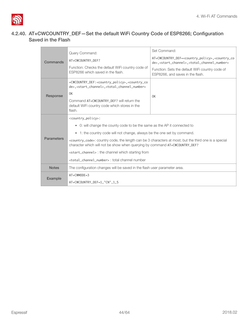#### <span id="page-49-0"></span>4.2.40. AT+CWCOUNTRY\_DEF—Set the default WiFi Country Code of ESP8266; Configuration Saved in the Flash

| Commands          | Query Command:                                                                                                                                                                                                                                                                          | Set Command:                                                                                                                                                            |  |
|-------------------|-----------------------------------------------------------------------------------------------------------------------------------------------------------------------------------------------------------------------------------------------------------------------------------------|-------------------------------------------------------------------------------------------------------------------------------------------------------------------------|--|
|                   | AT+CWCOUNTRY_DEF?                                                                                                                                                                                                                                                                       | AT+CWCOUNTRY_DEF= <country_policy>,<country_co<br>de&gt;,<start_channel>,<total_channel_number></total_channel_number></start_channel></country_co<br></country_policy> |  |
|                   | Function: Checks the default WiFi country code of<br>ESP8266 which saved in the flash.                                                                                                                                                                                                  | Function: Sets the default WiFi country code of<br>ESP8266, and saves in the flash.                                                                                     |  |
| Response          | +CWCOUNTRY_DEF: <country_policy>,<country_co<br>de&gt;,<start_channel>,<total_channel_number><br/>0K<br/>Command AT+CWCOUNTRY DEF? will return the<br/>default WiFi country code which stores in the<br/>flash.</total_channel_number></start_channel></country_co<br></country_policy> | 0K                                                                                                                                                                      |  |
|                   | <country_policy>:</country_policy>                                                                                                                                                                                                                                                      |                                                                                                                                                                         |  |
|                   | 0: will change the county code to be the same as the AP it connected to<br>$\bullet$                                                                                                                                                                                                    |                                                                                                                                                                         |  |
|                   | 1: the country code will not change, always be the one set by command.<br>$\bullet$                                                                                                                                                                                                     |                                                                                                                                                                         |  |
| <b>Parameters</b> | <country_code>: country code, the length can be 3 characters at most; but the third one is a special<br/>character which will not be show when querying by command AT+CWCOUNTRY_DEF?</country_code>                                                                                     |                                                                                                                                                                         |  |
|                   | <start_channel> : the channel which starting from</start_channel>                                                                                                                                                                                                                       |                                                                                                                                                                         |  |
|                   | <total_channel_number> : total channel number</total_channel_number>                                                                                                                                                                                                                    |                                                                                                                                                                         |  |
| <b>Notes</b>      | The configuration changes will be saved in the flash user parameter area.                                                                                                                                                                                                               |                                                                                                                                                                         |  |
| Example           | $AT+CWMODE = 3$                                                                                                                                                                                                                                                                         |                                                                                                                                                                         |  |
|                   | AT+CWCOUNTRY_DEF=1,"CN",1,5                                                                                                                                                                                                                                                             |                                                                                                                                                                         |  |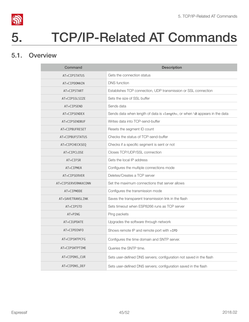

# 5. TCP/IP-Related AT Commands

## 5.1. Overview

<span id="page-50-1"></span><span id="page-50-0"></span>

| Command             | <b>Description</b>                                                                  |
|---------------------|-------------------------------------------------------------------------------------|
| AT+CIPSTATUS        | Gets the connection status                                                          |
| AT+CIPDOMAIN        | <b>DNS</b> function                                                                 |
| AT+CIPSTART         | Establishes TCP connection, UDP transmission or SSL connection                      |
| AT+CIPSSLSIZE       | Sets the size of SSL buffer                                                         |
| AT+CIPSEND          | Sends data                                                                          |
| AT+CIPSENDEX        | Sends data when length of data is <length>, or when \0 appears in the data</length> |
| AT+CIPSENDBUF       | Writes data into TCP-send-buffer                                                    |
| AT+CIPBUFRESET      | Resets the segment ID count                                                         |
| AT+CIPBUFSTATUS     | Checks the status of TCP-send-buffer                                                |
| AT+CIPCHECKSEQ      | Checks if a specific segment is sent or not                                         |
| AT+CIPCLOSE         | Closes TCP/UDP/SSL connection                                                       |
| AT+CIFSR            | Gets the local IP address                                                           |
| AT+CIPMUX           | Configures the multiple connections mode                                            |
| AT+CIPSERVER        | Deletes/Creates a TCP server                                                        |
| AT+CIPSERVERMAXCONN | Set the maximum connections that server allows                                      |
| AT+CIPMODE          | Configures the transmission mode                                                    |
| AT+SAVETRANSLINK    | Saves the transparent transmission link in the flash                                |
| AT+CIPSTO           | Sets timeout when ESP8266 runs as TCP server                                        |
| AT+PING             | Ping packets                                                                        |
| AT+CIUPDATE         | Upgrades the software through network                                               |
| AT+CIPDINFO         | Shows remote IP and remote port with +IPD                                           |
| AT+CIPSNTPCFG       | Configures the time domain and SNTP server.                                         |
| AT+CIPSNTPTIME      | Queries the SNTP time.                                                              |
| AT+CIPDNS_CUR       | Sets user-defined DNS servers; configuration not saved in the flash                 |
| AT+CIPDNS_DEF       | Sets user-defined DNS servers; configuration saved in the flash                     |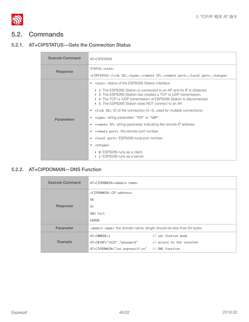

# <span id="page-51-0"></span>5.2. Commands

#### 5.2.1. AT+CIPSTATUS—Gets the Connection Status

<span id="page-51-1"></span>

| <b>Execute Command</b> | AT+CIPSTATUS                                                                                                                                                                                                                                                                                                                                                                                                                                                                                                                                                                                                                                                                                                                                                                                                                                                                                                                                          |
|------------------------|-------------------------------------------------------------------------------------------------------------------------------------------------------------------------------------------------------------------------------------------------------------------------------------------------------------------------------------------------------------------------------------------------------------------------------------------------------------------------------------------------------------------------------------------------------------------------------------------------------------------------------------------------------------------------------------------------------------------------------------------------------------------------------------------------------------------------------------------------------------------------------------------------------------------------------------------------------|
| Response               | STATUS: < <sub>stat&gt;</sub>                                                                                                                                                                                                                                                                                                                                                                                                                                                                                                                                                                                                                                                                                                                                                                                                                                                                                                                         |
| <b>Parameters</b>      | +CIPSTATUS: <link id=""/> , <type>,<remote ip="">,<remote port="">,<local port="">,<tetype><br/>• <stat>: status of the ESP8266 Station interface.<br/><math>\triangleright</math> 2: The ESP8266 Station is connected to an AP and its IP is obtained.<br/><math>\triangleright</math> 3: The ESP8266 Station has created a TCP or UDP transmission.<br/>▶ 4: The TCP or UDP transmission of ESP8266 Station is disconnected.<br/>▶ 5: The ESP8266 Station does NOT connect to an AP.<br/>• <math>\langle</math>link ID&gt;: ID of the connection (0~4), used for multiple connections.<br/>• <type>: string parameter, "TCP" or "UDP".<br/>• &lt; remote IP&gt;: string parameter indicating the remote IP address.<br/>• &lt; remote port&gt;: the remote port number.<br/>• <local port="">: ESP8266 local port number.<br/>• <tetype>:<br/>0: ESP8266 runs as a client.</tetype></local></type></stat></tetype></local></remote></remote></type> |
|                        | 1: ESP8266 runs as a server.                                                                                                                                                                                                                                                                                                                                                                                                                                                                                                                                                                                                                                                                                                                                                                                                                                                                                                                          |

#### 5.2.2. AT+CIPDOMAIN—DNS Function

<span id="page-51-2"></span>

| <b>Execute Command</b> | AT+CIPDOMAIN= <domain name=""></domain>                                          |                     |
|------------------------|----------------------------------------------------------------------------------|---------------------|
|                        | +CIPDOMAIN: <ip address=""></ip>                                                 |                     |
|                        | 0K                                                                               |                     |
| Response               | 0r                                                                               |                     |
|                        | DNS Fail                                                                         |                     |
|                        | ERROR                                                                            |                     |
| Parameter              | <domain name="">: the domain name, length should be less than 64 bytes.</domain> |                     |
|                        | $AT+CWMODE=1$                                                                    | // set Station mode |
| Example                | AT+CWJAP="SSID","password" // access to the internet                             |                     |
|                        | AT+CIPDOMAIN="iot.espressif.cn" // DNS function                                  |                     |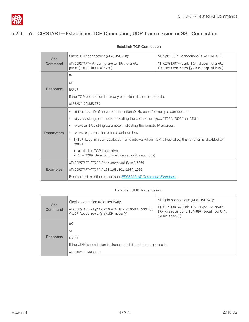#### <span id="page-52-0"></span>5.2.3. AT+CIPSTART—Establishes TCP Connection, UDP Transmission or SSL Connection

| <b>Set</b>                                                                        | Single TCP connection (AT+CIPMUX=0):                                                                                                                                        | Multiple TCP Connections (AT+CIPMUX=1):                                                                                           |
|-----------------------------------------------------------------------------------|-----------------------------------------------------------------------------------------------------------------------------------------------------------------------------|-----------------------------------------------------------------------------------------------------------------------------------|
| Command                                                                           | AT+CIPSTART= <type>,<remote ip="">,<remote<br>port&gt;[,<tcp alive="" keep="">]</tcp></remote<br></remote></type>                                                           | AT+CIPSTART= <link id=""/> , <type>,<remote<br>IP&gt;,<remote port="">[,<icp alive="" keep="">]</icp></remote></remote<br></type> |
|                                                                                   | 0K                                                                                                                                                                          |                                                                                                                                   |
|                                                                                   | <b>or</b>                                                                                                                                                                   |                                                                                                                                   |
| Response                                                                          | ERROR                                                                                                                                                                       |                                                                                                                                   |
|                                                                                   | If the TCP connection is already established, the response is:                                                                                                              |                                                                                                                                   |
|                                                                                   | ALREADY CONNECTED                                                                                                                                                           |                                                                                                                                   |
|                                                                                   | • $\langle$ link ID>: ID of network connection (0~4), used for multiple connections.                                                                                        |                                                                                                                                   |
|                                                                                   | <type>: string parameter indicating the connection type: "TCP", "UDP" or "SSL".<br/>٠</type>                                                                                |                                                                                                                                   |
| <remote ip="">: string parameter indicating the remote IP address.<br/>٠</remote> |                                                                                                                                                                             |                                                                                                                                   |
| <b>Parameters</b>                                                                 | <remote port="">: the remote port number.</remote>                                                                                                                          |                                                                                                                                   |
|                                                                                   | $\lceil$ <tcp alive="" keep="">]: detection time interval when TCP is kept alive; this function is disabled by<br/><math display="inline">\bullet</math><br/>default.</tcp> |                                                                                                                                   |
|                                                                                   | • 0: disable TCP keep-alive.<br>$\triangleright$ 1 ~ 7200: detection time interval; unit: second (s).                                                                       |                                                                                                                                   |
|                                                                                   | AT+CIPSTART="TCP","iot.espressif.cn",8000                                                                                                                                   |                                                                                                                                   |
| <b>Examples</b>                                                                   | AT+CIPSTART="TCP", "192.168.101.110", 1000                                                                                                                                  |                                                                                                                                   |
|                                                                                   | For more information please see: <b>ESP8266 AT Command Examples</b> .                                                                                                       |                                                                                                                                   |

#### Establish TCP Connection

#### Establish UDP Transmission

| <b>Set</b><br>Command | Single connection (AT+CIPMUX=0):<br>AT+CIPSTART= <type>,<remote ip="">,<remote port="">[,<br/>(<udp local="" port="">),(<udp mode="">)]</udp></udp></remote></remote></type> | Multiple connections (AT+CIPMUX=1):<br>AT+CIPSTART= <link id=""/> , <type>,<remote<br>IP&gt;,<remote port="">[,(<udp local="" port="">),<br/><math>(\langle</math>UDP mode&gt;)<math>\rceil</math></udp></remote></remote<br></type> |
|-----------------------|------------------------------------------------------------------------------------------------------------------------------------------------------------------------------|--------------------------------------------------------------------------------------------------------------------------------------------------------------------------------------------------------------------------------------|
|                       | 0K                                                                                                                                                                           |                                                                                                                                                                                                                                      |
|                       | 0r                                                                                                                                                                           |                                                                                                                                                                                                                                      |
| Response              | ERROR                                                                                                                                                                        |                                                                                                                                                                                                                                      |
|                       | If the UDP transmission is already established, the response is:                                                                                                             |                                                                                                                                                                                                                                      |
|                       | ALREADY CONNECTED                                                                                                                                                            |                                                                                                                                                                                                                                      |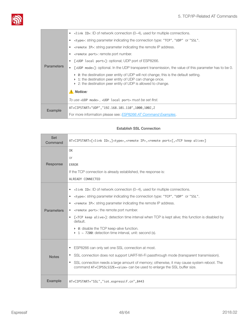

|                   | $\lt$ link ID>: ID of network connection (0 $\lt$ 4), used for multiple connections.<br>٠                                                                                                                                                        |
|-------------------|--------------------------------------------------------------------------------------------------------------------------------------------------------------------------------------------------------------------------------------------------|
|                   | stypes: string parameter indicating the connection type: "TCP", "UDP" or "SSL".                                                                                                                                                                  |
|                   | <remote ip="">: string parameter indicating the remote IP address.</remote>                                                                                                                                                                      |
|                   | <remote port="">: remote port number.</remote>                                                                                                                                                                                                   |
|                   | [ <udp local="" port="">]: optional; UDP port of ESP8266.</udp>                                                                                                                                                                                  |
| <b>Parameters</b> | $\lceil$ <udp mode="">]: optional. In the UDP transparent transmission, the value of this parameter has to be 0.</udp>                                                                                                                           |
|                   | $\triangleright$ 0: the destination peer entity of UDP will not change; this is the default setting.<br>$\triangleright$ 1: the destination peer entity of UDP can change once.<br>▶ 2: the destination peer entity of UDP is allowed to change. |
|                   | Notice:                                                                                                                                                                                                                                          |
|                   | To use <udp mode="">, <udp local="" port=""> must be set first.</udp></udp>                                                                                                                                                                      |
| Example           | AT+CIPSTART="UDP", "192.168.101.110", 1000, 1002, 2                                                                                                                                                                                              |
|                   | For more information please see: ESP8266 AT Command Examples.                                                                                                                                                                                    |
|                   |                                                                                                                                                                                                                                                  |

#### Establish SSL Connection

| <b>Set</b><br>Command | AT+CIPSTART=[ <link id=""/> ,] <type>,<remote ip="">,<remote port="">[,<tcp alive="" keep="">]</tcp></remote></remote></type>                                                                                                                                                                                                                                                                                                                                                                                                                                                                                                                                                                                                                                             |
|-----------------------|---------------------------------------------------------------------------------------------------------------------------------------------------------------------------------------------------------------------------------------------------------------------------------------------------------------------------------------------------------------------------------------------------------------------------------------------------------------------------------------------------------------------------------------------------------------------------------------------------------------------------------------------------------------------------------------------------------------------------------------------------------------------------|
| Response              | 0K<br>0r<br>ERROR<br>If the TCP connection is already established, the response is:<br>ALREADY CONNECTED                                                                                                                                                                                                                                                                                                                                                                                                                                                                                                                                                                                                                                                                  |
| <b>Parameters</b>     | $\lt$ link ID >: ID of network connection (0 $\lt$ 4), used for multiple connections.<br>$\bullet$<br><type>: string parameter indicating the connection type: "TCP", "UDP" or "SSL".<br/><math display="inline">\bullet</math><br/><remote ip="">: string parameter indicating the remote IP address.<br/><math display="inline">\bullet</math><br/><remote port="">: the remote port number.<br/><math display="inline">\bullet</math><br/>[<tcp alive="" keep="">]: detection time interval when TCP is kept alive; this function is disabled by<br/><math display="inline">\bullet</math><br/>default.<br/>• 0: disable the TCP keep-alive function.<br/><math>\rightarrow</math> 1 ~ 7200: detection time interval, unit: second (s).</tcp></remote></remote></type> |
| <b>Notes</b>          | ESP8266 can only set one SSL connection at most.<br>$\bullet$<br>SSL connection does not support UART-Wi-Fi passthrough mode (transparent transmission).<br>٠<br>SSL connection needs a large amount of memory; otherwise, it may cause system reboot. The<br>٠<br>command AT+CIPSSLSIZE= <size> can be used to enlarge the SSL buffer size.</size>                                                                                                                                                                                                                                                                                                                                                                                                                       |
| <b>Example</b>        | AT+CIPSTART="SSL","iot.espressif.cn",8443                                                                                                                                                                                                                                                                                                                                                                                                                                                                                                                                                                                                                                                                                                                                 |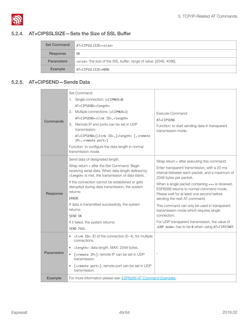#### 5.2.4. AT+CIPSSLSIZE—Sets the Size of SSL Buffer

<span id="page-54-0"></span>

| <b>Set Command</b> | AT+CIPSSLSIZE= <size></size>                                             |  |
|--------------------|--------------------------------------------------------------------------|--|
| Response           | 0K                                                                       |  |
| <b>Parameters</b>  | <size>: the size of the SSL buffer; range of value: [2048, 4096].</size> |  |
| Example            | AT+CIPSSLSIZE=4096                                                       |  |

#### 5.2.5. AT+CIPSEND—Sends Data

<span id="page-54-1"></span>

| Commands          | Set Command:<br>1. Single connection: (+CIPMUX=0)<br>AT+CIPSEND= <length><br/>2. Multiple connections: (+CIPMUX=1)<br/>AT+CIPSEND=<link id=""/>,<length><br/>3. Remote IP and ports can be set in UDP<br/>transmission:<br/>AT+CIPSEND=[<link id=""/>,]<length> [,<remote<br>IP&gt;,<remote port="">]<br/>Function: to configure the data length in normal<br/>transmission mode.</remote></remote<br></length></length></length>                                       | Execute Command:<br>AT+CIPSEND<br>Function: to start sending data in transparent<br>transmission mode.                                                                                                                                                                                                                                                                                                                                                                                                                                                                      |
|-------------------|-------------------------------------------------------------------------------------------------------------------------------------------------------------------------------------------------------------------------------------------------------------------------------------------------------------------------------------------------------------------------------------------------------------------------------------------------------------------------|-----------------------------------------------------------------------------------------------------------------------------------------------------------------------------------------------------------------------------------------------------------------------------------------------------------------------------------------------------------------------------------------------------------------------------------------------------------------------------------------------------------------------------------------------------------------------------|
| Response          | Send data of designated length.<br>Wrap return > after the Set Command. Begin<br>receiving serial data. When data length defined by<br><length> is met, the transmission of data starts.<br/>If the connection cannot be established or gets<br/>disrupted during data transmission, the system<br/>returns:<br/><b>ERROR</b><br/>If data is transmitted successfully, the system<br/>returns:<br/>SEND OK<br/>If it failed, the system returns:<br/>SEND FAIL</length> | Wrap return > after executing this command.<br>Enter transparent transmission, with a 20-ms<br>interval between each packet, and a maximum of<br>2048 bytes per packet.<br>When a single packet containing +++ is received,<br>ESP8266 returns to normal command mode.<br>Please wait for at least one second before<br>sending the next AT command.<br>This command can only be used in transparent<br>transmission mode which requires single<br>connection.<br>For UDP transparent transmission, the value of<br><udp mode=""> has to be 0 when using AT+CIPSTART.</udp> |
| <b>Parameters</b> | $\lt$ link ID>: ID of the connection (0~4), for multiple<br>connections.<br><length>: data length, MAX: 2048 bytes.<br/>[<remote ip="">]: remote IP can be set in UDP<br/>transmission.<br/>[<remote port="">]: remote port can be set in UDP<br/>transmission.</remote></remote></length>                                                                                                                                                                              |                                                                                                                                                                                                                                                                                                                                                                                                                                                                                                                                                                             |
| Example           | For more information please see: <b>ESP8266 AT Command Examples</b> .                                                                                                                                                                                                                                                                                                                                                                                                   |                                                                                                                                                                                                                                                                                                                                                                                                                                                                                                                                                                             |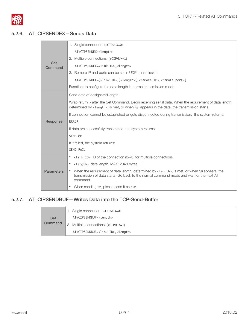

#### 5.2.6. AT+CIPSENDEX—Sends Data

<span id="page-55-0"></span>

|                       | 1. Single connection: (+CIPMUX=0)                                                                                                                                                                                     |
|-----------------------|-----------------------------------------------------------------------------------------------------------------------------------------------------------------------------------------------------------------------|
|                       | AT+CIPSENDEX= <length></length>                                                                                                                                                                                       |
|                       | 2. Multiple connections: (+CIPMUX=1)                                                                                                                                                                                  |
| <b>Set</b><br>Command | AT+CIPSENDEX= <link id=""/> , <length></length>                                                                                                                                                                       |
|                       | 3. Remote IP and ports can be set in UDP transmission:                                                                                                                                                                |
|                       | AT+CIPSENDEX=[ <link id=""/> ,] <length>[,<remote ip="">,<remote port="">]</remote></remote></length>                                                                                                                 |
|                       | Function: to configure the data length in normal transmission mode.                                                                                                                                                   |
|                       | Send data of designated length.                                                                                                                                                                                       |
|                       | Wrap return > after the Set Command. Begin receiving serial data. When the requirement of data length,<br>determined by <length>, is met, or when \0 appears in the data, the transmission starts.</length>           |
|                       | If connection cannot be established or gets disconnected during transmission, the system returns:                                                                                                                     |
| Response              | <b>ERROR</b>                                                                                                                                                                                                          |
|                       | If data are successfully transmitted, the system returns:                                                                                                                                                             |
|                       | SEND OK                                                                                                                                                                                                               |
|                       | If it failed, the system returns:                                                                                                                                                                                     |
|                       | SEND FAIL                                                                                                                                                                                                             |
|                       | $\le$ link ID>: ID of the connection (0 $\sim$ 4), for multiple connections.<br>$\bullet$                                                                                                                             |
|                       | <length>: data length, MAX: 2048 bytes.<br/>٠</length>                                                                                                                                                                |
| <b>Parameters</b>     | When the requirement of data length, determined by <length>, is met, or when \0 appears, the<br/>٠<br/>transmission of data starts. Go back to the normal command mode and wait for the next AT<br/>command.</length> |
|                       | When sending $\Diamond$ , please send it as $\Diamond$ .<br>٠                                                                                                                                                         |

#### 5.2.7. AT+CIPSENDBUF—Writes Data into the TCP-Send-Buffer

<span id="page-55-1"></span>

|            | 1. Single connection: (+CIPMUX=0)                |
|------------|--------------------------------------------------|
| <b>Set</b> | AT+CIPSENDBUF= <length></length>                 |
| Command    | 2. Multiple connections: (+CIPMUX=1)             |
|            | AT+CIPSENDBUF= <link id=""/> , <length></length> |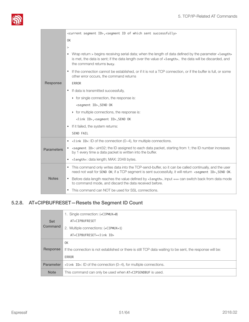

|                   | <current id="" segment="">,<segment id="" of="" sent="" successfully="" which=""></segment></current>                                                                                                                                                                                                        |  |
|-------------------|--------------------------------------------------------------------------------------------------------------------------------------------------------------------------------------------------------------------------------------------------------------------------------------------------------------|--|
| 0K                |                                                                                                                                                                                                                                                                                                              |  |
|                   | $\geq$                                                                                                                                                                                                                                                                                                       |  |
|                   | Wrap return > begins receiving serial data; when the length of data defined by the parameter <length><br/><math display="inline">\bullet</math><br/>is met, the data is sent; if the data length over the value of <length>, the data will be discarded, and<br/>the command returns busy.</length></length> |  |
|                   | If the connection cannot be established, or if it is not a TCP connection, or if the buffer is full, or some<br>$\bullet$<br>other error occurs, the command returns                                                                                                                                         |  |
| Response          | <b>ERROR</b>                                                                                                                                                                                                                                                                                                 |  |
|                   | If data is transmitted successfully,<br>$\bullet$                                                                                                                                                                                                                                                            |  |
|                   | $\triangleright$ for single connection, the response is:                                                                                                                                                                                                                                                     |  |
|                   | <segment id="">, SEND OK</segment>                                                                                                                                                                                                                                                                           |  |
|                   | • for multiple connections, the response is:                                                                                                                                                                                                                                                                 |  |
|                   | <link id=""/> , <segment id="">,SEND OK</segment>                                                                                                                                                                                                                                                            |  |
|                   | If it failed, the system returns:<br>$\bullet$                                                                                                                                                                                                                                                               |  |
|                   | <b>SEND FAIL</b>                                                                                                                                                                                                                                                                                             |  |
|                   | $\lt$ link ID>: ID of the connection (0 $\sim$ 4), for multiple connections.<br>$\bullet$                                                                                                                                                                                                                    |  |
| <b>Parameters</b> | <segment id="">: uint32; the ID assigned to each data packet, starting from 1; the ID number increases<br/>by 1 every time a data packet is written into the buffer.</segment>                                                                                                                               |  |
|                   | <length>: data length; MAX: 2048 bytes.<br/><math display="inline">\bullet</math></length>                                                                                                                                                                                                                   |  |
|                   | This command only writes data into the TCP-send-buffer, so it can be called continually, and the user<br>$\bullet$<br>need not wait for SEND OK; if a TCP segment is sent successfully, it will return <segment id="">, SEND OK.</segment>                                                                   |  |
| <b>Notes</b>      | Before data length reaches the value defined by <length>, input +++ can switch back from data mode<br/><math display="inline">\bullet</math><br/>to command mode, and discard the data received before.</length>                                                                                             |  |
|                   | This command can NOT be used for SSL connections.<br>$\bullet$                                                                                                                                                                                                                                               |  |

## 5.2.8. AT+CIPBUFRESET—Resets the Segment ID Count

<span id="page-56-0"></span>

| <b>Note</b>      | This command can only be used when AT+CIPSENDBUF is used.                                                 |
|------------------|-----------------------------------------------------------------------------------------------------------|
| <b>Parameter</b> | $\lt$ link ID>: ID of the connection (0 $\sim$ 4), for multiple connections.                              |
|                  | ERROR                                                                                                     |
| Response         | If the connection is not established or there is still TCP data waiting to be sent, the response will be: |
|                  | 0K                                                                                                        |
|                  | AT+CIPBUFRESET= <link id=""/>                                                                             |
| Command          | 2. Multiple connections: (+CIPMUX=1)                                                                      |
| <b>Set</b>       | AT+CIPBUFRESET                                                                                            |
|                  | 1. Single connection: (+CIPMUX=0)                                                                         |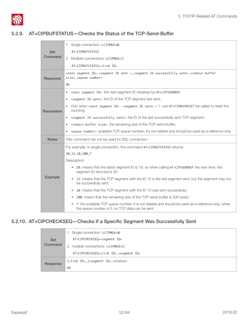

#### 5.2.9. AT+CIPBUFSTATUS—Checks the Status of the TCP-Send-Buffer

<span id="page-57-0"></span>

|                   | 1. Single connection: (+CIPMUX=0)                                                                                                                                                   |  |
|-------------------|-------------------------------------------------------------------------------------------------------------------------------------------------------------------------------------|--|
| Set               | AT+CIPBUFSTATUS                                                                                                                                                                     |  |
| Command           | 2. Multiple connections: (+CIPMUX=1)                                                                                                                                                |  |
|                   | AT+CIPBUFSTATUS= <link id=""/>                                                                                                                                                      |  |
| Response          | <next id="" segment="">,<segment id="" sent="">,<segment id="" sent="" successfully="">,<remain buffer<br="">size&gt;,<queue number=""></queue></remain></segment></segment></next> |  |
|                   | 0K                                                                                                                                                                                  |  |
|                   | <next id="" segment="">: the next segment ID obtained by AT+CIPSENDBUF;<br/><math display="inline">\bullet</math></next>                                                            |  |
|                   | <segment id="" sent="">: the ID of the TCP segment last sent;<br/>٠</segment>                                                                                                       |  |
| <b>Parameters</b> | Only when <next id="" segment=""> - <segment id="" sent=""> = 1, can <math>AT+CIPBUFRESET</math> be called to reset the<br/>counting.</segment></next>                              |  |
|                   | <segment id="" sent="" successfully="">: the ID of the last successfully sent TCP segment;<br/><math display="inline">\bullet</math></segment>                                      |  |
|                   | <remain buffer="" size="">: the remaining size of the TCP-send-buffer;<br/><math display="inline">\bullet</math></remain>                                                           |  |
|                   | <queue number="">: available TCP queue number; it's not reliable and should be used as a reference only.<br/><math display="inline">\bullet</math></queue>                          |  |
| <b>Notes</b>      | This command can not be used for SSL connection.                                                                                                                                    |  |
|                   | For example, in single connection, the command AT+CIPBUFSTATUS returns:                                                                                                             |  |
|                   | 20, 15, 10, 200, 7                                                                                                                                                                  |  |
|                   | Description:                                                                                                                                                                        |  |
|                   | 20: means that the latest segment ID is 19; so when calling AT+CIPSENDBUF the next time, the<br>$\bullet$<br>segment ID returned is 20;                                             |  |
| Example           | 15: means that the TCP segment with the ID 15 is the last segment sent, but the segment may not<br>$\bullet$<br>be successfully sent;                                               |  |
|                   | 10: means that the TCP segment with the ID 10 was sent successfully;<br>$\bullet$                                                                                                   |  |
|                   | 200: means that the remaining size of the TCP-send-buffer is 200 bytes;<br>$\bullet$                                                                                                |  |
|                   | 7: the available TCP queue number; it is not reliable and should be used as a reference only; when<br>$\bullet$<br>the queue number is 0, no TCP data can be sent.                  |  |

#### 5.2.10. AT+CIPCHECKSEQ—Checks If a Specific Segment Was Successfully Sent

<span id="page-57-1"></span>

|            | 1. Single connection: (+CIPMUX=0)                              |
|------------|----------------------------------------------------------------|
| <b>Set</b> | AT+CIPCHECKSEQ= <segment id=""></segment>                      |
| Command    | 2. multiple connections: (+CIPMUX=1)                           |
|            | AT+CIPCHECKSEQ= <link id=""/> , <segment id=""></segment>      |
| Response   | [ <link id=""/> ,] <segment id="">,<status></status></segment> |
|            | 0K                                                             |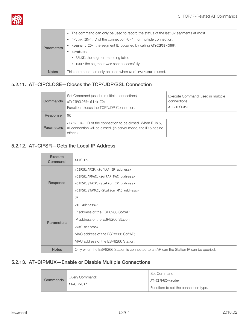

|                   | The command can only be used to record the status of the last 32 segments at most.<br>$\bullet$ |  |
|-------------------|-------------------------------------------------------------------------------------------------|--|
|                   | $\lceil$ <link id=""/> ]: ID of the connection (0~4), for multiple connection;                  |  |
| <b>Parameters</b> | <segment id="">: the segment ID obtained by calling AT+CIPSENDBUF;</segment>                    |  |
|                   | <status>:</status>                                                                              |  |
|                   | ▶ FALSE: the segment-sending failed;                                                            |  |
|                   | TRUE: the segment was sent successfully.<br>Þ.                                                  |  |
| <b>Notes</b>      | This command can only be used when AT+CIPSENDBUF is used.                                       |  |

#### 5.2.11. AT+CIPCLOSE—Closes the TCP/UDP/SSL Connection

<span id="page-58-0"></span>

| Commands          | Set Command (used in multiple connections):<br>AT+CIPCLOSE= <link id=""/><br>Function: closes the TCP/UDP Connection.                           | Execute Command (used in multiple<br>connections):<br>AT+CIPCLOSE |  |
|-------------------|-------------------------------------------------------------------------------------------------------------------------------------------------|-------------------------------------------------------------------|--|
| Response          | 0K                                                                                                                                              |                                                                   |  |
| <b>Parameters</b> | <link id=""/> : ID of the connection to be closed. When ID is 5,<br>all connection will be closed. (In server mode, the ID 5 has no<br>effect.) | $\overline{\phantom{a}}$                                          |  |

#### 5.2.12. AT+CIFSR—Gets the Local IP Address

<span id="page-58-1"></span>

| Execute<br>Command | AT+CIFSR                                                                               |  |
|--------------------|----------------------------------------------------------------------------------------|--|
|                    | +CIFSR:APIP, <softap address="" ip=""></softap>                                        |  |
|                    | +CIFSR:APMAC, <softap address="" mac=""></softap>                                      |  |
| Response           | +CIFSR: STAIP, <station address="" ip=""></station>                                    |  |
|                    | +CIFSR: STAMAC, <station address="" mac=""></station>                                  |  |
|                    | 0K                                                                                     |  |
|                    | <ip address="">:</ip>                                                                  |  |
|                    | IP address of the ESP8266 SoftAP;                                                      |  |
| <b>Parameters</b>  | IP address of the ESP8266 Station.                                                     |  |
|                    | <mac address="">:</mac>                                                                |  |
|                    | MAC address of the ESP8266 SoftAP;                                                     |  |
|                    | MAC address of the ESP8266 Station.                                                    |  |
| <b>Notes</b>       | Only when the ESP8266 Station is connected to an AP can the Station IP can be queried. |  |

#### 5.2.13. AT+CIPMUX—Enable or Disable Multiple Connections

<span id="page-58-2"></span>

|  |          | Query Command:<br>AT+CIPMUX? | Set Command:                          |
|--|----------|------------------------------|---------------------------------------|
|  | Commands |                              | AT+CIPMUX= <mode></mode>              |
|  |          |                              | Function: to set the connection type. |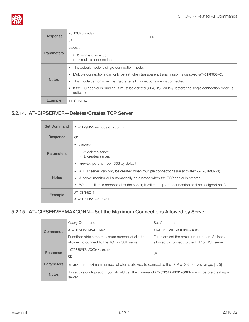

| Response          | $+$ CIPMUX: $<$ mode><br>0K                                                                                                                                                                                                                                                                                                                                                                     | 0K |
|-------------------|-------------------------------------------------------------------------------------------------------------------------------------------------------------------------------------------------------------------------------------------------------------------------------------------------------------------------------------------------------------------------------------------------|----|
| <b>Parameters</b> | $<$ mode $>$ :<br>0: single connection<br>Þ.<br>$\triangleright$ 1: multiple connections                                                                                                                                                                                                                                                                                                        |    |
| <b>Notes</b>      | The default mode is single connection mode.<br>$\bullet$<br>Multiple connections can only be set when transparent transmission is disabled $(AT+CIPMODE=0)$ .<br>$\bullet$<br>This mode can only be changed after all connections are disconnected.<br>۰<br>If the TCP server is running, it must be deleted $(AT+CIPSERVER=0)$ before the single connection mode is<br>$\bullet$<br>activated. |    |
| Example           | $AT + CIPMUX = 1$                                                                                                                                                                                                                                                                                                                                                                               |    |

#### 5.2.14. AT+CIPSERVER—Deletes/Creates TCP Server

<span id="page-59-0"></span>

| <b>Set Command</b> | AT+CIPSERVER= <mode>[,<port>]</port></mode>                                                                                                                                                                                                                                                                 |  |
|--------------------|-------------------------------------------------------------------------------------------------------------------------------------------------------------------------------------------------------------------------------------------------------------------------------------------------------------|--|
| Response           | 0K                                                                                                                                                                                                                                                                                                          |  |
| <b>Parameters</b>  | $<$ mode $>$ :<br>$\triangleright$ 0: deletes server.<br>▶ 1: creates server.<br><port>: port number; 333 by default.</port>                                                                                                                                                                                |  |
| <b>Notes</b>       | • A TCP server can only be created when multiple connections are activated $(AT+CIPMUX=1)$ .<br>A server monitor will automatically be created when the TCP server is created.<br>$\bullet$<br>When a client is connected to the server, it will take up one connection and be assigned an ID.<br>$\bullet$ |  |
| <b>Example</b>     | $AT + CIPMUX = 1$<br>AT+CIPSERVER=1,1001                                                                                                                                                                                                                                                                    |  |

#### 5.2.15. AT+CIPSERVERMAXCONN—Set the Maximum Connections Allowed by Server

<span id="page-59-1"></span>

| Commands          | Query Command:                                                                                                        | Set Command:                                                                                |
|-------------------|-----------------------------------------------------------------------------------------------------------------------|---------------------------------------------------------------------------------------------|
|                   | AT+CIPSERVERMAXCONN?                                                                                                  | AT+CIPSERVERMAXCONN= <num></num>                                                            |
|                   | Function: obtain the maximum number of clients<br>allowed to connect to the TCP or SSL server.                        | Function: set the maximum number of clients<br>allowed to connect to the TCP or SSL server. |
| Response          | +CIPSERVERMAXCONN: <num></num>                                                                                        | 0K                                                                                          |
|                   | 0K                                                                                                                    |                                                                                             |
| <b>Parameters</b> | <num>: the maximum number of clients allowed to connect to the TCP or SSL server, range: [1, 5]</num>                 |                                                                                             |
| <b>Notes</b>      | To set this configuration, you should call the command AT+CIPSERVERMAXCONN= <num> before creating a<br/>server.</num> |                                                                                             |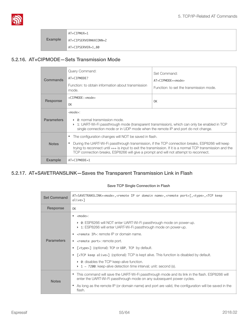

| Example | AT+CIPMUX=1<br>AT+CIPSERVERMAXCONN=2 |
|---------|--------------------------------------|
|         | AT+CIPSERVER=1,80                    |

#### 5.2.16. AT+CIPMODE—Sets Transmission Mode

<span id="page-60-0"></span>

| Commands          | Query Command:<br>AT+CIPMODE?<br>Function: to obtain information about transmission<br>mode.                                                                                                                                                                                                                                                                    | Set Command:<br>$AT + CTPMODF = mode$<br>Function: to set the transmission mode. |
|-------------------|-----------------------------------------------------------------------------------------------------------------------------------------------------------------------------------------------------------------------------------------------------------------------------------------------------------------------------------------------------------------|----------------------------------------------------------------------------------|
| Response          | $+CIPMODE$ : $<$ mode><br>0K                                                                                                                                                                                                                                                                                                                                    | 0K                                                                               |
| <b>Parameters</b> | $<$ mode $>$ :<br>$\triangleright$ 0: normal transmission mode.<br>► 1: UART-Wi-Fi passthrough mode (transparent transmission), which can only be enabled in TCP<br>single connection mode or in UDP mode when the remote IP and port do not change.                                                                                                            |                                                                                  |
| <b>Notes</b>      | The configuration changes will NOT be saved in flash.<br>During the UART-Wi-Fi passthrough transmission, if the TCP connection breaks, ESP8266 will keep<br>trying to reconnect until +++ is input to exit the transmission. If it is a normal TCP transmission and the<br>TCP connection breaks, ESP8266 will give a prompt and will not attempt to reconnect. |                                                                                  |
| Example           | $AT + C$ TPMODF=1                                                                                                                                                                                                                                                                                                                                               |                                                                                  |

#### <span id="page-60-1"></span>5.2.17. AT+SAVETRANSLINK—Saves the Transparent Transmission Link in Flash

#### Save TCP Single Connection in Flash

| <b>Set Command</b> | AT+SAVETRANSLINK= <mode>,<remote domain="" ip="" name="" or="">,<remote port="">[,<type>,<tcp keep<br="">alive&gt;]</tcp></type></remote></remote></mode>                                                                                                                                                                                                                                                                                                                                                                |  |
|--------------------|--------------------------------------------------------------------------------------------------------------------------------------------------------------------------------------------------------------------------------------------------------------------------------------------------------------------------------------------------------------------------------------------------------------------------------------------------------------------------------------------------------------------------|--|
| Response           | 0K                                                                                                                                                                                                                                                                                                                                                                                                                                                                                                                       |  |
| <b>Parameters</b>  | $\bullet$ <mode>:<br/>▶ 0: ESP8266 will NOT enter UART-Wi-Fi passthrough mode on power-up.<br/>1: ESP8266 will enter UART-Wi-Fi passthrough mode on power-up.<br/><math>\bullet</math> <remote ip="">: remote IP or domain name.<br/>• &lt; remote port&gt;: remote port.<br/>[<type>] (optional): TCP or UDP, TCP by default.<br/>٠<br/>[<tcp alive="" keep="">] (optional): TCP is kept alive. This function is disabled by default.<br/>٠<br/>▶ 0: disables the TCP keep-alive function.</tcp></type></remote></mode> |  |
|                    | $1 \sim 7200$ : keep-alive detection time interval; unit: second (s).                                                                                                                                                                                                                                                                                                                                                                                                                                                    |  |
| <b>Notes</b>       | • This command will save the UART-Wi-Fi passthrough mode and its link in the flash. ESP8266 will<br>enter the UART-Wi-Fi passthrough mode on any subsequent power cycles.                                                                                                                                                                                                                                                                                                                                                |  |
|                    | As long as the remote IP (or domain name) and port are valid, the configuration will be saved in the<br>flash.                                                                                                                                                                                                                                                                                                                                                                                                           |  |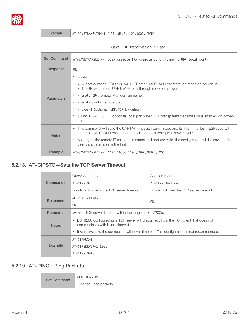

Example AT+SAVETRANSLINK=1,"192.168.6.110",1002,"TCP"

#### Save UDP Transmission in Flash

| <b>Set Command</b> | AT+SAVETRANSLINK= <mode>,<remote ip="">,<remote port="">,<type>[,<udp local="" port="">]</udp></type></remote></remote></mode>                                                                                                                                                                                                                                                                                                                 |  |
|--------------------|------------------------------------------------------------------------------------------------------------------------------------------------------------------------------------------------------------------------------------------------------------------------------------------------------------------------------------------------------------------------------------------------------------------------------------------------|--|
| Response           | 0K                                                                                                                                                                                                                                                                                                                                                                                                                                             |  |
| <b>Parameters</b>  | <mode>:<br/>▶ 0: normal mode; ESP8266 will NOT enter UART-Wi-Fi passthrough mode on power-up.<br/>1: ESP8266 enters UART-Wi-Fi passthrough mode on power-up.<br/>• &lt; remote IP&gt;: remote IP or domain name.<br/>• &lt; remote port&gt;: remote port.<br/>[<type>] (optional): UDP; TCP by default.<br/>[<udp local="" port="">] (optional): local port when UDP transparent transmission is enabled on power-<br/>up.</udp></type></mode> |  |
| <b>Notes</b>       | • This command will save the UART-Wi-Fi passthrough mode and its link in the flash. ESP8266 will<br>enter the UART-Wi-Fi passthrough mode on any subsequent power cycles.<br>As long as the remote IP (or domain name) and port are valid, the configuration will be saved in the<br>user parameter area in the flash.                                                                                                                         |  |
| <b>Example</b>     | AT+SAVETRANSLINK=1, "192.168.6.110", 1002, "UDP", 1005                                                                                                                                                                                                                                                                                                                                                                                         |  |

#### 5.2.18. AT+CIPSTO—Sets the TCP Server Timeout

<span id="page-61-0"></span>

| Commands       | Query Command:                                                                                                                          | Set Command:                             |
|----------------|-----------------------------------------------------------------------------------------------------------------------------------------|------------------------------------------|
|                | AT+CIPST0?                                                                                                                              | AT+CIPSTO= <time></time>                 |
|                | Function: to check the TCP server timeout.                                                                                              | Function: to set the TCP server timeout. |
| Response       | +CIPSTO: <time></time>                                                                                                                  | 0K                                       |
|                | 0K                                                                                                                                      |                                          |
| Parameter      | $\lt$ time>: TCP server timeout within the range of 0 $\sim$ 7200s.                                                                     |                                          |
| <b>Notes</b>   | ESP8266 configured as a TCP server will disconnect from the TCP client that does not<br>$\bullet$<br>communicate with it until timeout. |                                          |
|                | If AT+CIPSTO=0, the connection will never time out. This configuration is not recommended.                                              |                                          |
|                | $AT + CIPMUX = 1$                                                                                                                       |                                          |
| <b>Example</b> | AT+CIPSERVER=1,1001                                                                                                                     |                                          |
|                | AT+CIPST0=10                                                                                                                            |                                          |

#### 5.2.19. AT+PING—Ping Packets

<span id="page-61-1"></span>

| <b>Set Command</b> | $AT+PING=$              |
|--------------------|-------------------------|
|                    | Function: Ping packets. |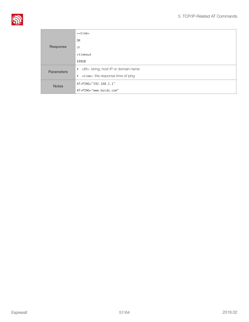

|                   | $+$ $<$ time $>$                            |
|-------------------|---------------------------------------------|
| Response          | 0K                                          |
|                   | <b>or</b>                                   |
|                   | +timeout                                    |
|                   | ERROR                                       |
| <b>Parameters</b> | • <ip>: string; host IP or domain name</ip> |
|                   | • <time>: the response time of ping</time>  |
| <b>Notes</b>      | AT+PING="192.168.1.1"                       |
|                   | AT+PING="www.baidu.com"                     |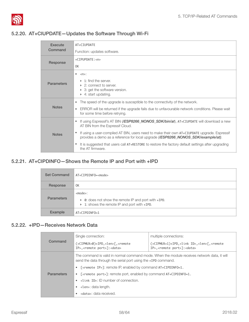

#### 5.2.20. AT+CIUPDATE—Updates the Software Through Wi-Fi

<span id="page-63-0"></span>

| <b>Execute</b>    | AT+CIUPDATE                                                                                                                                                                                                  |  |
|-------------------|--------------------------------------------------------------------------------------------------------------------------------------------------------------------------------------------------------------|--|
| Command           | Function: updates software.                                                                                                                                                                                  |  |
| Response          | $+$ CIPUPDATE: $\langle$ n>                                                                                                                                                                                  |  |
|                   | 0K                                                                                                                                                                                                           |  |
| <b>Parameters</b> | $\bullet$<br>$\langle n \rangle$ :<br>$\triangleright$ 1: find the server.<br>$\triangleright$ 2: connect to server.<br>$\triangleright$ 3: get the software version.<br>$\triangleright$ 4: start updating. |  |
|                   | The speed of the upgrade is susceptible to the connectivity of the network.<br>$\bullet$                                                                                                                     |  |
| <b>Notes</b>      | ERROR will be returned if the upgrade fails due to unfavourable network conditions. Please wait<br>$\bullet$<br>for some time before retrying.                                                               |  |
| <b>Notes</b>      | If using Espressif's AT BIN ( <b>/ESP8266_NONOS_SDK/bin/at</b> ), AT+CIUPDATE will download a new<br>$\bullet$<br>AT BIN from the Espressif Cloud.                                                           |  |
|                   | If using a user-compiled AT BIN, users need to make their own AT+CIUPDATE upgrade. Espressif<br>$\bullet$<br>provides a demo as a reference for local upgrade ( <b>/ESP8266_NONOS_SDK/example/at)</b> .      |  |
|                   | It is suggested that users call AT+RESTORE to restore the factory default settings after upgrading<br>the AT firmware.                                                                                       |  |

#### 5.2.21. AT+CIPDINFO—Shows the Remote IP and Port with +IPD

<span id="page-63-1"></span>

| <b>Set Command</b> | AT+CIPDINF0= <mode></mode>                                                                                             |
|--------------------|------------------------------------------------------------------------------------------------------------------------|
| Response           | 0K                                                                                                                     |
| <b>Parameters</b>  | $<$ mode $>$ :<br>▶ 0: does not show the remote IP and port with +IPD.<br>▶ 1: shows the remote IP and port with +IPD. |
| <b>Example</b>     | AT+CIPDINF0=1                                                                                                          |

#### 5.2.22. +IPD—Receives Network Data

<span id="page-63-2"></span>

|                   | Single connection:                                                                                                                                           | multiple connections:                                                                                                |
|-------------------|--------------------------------------------------------------------------------------------------------------------------------------------------------------|----------------------------------------------------------------------------------------------------------------------|
| Command           | (+CIPMUX=0)+IPD, <len>[,<remote<br>IP&gt;,<remote port="">]:<data></data></remote></remote<br></len>                                                         | (+CIPMUX=1)+IPD, <link id=""/> , <len>[,<remote<br>IP&gt;,<remote port="">]:<data></data></remote></remote<br></len> |
|                   | The command is valid in normal command mode. When the module receives network data, it will<br>send the data through the serial port using the +IPD command. |                                                                                                                      |
|                   | • [ <remote ip="">]: remote IP, enabled by command AT+CIPDINF0=1.</remote>                                                                                   |                                                                                                                      |
| <b>Parameters</b> | • $\lceil$ < remote port>7: remote port, enabled by command $AT+CIPDINEO=1$ .                                                                                |                                                                                                                      |
|                   | $\bullet$ <link id=""/> : ID number of connection.                                                                                                           |                                                                                                                      |
|                   | $\bullet$ < len>: data length.                                                                                                                               |                                                                                                                      |
|                   | <data>: data received.</data>                                                                                                                                |                                                                                                                      |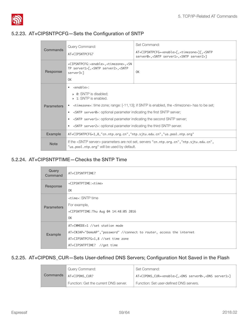

### 5.2.23. AT+CIPSNTPCFG—Sets the Configuration of SNTP

<span id="page-64-0"></span>

| Commands          | Query Command:<br>AT+CIPSNTPCFG?                                                                                                                                                                                                                                                                                                                                                                                                                                                                                            | Set Command:<br>AT+CIPSNTPCFG= <enable>[,<timezone>][,<sntp<br>server0&gt;,<sntp server1="">,<sntp server2="">7</sntp></sntp></sntp<br></timezone></enable> |
|-------------------|-----------------------------------------------------------------------------------------------------------------------------------------------------------------------------------------------------------------------------------------------------------------------------------------------------------------------------------------------------------------------------------------------------------------------------------------------------------------------------------------------------------------------------|-------------------------------------------------------------------------------------------------------------------------------------------------------------|
| Response          | +CIPSNTPCFG: <enable>,<timezone>,<sn<br>TP server1&gt;[,<sntp server2="">,<sntp<br>server3&gt;7<br/>0K</sntp<br></sntp></sn<br></timezone></enable>                                                                                                                                                                                                                                                                                                                                                                         | 0K                                                                                                                                                          |
| <b>Parameters</b> | <enable>:<br/>٠<br/><math>\triangleright</math> 0: SNTP is disabled;<br/><math>\triangleright</math> 1: SNTP is enabled.<br/><timezone>: time zone; range: [-11,13]; if SNTP is enabled, the <timezone> has to be set;<br/><sntp server0="">: optional parameter indicating the first SNTP server;<br/>٠<br/><sntp server1="">: optional parameter indicating the second SNTP server;<br/><sntp server2="">: optional parameter indicating the third SNTP server.<br/>٠</sntp></sntp></sntp></timezone></timezone></enable> |                                                                                                                                                             |
| <b>Example</b>    | AT+CIPSNTPCFG=1,8,"cn.ntp.org.cn","ntp.sjtu.edu.cn","us.pool.ntp.org"                                                                                                                                                                                                                                                                                                                                                                                                                                                       |                                                                                                                                                             |
| <b>Note</b>       | If the <sntp server=""> parameters are not set, servers "cn.ntp.org.cn", "ntp.sjtu.edu.cn",<br/>"us.pool.ntp.org" will be used by default.</sntp>                                                                                                                                                                                                                                                                                                                                                                           |                                                                                                                                                             |

#### 5.2.24. AT+CIPSNTPTIME—Checks the SNTP Time

<span id="page-64-1"></span>

| Query<br>Command  | AT+CIPSNTPTIME?                                                       |  |
|-------------------|-----------------------------------------------------------------------|--|
| Response          | +CIPSNTPTIME: <time></time>                                           |  |
|                   | 0K                                                                    |  |
|                   | <time>: SNTP time</time>                                              |  |
| <b>Parameters</b> | For example,                                                          |  |
|                   | +CIPSNTPTIME: Thu Aug 04 14:48:05 2016                                |  |
|                   | 0K                                                                    |  |
|                   | AT+CWMODE=1 //set station mode                                        |  |
| Example           | AT+CWJAP="DemoAP","password" //connect to router, access the internet |  |
|                   | AT+CIPSNTPCFG=1,8 //set time zone                                     |  |
|                   | AT+CIPSNTPTIME? //get time                                            |  |

#### 5.2.25. AT+CIPDNS\_CUR—Sets User-defined DNS Servers; Configuration Not Saved in the Flash

<span id="page-64-2"></span>

|          | Query Command:                        | Set Command:                                                                     |
|----------|---------------------------------------|----------------------------------------------------------------------------------|
| Commands | AT+CIPDNS CUR?                        | AT+CIPDNS_CUR= <enable>[,<dns server0="">,<dns server1="">]</dns></dns></enable> |
|          | Function: Get the current DNS server. | Function: Set user-defined DNS servers.                                          |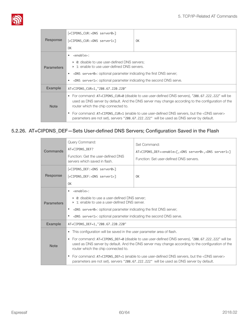

|                   | [+CIPDNS_CUR: <dns server0="">]</dns>                                                                                                                                                                                                              |    |
|-------------------|----------------------------------------------------------------------------------------------------------------------------------------------------------------------------------------------------------------------------------------------------|----|
| Response          | [+CIPDNS_CUR: <dns server1="">]</dns>                                                                                                                                                                                                              | 0K |
|                   | 0K                                                                                                                                                                                                                                                 |    |
|                   | <enable>:</enable>                                                                                                                                                                                                                                 |    |
| <b>Parameters</b> | • 0: disable to use user-defined DNS servers;<br>▶ 1: enable to use user-defined DNS servers.                                                                                                                                                      |    |
|                   | <dns server0="">: optional parameter indicating the first DNS server;<br/>٠</dns>                                                                                                                                                                  |    |
|                   | <dns server1="">: optional parameter indicating the second DNS serve.</dns>                                                                                                                                                                        |    |
| <b>Example</b>    | AT+CIPDNS_CUR=1, "208.67.220.220"                                                                                                                                                                                                                  |    |
| <b>Note</b>       | For command: AT+CIPDNS_CUR=0 (disable to use user-defined DNS servers), "208.67.222.222" will be<br>٠<br>used as DNS server by default. And the DNS server may change according to the configuration of the<br>router which the chip connected to. |    |
|                   | For command: AT+CIPDNS_CUR=1 (enable to use user-defined DNS servers, but the <dns server=""><br/>parameters are not set), servers "208.67.222.222" will be used as DNS server by default.</dns>                                                   |    |

#### 5.2.26. AT+CIPDNS\_DEF—Sets User-defined DNS Servers; Configuration Saved in the Flash

<span id="page-65-0"></span>

| Commands          | Query Command:<br>AT+CIPDNS_DEF?<br>Function: Get the user-defined DNS<br>servers which saved in flash.                                                                                                                                                                                                                                                                                                                                                                                                                                 | Set Command:<br>AT+CIPDNS_DEF= <enable>[,<dns server0="">,<dns server1="">]<br/>Function: Set user-defined DNS servers.</dns></dns></enable> |
|-------------------|-----------------------------------------------------------------------------------------------------------------------------------------------------------------------------------------------------------------------------------------------------------------------------------------------------------------------------------------------------------------------------------------------------------------------------------------------------------------------------------------------------------------------------------------|----------------------------------------------------------------------------------------------------------------------------------------------|
| Response          | [+CIPDNS_DEF: <dns server0="">]<br/>[+CIPDNS_DEF:<dns server1="">]<br/>0K</dns></dns>                                                                                                                                                                                                                                                                                                                                                                                                                                                   | 0K                                                                                                                                           |
| <b>Parameters</b> | <enable>:<br/>▶ 0: disable to use a user-defined DNS server:<br/><math>\triangleright</math> 1: enable to use a user-defined DNS server.<br/><dns server0="">: optional parameter indicating the first DNS server;<br/>٠<br/><dns server1="">: optional parameter indicating the second DNS serve.</dns></dns></enable>                                                                                                                                                                                                                 |                                                                                                                                              |
| Example           | AT+CIPDNS_DEF=1, "208.67.220.220"                                                                                                                                                                                                                                                                                                                                                                                                                                                                                                       |                                                                                                                                              |
| <b>Note</b>       | This configuration will be saved in the user parameter area of flash.<br>For command: AT+CIPDNS_DEF=0 (disable to use user-defined DNS servers), "208.67.222.222" will be<br>$\bullet$<br>used as DNS server by default. And the DNS server may change according to the configuration of the<br>router which the chip connected to.<br>For command: AT+CIPDNS_DEF=1 (enable to use user-defined DNS servers, but the <dns server=""><br/>parameters are not set), servers "208.67.222.222" will be used as DNS server by default.</dns> |                                                                                                                                              |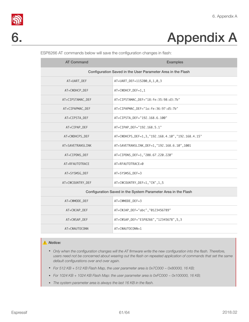

# 6. Appendix A

| <b>AT Command</b>                                             | <b>Examples</b>                                  |  |
|---------------------------------------------------------------|--------------------------------------------------|--|
| Configuration Saved in the User Parameter Area in the Flash   |                                                  |  |
| AT+UART_DEF                                                   | AT+UART_DEF=115200,8,1,0,3                       |  |
| AT+CWDHCP_DEF                                                 | AT+CWDHCP_DEF=1,1                                |  |
| AT+CIPSTAMAC_DEF                                              | AT+CIPSTAMAC_DEF="18:fe:35:98:d3:7b"             |  |
| AT+CIPAPMAC_DEF                                               | AT+CIPAPMAC_DEF="1a:fe:36:97:d5:7b"              |  |
| AT+CIPSTA_DEF                                                 | AT+CIPSTA_DEF="192.168.6.100"                    |  |
| AT+CIPAP_DEF                                                  | AT+CIPAP_DEF="192.168.5.1"                       |  |
| AT+CWDHCPS_DEF                                                | AT+CWDHCPS_DEF=1,3,"192.168.4.10","192.168.4.15" |  |
| AT+SAVETRANSLINK                                              | AT+SAVETRANSLINK_DEF=1, "192.168.6.10", 1001     |  |
| AT+CIPDNS_DEF                                                 | AT+CIPDNS_DEF=1,"208.67.220.220"                 |  |
| AT+RFAUTOTRACE                                                | AT+RFAUTOTRACE=0                                 |  |
| AT+SYSMSG_DEF                                                 | AT+SYSMSG_DEF=3                                  |  |
| AT+CWCOUNTRY_DEF                                              | AT+CWCOUNTRY_DEF=1,"CN",1,5                      |  |
| Configuration Saved in the System Parameter Area in the Flash |                                                  |  |
| AT+CWMODE_DEF                                                 | AT+CWMODE_DEF=3                                  |  |
| AT+CWJAP_DEF                                                  | AT+CWJAP_DEF="abc", "0123456789"                 |  |
| AT+CWSAP_DEF                                                  | AT+CWSAP_DEF="ESP8266", "12345678", 5, 3         |  |
| AT+CWAUTOCONN                                                 | AT+CWAUTOCONN=1                                  |  |

<span id="page-66-0"></span>ESP8266 AT commands below will save the configuration changes in flash:

#### ⚠ *Notice:*

- Only when the configuration changes will the AT firmware write the new configuration into the flash. Therefore, *users need not be concerned about wearing out the flash on repeated application of commands that set the same default configurations over and over again.*
- *• For 512 KB + 512 KB Flash Map, the user parameter area is 0x7C000 ~ 0x80000, 16 KB;*
- *• For 1024 KB + 1024 KB Flash Map: the user parameter area is 0xFC000 ~ 0x100000, 16 KB;*
- *• The system parameter area is always the last 16 KB in the flash.*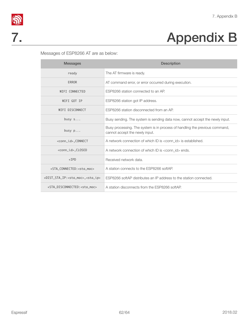

# **S**<br> **7.** Appendix B<br> **7.**

<span id="page-67-0"></span>Messages of ESP8266 AT are as below:

| <b>Messages</b>                                     | <b>Description</b>                                                                                            |
|-----------------------------------------------------|---------------------------------------------------------------------------------------------------------------|
| ready                                               | The AT firmware is ready.                                                                                     |
| ERROR                                               | AT command error, or error occurred during execution.                                                         |
| WIFI CONNECTED                                      | ESP8266 station connected to an AP.                                                                           |
| WIFI GOT IP                                         | ESP8266 station got IP address.                                                                               |
| WIFI DISCONNECT                                     | ESP8266 station disconnected from an AP.                                                                      |
| busy $s$                                            | Busy sending. The system is sending data now, cannot accept the newly input.                                  |
| busy $p$                                            | Busy processing. The system is in process of handling the previous command,<br>cannot accept the newly input. |
| <conn_id>,CONNECT</conn_id>                         | A network connection of which ID is <conn id=""> is established.</conn>                                       |
| <conn_id>,CLOSED</conn_id>                          | A network connection of which ID is <conn id=""> ends.</conn>                                                 |
| $+IPD$                                              | Received network data.                                                                                        |
| +STA_CONNECTED: <sta_mac></sta_mac>                 | A station connects to the ESP8266 softAP.                                                                     |
| +DIST_STA_IP: <sta_mac>,<sta_ip></sta_ip></sta_mac> | ESP8266 softAP distributes an IP address to the station connected.                                            |
| +STA DISCONNECTED: <sta mac=""></sta>               | A station disconnects from the ESP8266 softAP.                                                                |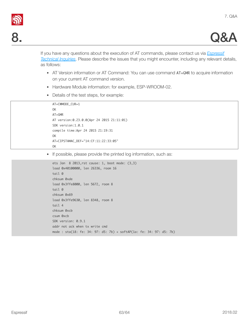



If you have any questions about the execution of AT commands, please contact us via *[Espressif](http://espressif.com/en/company/contact/after-sale-questions)  [Technical Inquiries](http://espressif.com/en/company/contact/after-sale-questions)*. Please describe the issues that you might encounter, including any relevant details, as follows:

- <span id="page-68-0"></span>• AT Version information or AT Command: You can use command AT+GMR to acquire information on your current AT command version.
- Hardware Module information: for example, ESP-WROOM-02.
- Details of the test steps, for example:

```
AT+CWMODE_CUR=1

OK

AT+GMR

AT	version:0.23.0.0(Apr	24	2015	21:11:01)

SDK	version:1.0.1

compile	time:Apr	24	2015	21:19:31

OK
AT+CIPSTAMAC_DEF="14:CF:11:22:33:05"
OK
```
• If possible, please provide the printed log information, such as:

```
ets	Jan		8	2013,rst	cause:	1,	boot	mode:	(3,3)

load 0x40100000, len 26336, room 16
tail	0

chksum	0xde

load 0x3ffe8000, len 5672, room 8
tail 0
chksum	0x69

load	0x3ffe9630,	len	8348,	room	8	
tail 4
chksum	0xcb

csum	0xcb
SDK version: 0.9.1
addr not ack when tx write cmd
mode : sta(18: fe: 34: 97: d5: 7b) + softAP(1a: fe: 34: 97: d5: 7b)
```